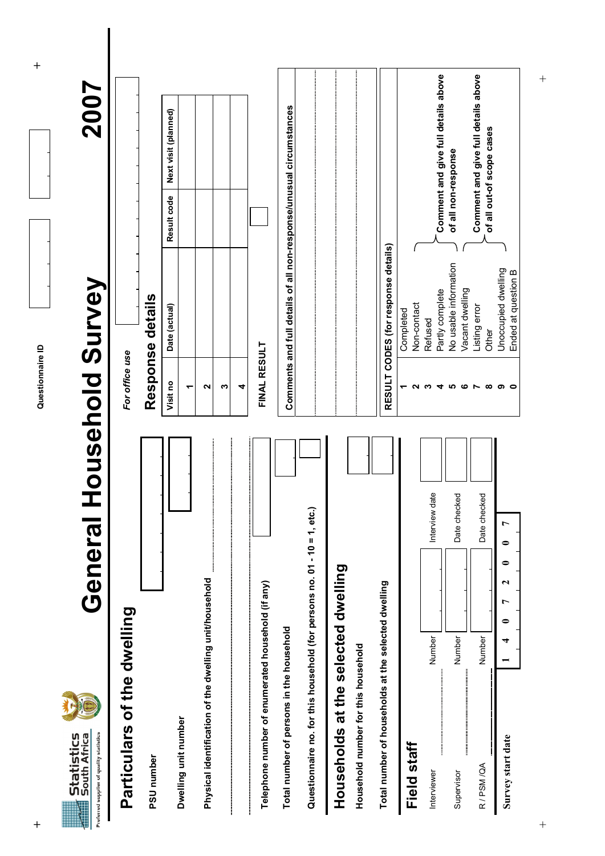| Preferred supplier of quality statistics<br>South Africa<br>Statistics | Genera                                                                      | <b>Household Survey</b>                                             | 2007                                                             |
|------------------------------------------------------------------------|-----------------------------------------------------------------------------|---------------------------------------------------------------------|------------------------------------------------------------------|
| Particulars of the dwelling                                            |                                                                             | For office use                                                      |                                                                  |
| PSU number                                                             |                                                                             | Response details                                                    |                                                                  |
| Dwelling unit number                                                   |                                                                             | Date (actual)<br>Visit no<br>ᡪ                                      | Next visit (planned)<br>Result code                              |
| Physical identification of the dwelling unit/household                 |                                                                             | 2<br>S                                                              |                                                                  |
|                                                                        |                                                                             | 4                                                                   |                                                                  |
| Telephone number of enumerated household (if any)                      |                                                                             | <b>FINAL RESULT</b>                                                 |                                                                  |
| Total number of persons in the household                               |                                                                             | Comments and full details of all non-response/unusual circumstances |                                                                  |
|                                                                        | etc.)<br>Questionnaire no. for this household (for persons no. 01 - 10 = 1, |                                                                     |                                                                  |
| Households at the selected dwelling                                    |                                                                             |                                                                     |                                                                  |
| Household number for this household                                    |                                                                             |                                                                     |                                                                  |
| Total number of households at the selected dwelling                    |                                                                             | RESULT CODES (for response details)                                 |                                                                  |
| Field staff                                                            |                                                                             | Non-contact<br>Completed                                            |                                                                  |
| Interviewer                                                            | Interview date<br>Number                                                    | Partly complete<br>Refused<br>ო<br>4                                | Comment and give full details above                              |
| Supervisor                                                             | checked<br>Date<br>Number                                                   | No usable information<br>Vacant dwelling<br>5<br>ဖ                  | of all non-response                                              |
| R/PSM/QA                                                               | checked<br><b>Date</b><br>Number                                            | Listing error<br>Other<br>$\infty$<br>$\sim$                        | Comment and give full details above<br>of all out-of scope cases |
| Survey start date                                                      | ◒<br>0<br>ี<br>r<br>0<br>4                                                  | Unoccupied dwelling<br>Ended at question B<br>၈ ဝ                   |                                                                  |

**+ Questionnaire ID +**  Questionnaire ID

 $\ddot{}$ 

 $\ddot{}$ 

 $\overline{+}$ + +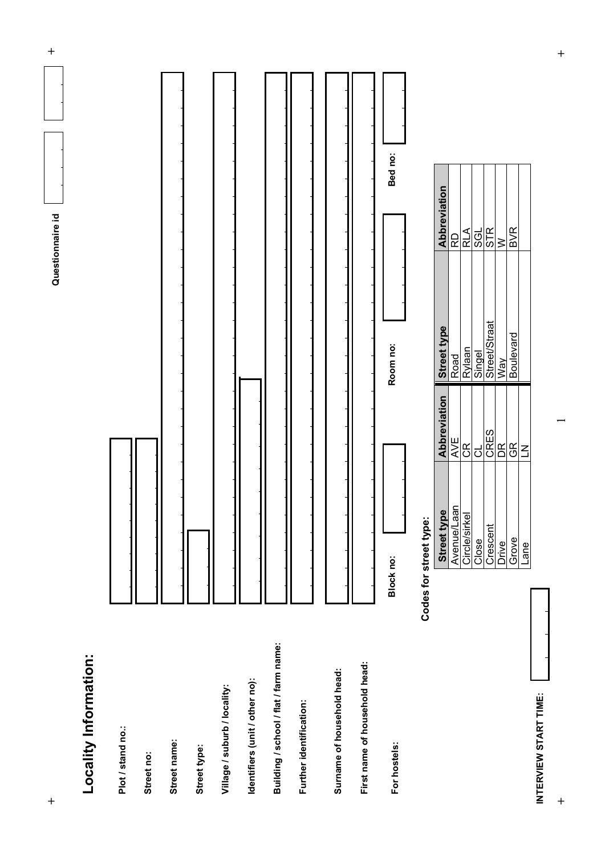

INTERVIEW START TIME: **INTERVIEW START TIME:** 

 $\ddot{}$ 

**+**<br> **+**<br> **+** 

 $\ddot{+}$ 

Grove GR Boulevard BVR

**BVR** 

Lane Lane LN

Grove

Lane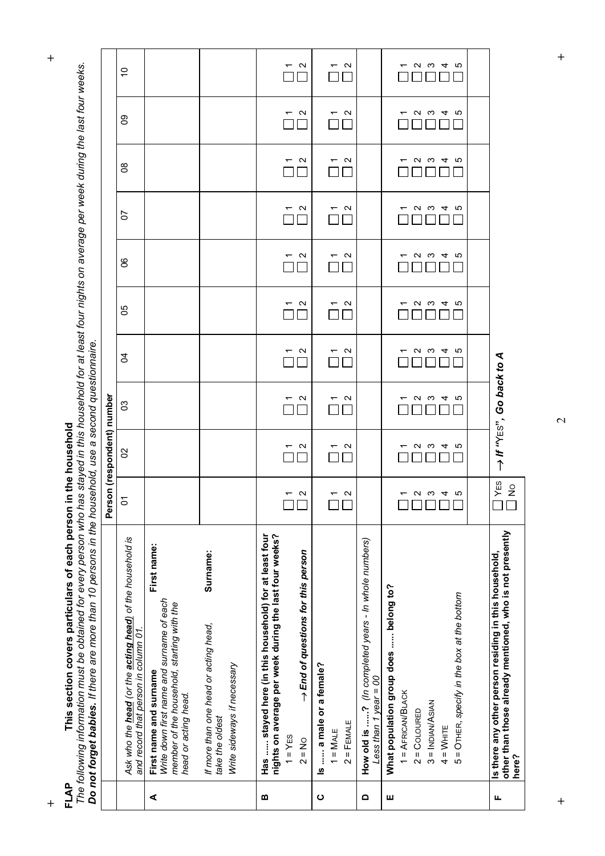| FLAP     | The following information must be obtained for every person who has stayed in this household for at least four nights on average per week during the last four weeks.<br>Do not forget babies. If there are more than 10 persons in the household, use a second questionnaire.<br>This section covers particulars of each person |                                  | in the household                 |                                               |                                               |                                               |                                  |                                  |                                  |                                  |                                               |
|----------|----------------------------------------------------------------------------------------------------------------------------------------------------------------------------------------------------------------------------------------------------------------------------------------------------------------------------------|----------------------------------|----------------------------------|-----------------------------------------------|-----------------------------------------------|-----------------------------------------------|----------------------------------|----------------------------------|----------------------------------|----------------------------------|-----------------------------------------------|
|          |                                                                                                                                                                                                                                                                                                                                  | قم                               | rson (respondent) number         |                                               |                                               |                                               |                                  |                                  |                                  |                                  |                                               |
|          | Ask who the head (or the acting head) of the household is<br>and record that person in column 01.                                                                                                                                                                                                                                | $\sum$                           | 8                                | ၛ                                             | S,                                            | မိ                                            | S                                | 5                                | g                                | ဥ                                | $\tilde{a}$                                   |
| ⋖        | First name:<br>Write down first name and surname of each<br>member of the household, starting with the<br>First name and surname<br>head or acting head.                                                                                                                                                                         |                                  |                                  |                                               |                                               |                                               |                                  |                                  |                                  |                                  |                                               |
|          | Surname:<br>If more than one head or acting head,<br>Write sideways if necessary<br>take the oldest                                                                                                                                                                                                                              |                                  |                                  |                                               |                                               |                                               |                                  |                                  |                                  |                                  |                                               |
| m        | Has  stayed here (in this household) for at least four<br>nights on average per week during the last four weeks?<br>→ End of questions for this person<br>$1 = YES$<br>$2 = No$                                                                                                                                                  | $\mathbf{\Omega}$                | $\mathbf{\Omega}$                | $\mathbf{\Omega}$<br>᠇                        | $\mathbf{\Omega}$<br>$\overline{\phantom{0}}$ | $\mathbf{\Omega}$<br>$\overline{\phantom{0}}$ | $\mathbf{\Omega}$<br>᠇           | $\mathbf{\Omega}$                | $\mathbf{\Omega}$<br>᠇           | N<br>᠇                           | $\mathbf{\Omega}$<br>$\overline{\phantom{0}}$ |
| ပ        | Is  a male or a female?<br>$2 =$ FEMALE<br>$1 = \mathsf{MALE}$                                                                                                                                                                                                                                                                   | $\mathbf{\Omega}$                | $\mathbf{\Omega}$                | $\mathbf{\Omega}$<br>᠆                        | $\mathbf{\Omega}$<br>$\overline{\phantom{0}}$ | $\mathbf{\Omega}$<br>$\overline{\phantom{0}}$ | $\mathbf{\Omega}$                | $\mathbf{\Omega}$                | $\mathbf{\Omega}$<br>᠇           | $\mathbf{\Omega}$<br>᠇           | $\sim$<br>$\overline{\phantom{0}}$            |
| $\Omega$ | How old is ? (In completed years - In whole numbers)<br>Less than 1 year = 00                                                                                                                                                                                                                                                    |                                  |                                  |                                               |                                               |                                               |                                  |                                  |                                  |                                  |                                               |
| ш        | What population group does  belong to?<br>= OTHER, specify in the box at the bottom<br>$1 = AFRICANBLACK$<br>$3 = INDIAN/ASIAN$<br>$2 = CoLOURED$<br>$4 = W$ HITE<br>Ю                                                                                                                                                           | $\mathbf{\Omega}$<br>က<br>4<br>Ю | S<br>ပ<br>$\mathbf{\Omega}$<br>4 | $\mathbf{\Omega}$<br>ო<br>ယ<br>4              | $\mathbf{\Omega}$<br>ო<br>4<br>Ю              | $\mathbf{\Omega}$<br>ო<br>ယ<br>4<br>᠇         | က<br>Ю<br>$\mathbf{\Omega}$<br>4 | ယ<br>$\mathbf{\Omega}$<br>ო<br>4 | $\mathbf{\Omega}$<br>က<br>S<br>4 | $\mathbf{\Omega}$<br>ო<br>Ю<br>4 | N<br>ო<br>4<br>Ю<br>᠇                         |
|          |                                                                                                                                                                                                                                                                                                                                  |                                  |                                  |                                               |                                               |                                               |                                  |                                  |                                  |                                  |                                               |
| щ        | other than those already mentioned, who is not presently<br>Is there any other person residing in this household,<br>Ihere?                                                                                                                                                                                                      | YES<br>$\frac{1}{2}$             |                                  | $\rightarrow$ If " $\gamma$ Es", Go back to A |                                               |                                               |                                  |                                  |                                  |                                  |                                               |

**+ +** 

 $\ddot{}$ 

**+ +**  $\overline{\mathcal{C}}$ 

 $\ddot{}$ 

 $\ddot{}$ 

 $\overline{+}$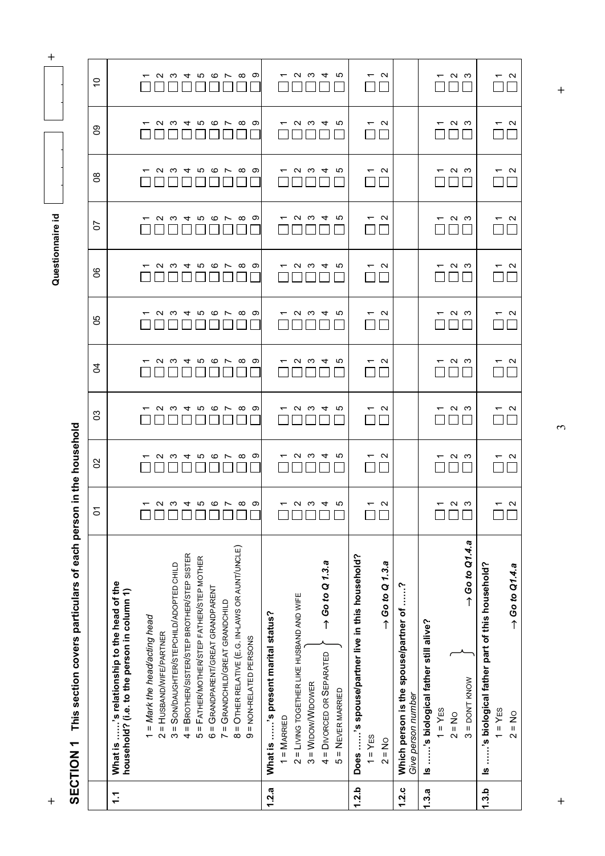**a** and the constitution of  $\alpha$  is a constant of  $\alpha$  is a constant of  $\alpha$  is a constant of  $\alpha$  is a constant of  $\alpha$  is a constant of  $\alpha$  is a constant of  $\alpha$  is a constant of  $\alpha$  is a constant of  $\alpha$  is a constant Questionnaire id

 $\ddot{}$ 

**+ +**  $\tilde{\mathcal{E}}$ 

 $\ddot{}$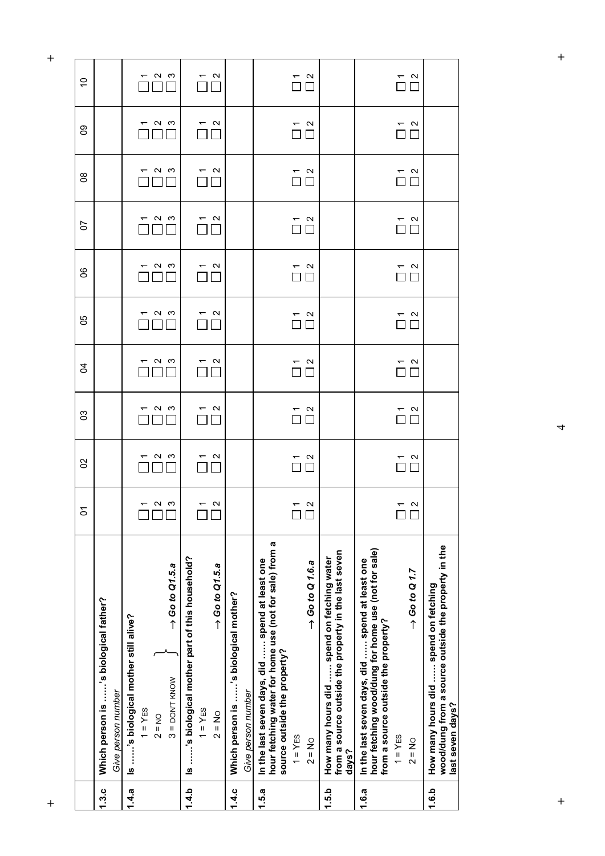| hour fetching wood/dung for home use (not for sale)<br>from a source outside the property in the last seven<br>Is 's biological mother part of this household?<br>How many hours did  spend on fetching water<br>In the last seven days, did  spend at least one<br>In the last seven days, did  spend at least one<br>$\rightarrow$ Go to Q 1.6.a<br>$\rightarrow$ Go to Q1.5.a<br>$\rightarrow$ Go to Q1.5.a<br>Which person is 's biological mother?<br>Is 's biological mother still alive?<br>source outside the property?<br>$3 =$ DON'T KNOW<br>Give person number<br>$1 = YES$<br>$1 = YES$<br>$2 = No$<br>$2 = NO$<br>$1 = YES$<br>$2 = No$<br>days? | $\rightarrow$ Go to Q 1.7<br>from a source outside the property?<br>$1 = YES$<br>$2 = No$ | 1.3.c | Which person is 's biological father? | δ | 8 | ဥ                                                                                                          | र्ठ            | မိ                                                                                                         | ၆                         | 5                                         | g                                         |
|---------------------------------------------------------------------------------------------------------------------------------------------------------------------------------------------------------------------------------------------------------------------------------------------------------------------------------------------------------------------------------------------------------------------------------------------------------------------------------------------------------------------------------------------------------------------------------------------------------------------------------------------------------------|-------------------------------------------------------------------------------------------|-------|---------------------------------------|---|---|------------------------------------------------------------------------------------------------------------|----------------|------------------------------------------------------------------------------------------------------------|---------------------------|-------------------------------------------|-------------------------------------------|
| $-$ a $\omega$<br>$\overline{\Pi}^{\alpha}$<br>$\sim$<br>$\overline{ }$<br>П<br>П<br>പ ധ<br>$\sim$<br>$\mathbf{\Omega}$<br>hour fetching water for home use (not for sale) from a                                                                                                                                                                                                                                                                                                                                                                                                                                                                             | $\overline{\Pi}$ $\overline{\Pi}$<br>$\mathbf{\Omega}$                                    | 1.4.a | Give person number                    |   |   |                                                                                                            |                |                                                                                                            |                           |                                           |                                           |
| $ \sim$ $\sim$<br>$\frac{1}{\sqrt{2}}$<br>$\begin{array}{c}\n\stackrel{\mathsf{r}}{\square} & \stackrel{\mathsf{u}}{\square} \\ \hline\n\end{array}$                                                                                                                                                                                                                                                                                                                                                                                                                                                                                                          | $\sim$ $\sim$<br>$\Box$                                                                   |       |                                       |   |   |                                                                                                            |                |                                                                                                            |                           |                                           |                                           |
|                                                                                                                                                                                                                                                                                                                                                                                                                                                                                                                                                                                                                                                               |                                                                                           |       |                                       |   |   |                                                                                                            | $ \sim$ $\sim$ | $ \sim$ $\infty$                                                                                           | $ \sim$ $\sim$            | $-$ a $\omega$                            | $ \sim$ $\sim$                            |
|                                                                                                                                                                                                                                                                                                                                                                                                                                                                                                                                                                                                                                                               |                                                                                           |       |                                       |   |   |                                                                                                            |                |                                                                                                            |                           |                                           |                                           |
|                                                                                                                                                                                                                                                                                                                                                                                                                                                                                                                                                                                                                                                               |                                                                                           |       |                                       |   |   |                                                                                                            |                |                                                                                                            |                           |                                           |                                           |
|                                                                                                                                                                                                                                                                                                                                                                                                                                                                                                                                                                                                                                                               |                                                                                           |       |                                       |   |   | ПE                                                                                                         | $\sim$ $\sim$  | $\overline{C}$ $\alpha$<br>$\Box \Box$                                                                     | $\sim$ $\sim$             | $\bigcap_{n=1}^{\infty}$                  | $\overline{\bigcap}$ $\overline{\bigcap}$ |
| $\begin{array}{c}\n\stackrel{\mathsf{r}}{\square} & \stackrel{\mathsf{u}}{\square} \\ \hline\n\end{array}$                                                                                                                                                                                                                                                                                                                                                                                                                                                                                                                                                    |                                                                                           |       |                                       |   |   |                                                                                                            |                |                                                                                                            |                           |                                           |                                           |
|                                                                                                                                                                                                                                                                                                                                                                                                                                                                                                                                                                                                                                                               |                                                                                           |       |                                       |   |   |                                                                                                            |                |                                                                                                            |                           |                                           |                                           |
|                                                                                                                                                                                                                                                                                                                                                                                                                                                                                                                                                                                                                                                               |                                                                                           |       |                                       |   |   |                                                                                                            |                |                                                                                                            |                           |                                           |                                           |
|                                                                                                                                                                                                                                                                                                                                                                                                                                                                                                                                                                                                                                                               |                                                                                           |       |                                       |   |   |                                                                                                            |                |                                                                                                            |                           |                                           |                                           |
|                                                                                                                                                                                                                                                                                                                                                                                                                                                                                                                                                                                                                                                               |                                                                                           |       |                                       |   |   |                                                                                                            |                |                                                                                                            |                           |                                           |                                           |
|                                                                                                                                                                                                                                                                                                                                                                                                                                                                                                                                                                                                                                                               |                                                                                           |       |                                       |   |   |                                                                                                            |                | $\begin{array}{c}\n\stackrel{\mathsf{r}}{\square} & \stackrel{\mathsf{u}}{\square} \\ \hline\n\end{array}$ | $\sim$ a<br>$\Box$ $\Box$ | $\sim$ $\sim$<br>$\Box$ $\Box$            | $\overline{\bigcap}$ $\overline{\bigcap}$ |
|                                                                                                                                                                                                                                                                                                                                                                                                                                                                                                                                                                                                                                                               |                                                                                           |       |                                       |   |   |                                                                                                            |                |                                                                                                            |                           |                                           |                                           |
|                                                                                                                                                                                                                                                                                                                                                                                                                                                                                                                                                                                                                                                               |                                                                                           |       |                                       |   |   |                                                                                                            |                |                                                                                                            |                           |                                           |                                           |
|                                                                                                                                                                                                                                                                                                                                                                                                                                                                                                                                                                                                                                                               |                                                                                           |       |                                       |   |   | $\begin{array}{c}\n\stackrel{\mathsf{r}}{\square} & \stackrel{\mathsf{u}}{\square} \\ \hline\n\end{array}$ |                | $\begin{array}{c}\n\stackrel{\mathsf{r}}{\square} & \stackrel{\mathsf{u}}{\square} \\ \hline\n\end{array}$ | $\sim$ $\sim$<br>ПП       | $\overline{\square}$ $\overline{\square}$ | $\overline{\overline{C}}$ $\overline{C}$  |

**+ +**   $\boldsymbol{+}$ 

 $+$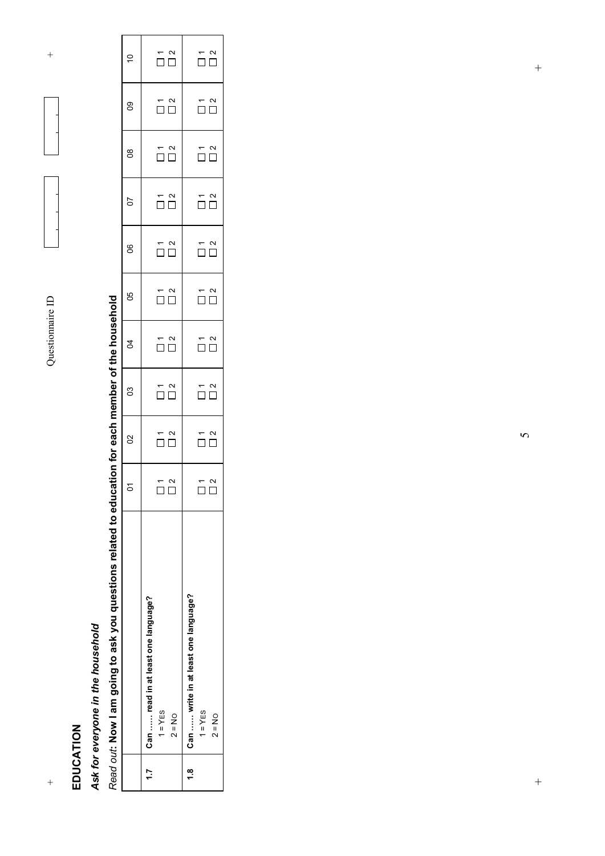$\overline{+}$ 



 $^{+}$ 

### Ask for everyone in the household *Ask for everyone in the household*

# Read out: Now I am going to ask you questions related to education for each member of the household *Read out***: Now I am going to ask you questions related to education for each member of the household**

|                                                                   | δ                                                   | 8                                             | CS                                                                                                      | R                                                                             | 80                                                                                                                                                                                                                                        | 8                                                                                       | 50                                                    | $\frac{8}{1}$                                                                           | 80                                                                            | ă                                                       |  |
|-------------------------------------------------------------------|-----------------------------------------------------|-----------------------------------------------|---------------------------------------------------------------------------------------------------------|-------------------------------------------------------------------------------|-------------------------------------------------------------------------------------------------------------------------------------------------------------------------------------------------------------------------------------------|-----------------------------------------------------------------------------------------|-------------------------------------------------------|-----------------------------------------------------------------------------------------|-------------------------------------------------------------------------------|---------------------------------------------------------|--|
| 1.7 Can read in at least one language?<br>$1 = YES$<br>$2 = NO$   | т<br>П П<br>$\Box$<br>ſ                             | $\overset{\tau}{\Box} \overset{\alpha}{\Box}$ | $\begin{array}{c}\n\stackrel{\rightharpoonup}{\Omega} \\ \stackrel{\rightharpoonup}{\Box}\n\end{array}$ | $\begin{array}{c}\n\hline\n\hline\n\end{array}$                               | $\begin{array}{c}\n\stackrel{\rightharpoonup}{\hspace{2.5pt}} \n\stackrel{\rightharpoonup}{\hspace{2.5pt}} \n\stackrel{\rightharpoonup}{\hspace{2.5pt}} \n\stackrel{\rightharpoonup}{\hspace{2.5pt}} \n\hfill & \n\hfill & \n\end{array}$ | $\begin{array}{c}\n\stackrel{\leftarrow}{\square} \stackrel{\sim}{\square} \end{array}$ | $\overline{\overset{\sim}{\Box}}\overset{\sim}{\Box}$ | $\begin{array}{c}\n\stackrel{\leftarrow}{\square} \stackrel{\sim}{\square} \end{array}$ | $\begin{array}{c}\n\stackrel{\pi}{\Box} \stackrel{\alpha}{\Box}\n\end{array}$ | $\overline{\Omega}$ $\overline{\Omega}$                 |  |
| 1.8 Can  write in at least one language?<br>$1 = YES$<br>$2 = No$ | $\overline{\square}$ $\overline{\square}$<br>$\Box$ | $\overline{\square}^{\, \alpha}_{\, \Box}$    | $\overline{\square}^{\, \alpha}_{\, \Box}$                                                              | $\begin{array}{c}\n\stackrel{\pi}{\Box} \stackrel{\alpha}{\Box}\n\end{array}$ | $\overline{\overline{D}}\,\overline{\overline{D}}$                                                                                                                                                                                        | $\overline{\overline{D}}$ $\overline{D}$                                                | $\overline{\square}^{\,n}$                            | $\overline{\overline{D}}\,\overline{\overline{D}}$                                      | $\overline{\square}^{\,n}_{\, \square}$                                       | $\overline{\overline{\square}}\stackrel{\sim}{\square}$ |  |
|                                                                   |                                                     |                                               |                                                                                                         |                                                                               |                                                                                                                                                                                                                                           |                                                                                         |                                                       |                                                                                         |                                                                               |                                                         |  |

 $\bm{\varsigma}$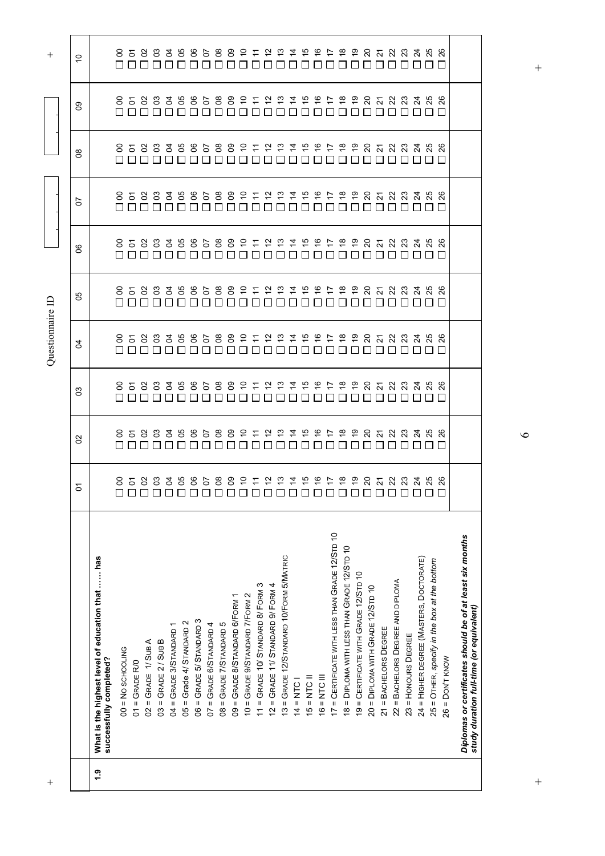| $^+$          |                                                                                                       |                                            |                                                    |                                                 | Questionnaire ID             |                                                                        |                                       |                                                            |                                                            |                                             | $^{+}$                     |
|---------------|-------------------------------------------------------------------------------------------------------|--------------------------------------------|----------------------------------------------------|-------------------------------------------------|------------------------------|------------------------------------------------------------------------|---------------------------------------|------------------------------------------------------------|------------------------------------------------------------|---------------------------------------------|----------------------------|
|               |                                                                                                       | $\overline{c}$                             | SO                                                 | SO                                              | Ŕ                            | 50                                                                     | 80                                    | 50                                                         | $8^{\circ}$                                                | SO                                          | ő                          |
| $\ddot{ }$ .9 | What is the highest level of education that  has<br>successfully completed?                           |                                            |                                                    |                                                 |                              |                                                                        |                                       |                                                            |                                                            |                                             |                            |
|               | $00 = No$ SCHOOLING                                                                                   | 858838858<br>00000000000000000000000000000 | 85883888588911222222222323333<br>00000000000000000 | 85883888588911222222222323<br>00000000000000000 | 8588388                      | 8 5 8 8 3 8 8 8 8 8 9 2 2 3 4 5 6 7 8 9 8 7 8 7 8 7<br>000000000000000 | 858838868892122222<br>——————————————— | 858888888892122222222323<br>000000000000000000000000000000 | 858888888892122222222323<br>000000000000000000000000000000 | 85883885889<br>0000000000000000000000000000 | 85883888588212222222223233 |
|               | $01 =$ GRADE R/0                                                                                      |                                            |                                                    |                                                 | 888888                       |                                                                        |                                       |                                                            |                                                            |                                             |                            |
|               | $02 =$ GRADE 1/SUBA                                                                                   |                                            |                                                    |                                                 |                              |                                                                        |                                       |                                                            |                                                            |                                             |                            |
|               | $03 =$ GRADE $2/$ SUB B                                                                               |                                            |                                                    |                                                 |                              |                                                                        |                                       |                                                            |                                                            |                                             |                            |
|               | 04 = GRADE 3/STANDARD 1                                                                               |                                            |                                                    |                                                 |                              |                                                                        |                                       |                                                            |                                                            |                                             |                            |
|               | $05 =$ Grade 4/ STANDARD 2                                                                            |                                            |                                                    |                                                 |                              |                                                                        |                                       |                                                            |                                                            |                                             |                            |
|               | $06 =$ GRADE 5/ STANDARD 3                                                                            |                                            |                                                    |                                                 | $\Box$                       |                                                                        |                                       |                                                            |                                                            |                                             |                            |
|               | $07 =$ GRADE 6/STANDARD 4                                                                             |                                            |                                                    |                                                 | <b>58892122166</b><br>$\Box$ |                                                                        |                                       |                                                            |                                                            |                                             |                            |
|               | 08 = GRADE 7/STANDARD 5                                                                               |                                            |                                                    |                                                 | $\Box$                       |                                                                        |                                       |                                                            |                                                            |                                             |                            |
|               | 09 = GRADE 8/STANDARD 6/FORM 1                                                                        |                                            |                                                    |                                                 | $\Box$                       |                                                                        |                                       |                                                            |                                                            |                                             |                            |
|               | 10 = GRADE 9/STANDARD 7/FORM 2                                                                        |                                            |                                                    |                                                 |                              |                                                                        |                                       |                                                            |                                                            |                                             |                            |
|               | 11 = GRADE 10/ STANDARD 8/ FORM 3                                                                     |                                            |                                                    |                                                 | $\Box$                       |                                                                        |                                       |                                                            |                                                            |                                             |                            |
|               | 12 = GRADE 11/ STANDARD 9/ FORM 4                                                                     |                                            |                                                    |                                                 | $\Box$                       |                                                                        |                                       |                                                            |                                                            |                                             |                            |
|               | 13 = GRADE 12/STANDARD 10/FORM 5/MATRIC                                                               |                                            |                                                    |                                                 | П                            |                                                                        |                                       |                                                            |                                                            |                                             |                            |
|               | $14 = NTC$                                                                                            |                                            |                                                    |                                                 |                              |                                                                        |                                       |                                                            |                                                            |                                             |                            |
|               | $15 = NTC$ I                                                                                          |                                            |                                                    |                                                 |                              |                                                                        |                                       |                                                            |                                                            |                                             |                            |
|               | $16 = NTC \nparallel$                                                                                 |                                            |                                                    |                                                 | П                            | $\Box$                                                                 | $\Box$                                |                                                            |                                                            |                                             |                            |
|               | 17 = CERTIFICATE WITH LESS THAN GRADE 12/STD 10                                                       | 9 1 1 2 3 4 5 5 6 6 6 6 6 7 8 9 70 70 70   |                                                    |                                                 | $\overline{z}$               | LI                                                                     |                                       |                                                            |                                                            | 7 2 2 3 4 5 6 7 8 9 9 7 8 9 9 9 9 9         | $\Box$                     |
|               | 18 = DIPLOMA WITH LESS THAN GRADE 12/STD 10                                                           |                                            |                                                    | П                                               | $\frac{8}{10}$               | П                                                                      | $\frac{8}{10}$                        |                                                            |                                                            |                                             | $\mathbf{L}$               |
|               | 19 = CERTIFICATE WITH GRADE 12/STD 10                                                                 |                                            | n n n                                              | $\Box$                                          | ္င                           | $\Box$                                                                 |                                       |                                                            |                                                            |                                             | ПO                         |
|               | 20 = DIPLOMA WITH GRADE 12/STD 10                                                                     |                                            |                                                    | $\Box$                                          |                              | $\Box$                                                                 |                                       |                                                            |                                                            |                                             |                            |
|               | $21 = BACHELORS$ DEGREE                                                                               |                                            | $\Box$ $\Box$                                      | $\Box$ $\Box$                                   |                              | $\Box$                                                                 | □□                                    |                                                            |                                                            |                                             | □□                         |
|               | 22 = BACHELORS DEGREE AND DIPLOMA                                                                     |                                            |                                                    |                                                 |                              | $\Box$                                                                 |                                       |                                                            |                                                            |                                             |                            |
|               | 23 = HONOURS DEGREE                                                                                   |                                            |                                                    | П                                               |                              | $\Box$                                                                 |                                       |                                                            |                                                            |                                             |                            |
|               | 24 = HIGHER DEGREE (MASTERS, DOCTORATE)                                                               |                                            |                                                    |                                                 |                              |                                                                        |                                       |                                                            |                                                            |                                             |                            |
|               | 25 = OTHER, specify in the box at the bottom                                                          |                                            |                                                    |                                                 | <b>ឧត្តន្ទនេ</b>             |                                                                        |                                       |                                                            |                                                            |                                             | OOOO                       |
|               | $26 =$ DON'T KNOW                                                                                     |                                            |                                                    |                                                 |                              |                                                                        |                                       |                                                            |                                                            |                                             |                            |
|               | Diplomas or certificates should be of at least six months<br>study duration full-time (or equivalent) |                                            |                                                    |                                                 |                              |                                                                        |                                       |                                                            |                                                            |                                             |                            |

 $\bullet$ 

 $\ddot{}$ 

 $+$  +  $+$  $\overline{+}$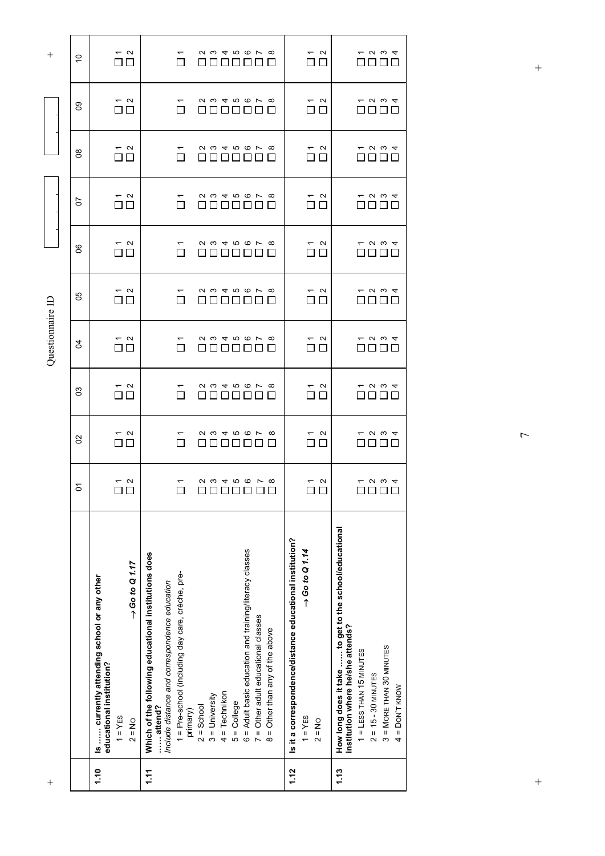| $\,+\,$          |                | 1.10                                                                                                                           | 1.11                                                                                                                                                                                             |                                                                                                                                                                                             | 1.12                                                                                                            | 1.13                                                                                                                                                                                                        |
|------------------|----------------|--------------------------------------------------------------------------------------------------------------------------------|--------------------------------------------------------------------------------------------------------------------------------------------------------------------------------------------------|---------------------------------------------------------------------------------------------------------------------------------------------------------------------------------------------|-----------------------------------------------------------------------------------------------------------------|-------------------------------------------------------------------------------------------------------------------------------------------------------------------------------------------------------------|
|                  |                | $\rightarrow$ Go to Q 1.17<br>Is  currently attending school or any other<br>educational institution?<br>$1 = YES$<br>$2 = No$ | Which of the following educational institutions does<br>1 = Pre-school (including day care, crèche, pre-<br>Include distance and correspondence education<br>$2 =$ School<br>attend?<br>primary) | 6 = Adult basic education and training/literacy classes<br>$7 =$ Other adult educational classes<br>8 = Other than any of the above<br>$4 = Technikon$<br>$3 =$ University<br>$5 =$ College | Is it a correspondence/distance educational institution?<br>$\rightarrow$ Go to Q 1.14<br>$1 = YES$<br>$2 = No$ | How long does it take  to get to the school/educational<br>institution where he/she attends?<br>$3 = M$ ORE THAN 30 MINUTES<br>$1 = LESS$ THAN $15$ MINUTES<br>$2 = 15 - 30$ MINUTES<br>$=$ DON'T KNOW<br>4 |
|                  | 5              | $\sim$ $\sim$<br>$\square$                                                                                                     | ↽<br>$\Box$                                                                                                                                                                                      | <b>Q W 4 T Q F W</b><br>0000000                                                                                                                                                             | $\sim$ $\sim$<br>$\Box$                                                                                         | $ \sim$ $\sim$ $4$<br>0000                                                                                                                                                                                  |
|                  | S              | $ \sim$<br>$\Box$ $\Box$                                                                                                       | П                                                                                                                                                                                                | 2 3 4 5 6 7 8<br>$\Box$                                                                                                                                                                     | $\sim$<br>$\overline{\phantom{0}}$<br>$\perp$                                                                   | $ \omega$ $\omega$ 4<br>பப<br>$\mathsf{L}$                                                                                                                                                                  |
|                  | 3              | $\sim$ $\sim$<br>$\Box$ $\Box$                                                                                                 |                                                                                                                                                                                                  | <i>2345678</i>                                                                                                                                                                              | $\sim$<br>П                                                                                                     | <b>1234</b><br>$\Box$                                                                                                                                                                                       |
| Questionnaire ID | g              | $ \sim$<br>$\Box$ $\Box$                                                                                                       | П                                                                                                                                                                                                | <i>2345678</i>                                                                                                                                                                              | $\sim$<br>$\overline{\phantom{0}}$<br>$\Box$<br>$\Box$                                                          | $ \sim$ $\sim$ $-$                                                                                                                                                                                          |
|                  | 80             | $ \sim$<br>$\Box$ $\Box$                                                                                                       | П                                                                                                                                                                                                | <i>2345678</i><br>$\mathbf{I}$<br>$\mathsf{L}$                                                                                                                                              | $\sim$<br>$\overline{\phantom{0}}$<br>□<br>$\Box$                                                               | ဂ က <del>ျ</del><br>П<br>$\perp$                                                                                                                                                                            |
|                  | 8              | $ \sim$<br>□□                                                                                                                  | ᠇<br>$\Box$                                                                                                                                                                                      | <b>Q &amp; 4 &amp; 6 L &amp;</b><br>000000                                                                                                                                                  | $\sim$<br>↽<br>$\Box$ $\Box$                                                                                    | $ \omega$ $\omega$ $4$<br>$\Box\ \Box\ \Box$<br>$\Box$                                                                                                                                                      |
|                  | 5              | $ \sim$<br>$\Box$                                                                                                              | $\Box$                                                                                                                                                                                           | 2 3 4 5 6 7 8<br>88888                                                                                                                                                                      | $\sim$<br>$\overline{\phantom{0}}$<br>$\Box$<br>$\Box$                                                          | $ \omega$ $\omega$ 4<br>$\Box$ $\Box$ $\Box$<br>$\Box$                                                                                                                                                      |
|                  | 80             | $\sim$ $\sim$<br>$\square$ $\square$                                                                                           | П                                                                                                                                                                                                | <i>2345678</i><br>88888                                                                                                                                                                     | $\sim$<br>п<br>$\Box$                                                                                           | <b>12 72 4</b><br>88 88 8<br>$\Box$                                                                                                                                                                         |
|                  | 8O             | $\overline{\overline{\square}}\stackrel{\sim}{\square}$                                                                        | $\overline{\phantom{0}}$<br>$\Box$<br>П                                                                                                                                                          | <i>2345678</i><br>888888                                                                                                                                                                    | $\begin{array}{c}\n\hline\n\hline\n\end{array}$                                                                 | $ \omega$ $\omega$ 4<br>0000                                                                                                                                                                                |
| $^+$             | $\overline{C}$ | $ \sim$<br>$\Box$ $\Box$                                                                                                       | П                                                                                                                                                                                                | <i>2345678</i><br><u> Die Britische Britische Britische Britische Britische Britische Britische Britische Britische Britische Britis</u><br>$\perp$                                         | $\sim$ $\sim$<br>ПП                                                                                             | $ \sim$ $\sim$ $-$<br>OOOO                                                                                                                                                                                  |

 $\overline{ }$ 

 $\frac{1}{2}$ 

 $+$  +  $+$  $\qquad \qquad +$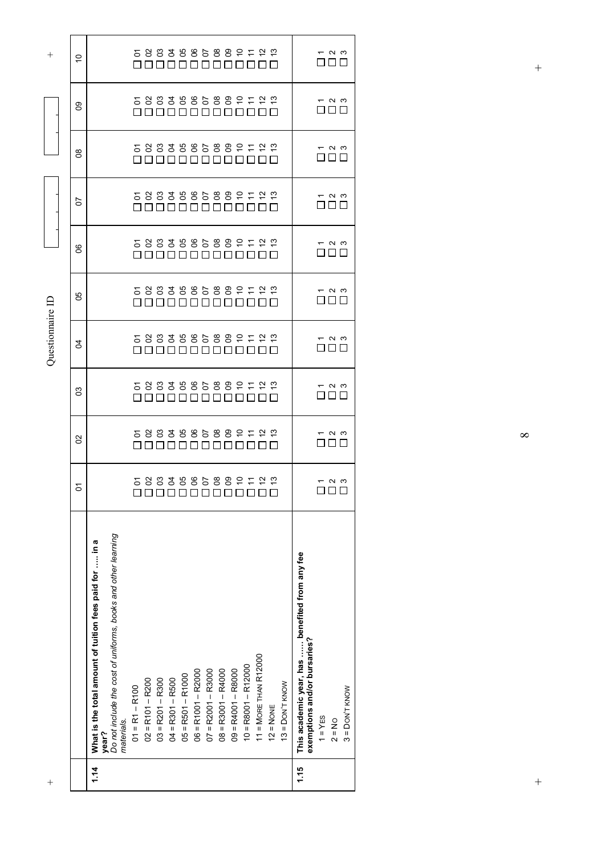$\infty$ 

 $\ddot{}$ 

 $+$  +  $+$  $\ddot{+}$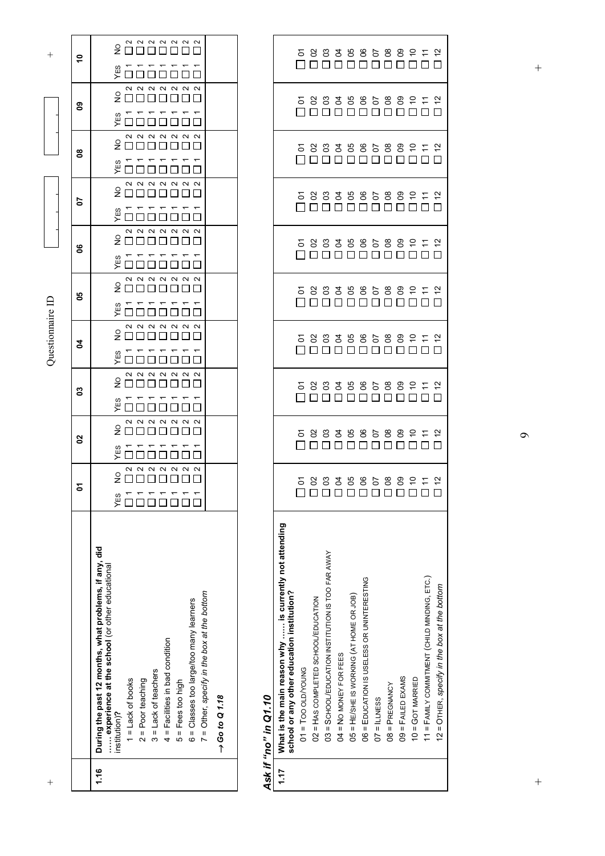| $^+$ |                                                                                                                                                                                                                                                                                                                                                                                  |                                                                                                                           |                                                                                                                                                                           |                                     | Questionnaire ID                                                                                                                      |                                        |                                   |                                |                                              |                                                                                                                                                         | $\, + \,$            |
|------|----------------------------------------------------------------------------------------------------------------------------------------------------------------------------------------------------------------------------------------------------------------------------------------------------------------------------------------------------------------------------------|---------------------------------------------------------------------------------------------------------------------------|---------------------------------------------------------------------------------------------------------------------------------------------------------------------------|-------------------------------------|---------------------------------------------------------------------------------------------------------------------------------------|----------------------------------------|-----------------------------------|--------------------------------|----------------------------------------------|---------------------------------------------------------------------------------------------------------------------------------------------------------|----------------------|
|      |                                                                                                                                                                                                                                                                                                                                                                                  |                                                                                                                           | 8                                                                                                                                                                         | 3                                   | 2                                                                                                                                     | မ္မ                                    | g                                 | 50                             | 8                                            | 80                                                                                                                                                      |                      |
| 1.16 | During the past 12 months, what problems, if any, did<br>experience at the school (or other educational<br>7 = Other, specify in the box at the bottom<br>6 = Classes too large/too many learners<br>4 = Facilities in bad condition<br>3 = Lack of teachers<br>$2 =$ Poor teaching<br>$5 =$ Fees too high<br>$1 =$ Lack of books<br>$\rightarrow$ Go to Q 1.18<br>institution)? | $\begin{array}{c} \n 0 & 0 & 0 & 0 \\  0 & 0 & 0 & 0 \\  0 & 0 & 0 & 0 \\  \end{array}$<br>$\mathbf{\Omega}$<br>ءِ<br>YES | $\begin{array}{c} \n  \alpha \alpha \alpha \alpha \\ \n  \square \square \square \square \end{array}$<br>$\sim$ $\sim$<br>$\sim$<br>$\frac{1}{2}$<br>-----<br>0000<br>YES | $200000$<br>$\sim$ $\sim$<br>$\sim$ | $\begin{array}{c} 0 & 0 & 0 & 0 \\ \hline 0 & 0 & 0 & 0 \\ \hline \end{array}$<br>$rac{1}{2}$ $rac{1}{2}$<br><del>׆ ה ה ה ה ה ב</del> | $200000000$<br>$\overline{\mathbf{C}}$ | $\mathbf{\Omega}$<br>׆֑׆׆׆׆׆׆֞֜֝֝ | $20000000$<br><b>A UUUUUUU</b> | $2000000$<br>$\sim$<br><del>׆֠׆׆׆׆׆</del> ׆׆ | $\begin{array}{c}\n 2 \quad \alpha \quad \alpha \quad \alpha \\  \hline\n 2 \quad \Box \quad \Box \quad \Box \quad \Box\n \end{array}$<br>$\sim$ $\sim$ | <del>׆֠׆׆׆׆׆׆׆</del> |

### *Ask if "no" in Q1.10*

|      | Ask if "no" in Q1.10                                                                                  |  |                                       |                                         |  |                                        |  |                                                                                         |
|------|-------------------------------------------------------------------------------------------------------|--|---------------------------------------|-----------------------------------------|--|----------------------------------------|--|-----------------------------------------------------------------------------------------|
| 1.17 | What is the main reason why  is currently not attending<br>school or any other education institution? |  |                                       |                                         |  |                                        |  |                                                                                         |
|      | $01 = 100$ OLD/YOUNG                                                                                  |  |                                       | 5 8 8 3 8 8 5 8 8 9 5 4<br>ПОПОПОПОПОПО |  | S 8 8 3 8 8 5 8 8 9 5 4<br>ПОПОПОПОПОП |  | $\begin{array}{c} 5 8 3 3 5 8 8 5 8 8 2 5 2 \\ \hline 10 0 0 0 0 0 0 0 0 0 \end{array}$ |
|      | 02 = HAS COMPLETED SCHOOL/EDUCATION                                                                   |  |                                       |                                         |  |                                        |  |                                                                                         |
|      | 03 = SCHOOL/EDUCATION INSTITUTION IS TOO FAR AWAY                                                     |  |                                       |                                         |  |                                        |  |                                                                                         |
|      | $04 = NO$ MONEY FOR FEES                                                                              |  |                                       |                                         |  |                                        |  |                                                                                         |
|      | 05 = HE/SHE IS WORKING (AT HOME OR JOB)                                                               |  |                                       |                                         |  |                                        |  |                                                                                         |
|      | 06 = EDUCATION IS USELESS OR UNINTERESTING                                                            |  |                                       |                                         |  |                                        |  |                                                                                         |
|      | $07 = 1$ LLNESS                                                                                       |  | 5 8 8 3 8 8 5 8 8 9 5 5<br>ПООООООООО |                                         |  |                                        |  |                                                                                         |
|      | $08 = P$ REGNANCY                                                                                     |  |                                       |                                         |  |                                        |  |                                                                                         |
|      | 09 = FAILED EXAMS                                                                                     |  |                                       |                                         |  |                                        |  |                                                                                         |
|      | $10 = GOT$ MARRIED                                                                                    |  |                                       |                                         |  |                                        |  |                                                                                         |
|      | 11 = FAMILY COMMITMENT (CHILD MINDING, ETC.)                                                          |  |                                       |                                         |  |                                        |  |                                                                                         |
|      | 12 = OTHER, specify in the box at the bottom                                                          |  |                                       |                                         |  |                                        |  |                                                                                         |

 $\circ$ 

 $\frac{1}{2}$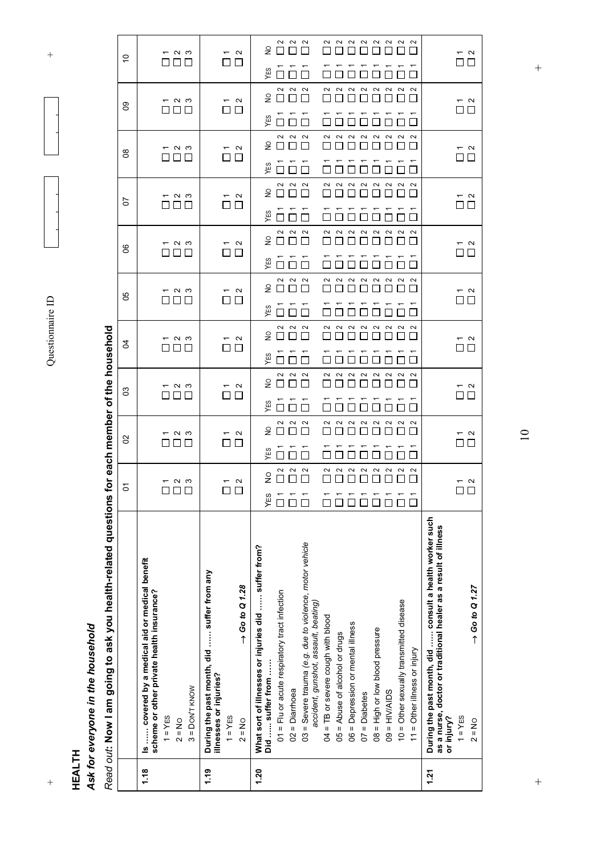+ Questionnaire ID + Questionnaire ID

 $\overline{+}$ 

**HEALTH**

 $^{+}$ 

### Ask for everyone in the household *Ask for everyone in the household*

Read out: Now I am going to ask you health-related questions for each member of the household *Read out***: Now I am going to ask you health-related questions for each member of the household** 

| 2222222<br>222<br>$\epsilon$<br>П<br>$ \sim$ $\sim$<br>$\sim$ $\sim$<br>$\overline{\phantom{0}}$<br>ó<br>$\square$ $\square$<br>O O O<br>□□<br>YES<br>222<br>$\sim$ $\sim$<br>$\sim$<br>$\sim$<br>$\sim$<br>$\sim$<br>$\sim$<br>$\sim$<br>$\stackrel{\circ}{\simeq}$<br>88 8 8<br>$\sim$ $\sim$<br>$\overline{\overset{\sim}{\Box}}\overset{\sim}{\Box}$<br>$ \sim$ $\sim$<br>ဥ<br>ПП<br>ПD<br>ES<br>$\begin{array}{c} 2 & 0 \\ 0 & 0 \end{array}$<br>$\sim$<br>$\sim$<br>$\sim$<br>$\sim$<br>$\sim$<br>$\sim$<br>$\sim$<br>$\sim$<br>$\frac{1}{2}$<br>OOO<br>$ \sim$ $\infty$<br>$ \sim$<br>$\overline{\square} \stackrel{\sim}{\square}$<br>$8^{\circ}$<br>$\Box$ $\Box$<br>88 88<br>YES<br>П<br>222<br>$\sim$<br>$\sim$<br>2<br>$\sim$<br>$\sim$<br>$\sim$<br>$\sim$<br>$\sim$<br>$\overline{2}$<br>H<br>$ \sim$ $\infty$<br>$ \sim$<br>$\begin{array}{c}\n\hline\n\hline\n\end{array}$<br>5<br>$\Box$ $\Box$<br>$\square$<br>YES<br>$\begin{array}{ccccc}\n\alpha & \alpha & \alpha\n\end{array}$<br>$\sim$<br>$\sim$<br>222<br>$\sim$<br>$\sim$<br>$\sim$<br>$\overline{2}$<br>$\Box$ $\Box$<br>$\Box$<br>$ \sim$ $\infty$<br>$\sim$ $\sim$<br>$\begin{array}{c}\n\stackrel{\leftarrow}{\square} \stackrel{\sim}{\square} \end{array}$<br>8<br>$\Box$ $\Box$<br>$\square \square \square$<br>YES<br>П<br>222<br>$\sim$<br>$\frac{1}{2}$<br>$\Box$ $\Box$ $\Box$<br>П<br>$ \sim$ $\infty$<br>$\sim$ $\sim$<br>$\sim$ $\sim$<br>99<br>$\Box$ $\Box$<br>ooo<br>ПП<br>YES<br>222<br>$\stackrel{\circ}{\simeq}$<br>$\Box$<br>$\Box$<br>$\Box$<br>$\sim$<br>— ი ო<br>$ \sim$<br>R<br>$\Box$ $\Box$<br>П<br>YES<br>222<br>$\sim$<br>$\sim$<br>$\sim$<br>22222<br>$\epsilon$<br>88 8 8<br>$ \sim$ $\infty$<br>$\sim$ $\alpha$<br>$ \sim$<br>SO<br>$\Box$<br>ПП<br>YES<br>$\Box$<br>222<br>$\sim$<br>$\sim$<br>$\sim$<br>$\sim$<br>$\sim$<br>$\sim$<br>$\sim$<br>$\sim$<br>$\stackrel{\circ}{\simeq}$<br>П<br>$-$ ი ო<br>$\sim$<br>$\sim$<br>S<br>$\Box$ $\Box$<br>ПП<br>$\Box$<br>YES<br>$\Box$<br>$\sim$<br>$\sim$<br>$\sim$<br>$\sim$<br>2<br>$\sim$<br>$\sim$<br>$\sim$<br>$\sim$<br>$\frac{1}{2}$<br>— ი ო<br>$\sim$<br>$\overline{\phantom{0}}$ $\alpha$<br>δ<br>$\Box$<br>YES<br>During the past month, did  consult a health worker such<br>as a nurse, doctor or traditional healer as a result of illness<br>03 = Severe trauma (e.g. due to violence, motor vehicle<br>What sort of illnesses or injuries did  suffer from?<br>Is  covered by a medical aid or medical benefit<br>During the past month, did  suffer from any<br>$\rightarrow$ Go to Q 1.28<br>$\rightarrow$ Go to Q 1.27<br>scheme or other private health insurance?<br>01 = Flu or acute respiratory tract infection<br>10 = Other sexually transmitted disease<br>accident, gunshot, assault, beating)<br>04 = TB or severe cough with blood<br>06 = Depression or mental illness<br>$08$ = High or low blood pressure<br>05 = Abuse of alcohol or drugs<br>$11 =$ Other illness or injury<br>Did  suffer from<br>illnesses or injuries?<br>$3 =$ DON'T KNOW<br>$02 =$ Diarrhoea<br>$09 = HIN/ALSS$<br>$07 = Diabetes$<br>$1 = YES$<br>$1 = YES$<br>$1 = YES$<br>or injury?<br>$2 = No$<br>$2 = No$<br>$2 = No$ |
|--------------------------------------------------------------------------------------------------------------------------------------------------------------------------------------------------------------------------------------------------------------------------------------------------------------------------------------------------------------------------------------------------------------------------------------------------------------------------------------------------------------------------------------------------------------------------------------------------------------------------------------------------------------------------------------------------------------------------------------------------------------------------------------------------------------------------------------------------------------------------------------------------------------------------------------------------------------------------------------------------------------------------------------------------------------------------------------------------------------------------------------------------------------------------------------------------------------------------------------------------------------------------------------------------------------------------------------------------------------------------------------------------------------------------------------------------------------------------------------------------------------------------------------------------------------------------------------------------------------------------------------------------------------------------------------------------------------------------------------------------------------------------------------------------------------------------------------------------------------------------------------------------------------------------------------------------------------------------------------------------------------------------------------------------------------------------------------------------------------------------------------------------------------------------------------------------------------------------------------------------------------------------------------------------------------------------------------------------------------------------------------------------------------------------------------------------------------------------------------------------------------------------------------------------------------------------------------------------------------------------------------------------------------------------------------------------------------------------------------------------------------------------------------------------------------------------------------------------------------------------------------------------------------------------------------------------------------------------------------------------------------------------------------------------------------------------------------------------------------------------------------------------------------------------------------------|
|                                                                                                                                                                                                                                                                                                                                                                                                                                                                                                                                                                                                                                                                                                                                                                                                                                                                                                                                                                                                                                                                                                                                                                                                                                                                                                                                                                                                                                                                                                                                                                                                                                                                                                                                                                                                                                                                                                                                                                                                                                                                                                                                                                                                                                                                                                                                                                                                                                                                                                                                                                                                                                                                                                                                                                                                                                                                                                                                                                                                                                                                                                                                                                                            |
|                                                                                                                                                                                                                                                                                                                                                                                                                                                                                                                                                                                                                                                                                                                                                                                                                                                                                                                                                                                                                                                                                                                                                                                                                                                                                                                                                                                                                                                                                                                                                                                                                                                                                                                                                                                                                                                                                                                                                                                                                                                                                                                                                                                                                                                                                                                                                                                                                                                                                                                                                                                                                                                                                                                                                                                                                                                                                                                                                                                                                                                                                                                                                                                            |
|                                                                                                                                                                                                                                                                                                                                                                                                                                                                                                                                                                                                                                                                                                                                                                                                                                                                                                                                                                                                                                                                                                                                                                                                                                                                                                                                                                                                                                                                                                                                                                                                                                                                                                                                                                                                                                                                                                                                                                                                                                                                                                                                                                                                                                                                                                                                                                                                                                                                                                                                                                                                                                                                                                                                                                                                                                                                                                                                                                                                                                                                                                                                                                                            |
|                                                                                                                                                                                                                                                                                                                                                                                                                                                                                                                                                                                                                                                                                                                                                                                                                                                                                                                                                                                                                                                                                                                                                                                                                                                                                                                                                                                                                                                                                                                                                                                                                                                                                                                                                                                                                                                                                                                                                                                                                                                                                                                                                                                                                                                                                                                                                                                                                                                                                                                                                                                                                                                                                                                                                                                                                                                                                                                                                                                                                                                                                                                                                                                            |
|                                                                                                                                                                                                                                                                                                                                                                                                                                                                                                                                                                                                                                                                                                                                                                                                                                                                                                                                                                                                                                                                                                                                                                                                                                                                                                                                                                                                                                                                                                                                                                                                                                                                                                                                                                                                                                                                                                                                                                                                                                                                                                                                                                                                                                                                                                                                                                                                                                                                                                                                                                                                                                                                                                                                                                                                                                                                                                                                                                                                                                                                                                                                                                                            |
|                                                                                                                                                                                                                                                                                                                                                                                                                                                                                                                                                                                                                                                                                                                                                                                                                                                                                                                                                                                                                                                                                                                                                                                                                                                                                                                                                                                                                                                                                                                                                                                                                                                                                                                                                                                                                                                                                                                                                                                                                                                                                                                                                                                                                                                                                                                                                                                                                                                                                                                                                                                                                                                                                                                                                                                                                                                                                                                                                                                                                                                                                                                                                                                            |
|                                                                                                                                                                                                                                                                                                                                                                                                                                                                                                                                                                                                                                                                                                                                                                                                                                                                                                                                                                                                                                                                                                                                                                                                                                                                                                                                                                                                                                                                                                                                                                                                                                                                                                                                                                                                                                                                                                                                                                                                                                                                                                                                                                                                                                                                                                                                                                                                                                                                                                                                                                                                                                                                                                                                                                                                                                                                                                                                                                                                                                                                                                                                                                                            |
|                                                                                                                                                                                                                                                                                                                                                                                                                                                                                                                                                                                                                                                                                                                                                                                                                                                                                                                                                                                                                                                                                                                                                                                                                                                                                                                                                                                                                                                                                                                                                                                                                                                                                                                                                                                                                                                                                                                                                                                                                                                                                                                                                                                                                                                                                                                                                                                                                                                                                                                                                                                                                                                                                                                                                                                                                                                                                                                                                                                                                                                                                                                                                                                            |
|                                                                                                                                                                                                                                                                                                                                                                                                                                                                                                                                                                                                                                                                                                                                                                                                                                                                                                                                                                                                                                                                                                                                                                                                                                                                                                                                                                                                                                                                                                                                                                                                                                                                                                                                                                                                                                                                                                                                                                                                                                                                                                                                                                                                                                                                                                                                                                                                                                                                                                                                                                                                                                                                                                                                                                                                                                                                                                                                                                                                                                                                                                                                                                                            |
|                                                                                                                                                                                                                                                                                                                                                                                                                                                                                                                                                                                                                                                                                                                                                                                                                                                                                                                                                                                                                                                                                                                                                                                                                                                                                                                                                                                                                                                                                                                                                                                                                                                                                                                                                                                                                                                                                                                                                                                                                                                                                                                                                                                                                                                                                                                                                                                                                                                                                                                                                                                                                                                                                                                                                                                                                                                                                                                                                                                                                                                                                                                                                                                            |
|                                                                                                                                                                                                                                                                                                                                                                                                                                                                                                                                                                                                                                                                                                                                                                                                                                                                                                                                                                                                                                                                                                                                                                                                                                                                                                                                                                                                                                                                                                                                                                                                                                                                                                                                                                                                                                                                                                                                                                                                                                                                                                                                                                                                                                                                                                                                                                                                                                                                                                                                                                                                                                                                                                                                                                                                                                                                                                                                                                                                                                                                                                                                                                                            |

 $+$  +  $+$ 

 $\ddot{}$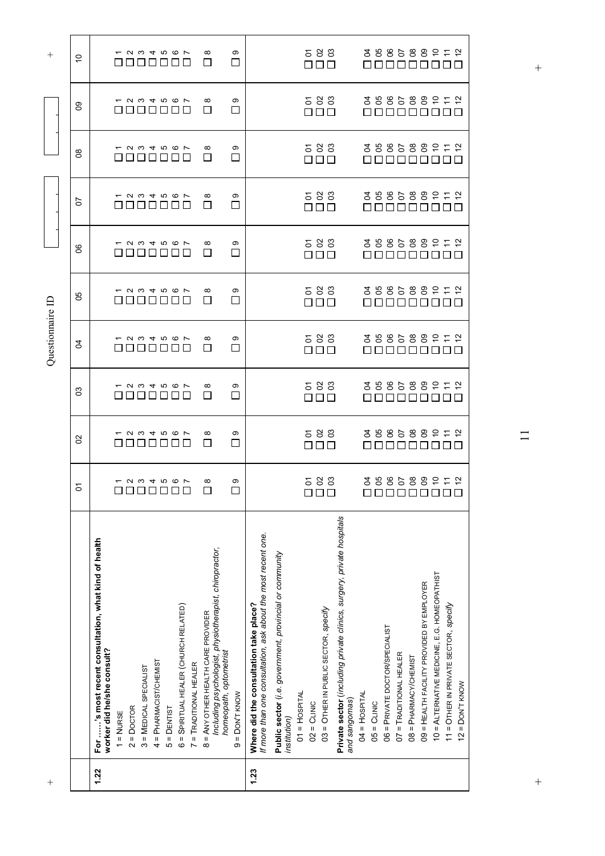| $^{+}$ |                                                                                                                        |                        |                                                   |                                                   | Questionnaire ID                                                                                                                                                           |                                                                |                                                              |                         |                                 |                                                   | $^{+}$                                                                          |
|--------|------------------------------------------------------------------------------------------------------------------------|------------------------|---------------------------------------------------|---------------------------------------------------|----------------------------------------------------------------------------------------------------------------------------------------------------------------------------|----------------------------------------------------------------|--------------------------------------------------------------|-------------------------|---------------------------------|---------------------------------------------------|---------------------------------------------------------------------------------|
|        |                                                                                                                        | o                      | S                                                 | SS                                                | 8                                                                                                                                                                          | 99                                                             | ၆                                                            | 5                       | $\infty$                        | 80                                                | ó                                                                               |
| 1.22   | For 's most recent consultation, what kind of health<br>worker did he/she consult?                                     |                        |                                                   |                                                   |                                                                                                                                                                            |                                                                |                                                              |                         |                                 |                                                   |                                                                                 |
|        | $1 = NURSE$                                                                                                            | ⊔⊔                     | 8888                                              | $ \alpha$ $\omega$ $+$ $\alpha$ $\alpha$ $\alpha$ |                                                                                                                                                                            | $ \alpha$ $\omega$ $+$ $\alpha$ $\alpha$ $\alpha$<br>n din din | $ \alpha$ $\omega$ $+$ $\alpha$ $\alpha$ $\alpha$<br>8888888 | 8888888                 | <b>1234567</b><br>8 8 8 8 8 8 8 | $ \alpha$ $\omega$ $+$ $\alpha$ $\alpha$ $\alpha$ | $ \alpha$ $\omega$ $+$ $\alpha$ $\alpha$ $\alpha$<br><u> - - - - - - - - - </u> |
|        | $2 =$ Doctor                                                                                                           | <i>–</i> и ω 4 r ω ω r | $ \alpha$ $\omega$ $+$ $\alpha$ $\varpi$ $\varpi$ | $\Box$                                            | $ \alpha$ $\omega$ $+$ $\alpha$ $\alpha$ $\alpha$<br><u> DI BIBLIO I DI BIBLIO I DI BIBLIO I DI BIBLIO I DI BIBLIO I DI BIBLIO I DI BIBLIO I DI BIBLIO I DI BIBLIO I D</u> |                                                                |                                                              | <b>1004567</b>          |                                 | ________                                          |                                                                                 |
|        | 3 = MEDICAL SPECIALIST                                                                                                 |                        |                                                   | $\Box$                                            |                                                                                                                                                                            |                                                                |                                                              |                         |                                 |                                                   |                                                                                 |
|        | 4 = PHARMACIST/CHEMIST                                                                                                 |                        | $\Box$                                            | ப<br>ப                                            |                                                                                                                                                                            |                                                                |                                                              |                         |                                 |                                                   |                                                                                 |
|        | $5 =$ $DENTIST$                                                                                                        | 000000                 |                                                   |                                                   | ப                                                                                                                                                                          | $\mathsf{L}$                                                   |                                                              |                         |                                 |                                                   |                                                                                 |
|        | 6 = SPIRITUAL HEALER (CHURCH RELATED)                                                                                  |                        | பப                                                |                                                   |                                                                                                                                                                            |                                                                |                                                              |                         |                                 |                                                   |                                                                                 |
|        | 7 = TRADITIONAL HEALER                                                                                                 |                        |                                                   |                                                   |                                                                                                                                                                            |                                                                |                                                              |                         |                                 |                                                   |                                                                                 |
|        | Including psychologist, physiotherapist, chiropractor,<br>8 = ANY OTHER HEALTH CARE PROVIDER<br>homeopath, optometrist | $\infty$               | $\infty$<br>$\Box$                                | $^\infty$<br>⊔                                    | $\infty$<br>$\Box$                                                                                                                                                         | $\infty$<br>П                                                  | $\infty$<br>П                                                | $\infty$<br>□           | $\infty$<br>ΙI                  | $\infty$<br>$\mathsf{L}$                          | $\infty$<br>П                                                                   |
|        | $9 =$ DON'T KNOW                                                                                                       | ၜ<br>$\Box$            | တ<br>□                                            | ၜ<br>⊔                                            | ၜ<br>□                                                                                                                                                                     | တ<br>П                                                         | ၜ<br>$\Box$                                                  | ၜ<br>$\Box$             | ၜ<br>$\Box$                     | ၜ<br>□                                            | ၜ<br>□                                                                          |
| 1.23   | If more than one consultation, ask about the most recent one.<br>Where did the consultation take place?                |                        |                                                   |                                                   |                                                                                                                                                                            |                                                                |                                                              |                         |                                 |                                                   |                                                                                 |
|        | Public sector (i.e. government, provincial or community<br>institution)                                                |                        |                                                   |                                                   |                                                                                                                                                                            |                                                                |                                                              |                         |                                 |                                                   |                                                                                 |
|        | $01$ = $H$ OSPITAL                                                                                                     |                        |                                                   |                                                   |                                                                                                                                                                            |                                                                |                                                              |                         |                                 |                                                   |                                                                                 |
|        | $02 =$ CLINIC                                                                                                          |                        |                                                   | П                                                 |                                                                                                                                                                            |                                                                |                                                              |                         |                                 |                                                   |                                                                                 |
|        | 03 = OTHER IN PUBLIC SECTOR, specify                                                                                   | 583                    | 583<br>$\square$                                  | 583<br>П<br>П                                     | 583<br>OOO                                                                                                                                                                 | 583<br>$\Box \Box \Box$                                        | 583<br>$\Box$ Box                                            | 583<br>$\Box \Box \Box$ | 583<br>$\Box \Box \Box$         | 583<br>$\Box\ \Box\ \Box$                         | 583<br>$\Box \Box \Box$                                                         |
|        | Private sector (including private clinics, surgery, private hospitals<br>and sangomas)                                 |                        |                                                   |                                                   |                                                                                                                                                                            |                                                                |                                                              |                         |                                 |                                                   |                                                                                 |
|        | $04 = HOSPITAL$                                                                                                        |                        |                                                   |                                                   |                                                                                                                                                                            |                                                                |                                                              |                         |                                 |                                                   |                                                                                 |
|        | $05 = CLNIC$                                                                                                           |                        |                                                   |                                                   |                                                                                                                                                                            |                                                                |                                                              |                         |                                 |                                                   |                                                                                 |
|        | 06 = PRIVATE DOCTOR/SPECIALIST                                                                                         |                        |                                                   |                                                   |                                                                                                                                                                            |                                                                |                                                              |                         |                                 |                                                   |                                                                                 |
|        | $07 = TRADITIONAL HERALER$                                                                                             |                        |                                                   |                                                   |                                                                                                                                                                            |                                                                |                                                              |                         |                                 |                                                   |                                                                                 |
|        | 08 = PHARMACY/CHEMIST                                                                                                  |                        | N N N N N N                                       | 358588                                            |                                                                                                                                                                            |                                                                |                                                              |                         |                                 |                                                   |                                                                                 |
|        | 09 = HEALTH FACILITY PROVIDED BY EMPLOYER                                                                              |                        |                                                   |                                                   |                                                                                                                                                                            |                                                                |                                                              |                         |                                 |                                                   |                                                                                 |
|        | 10 = ALTERNATIVE MEDICINE, E.G. HOMEOPATHIST                                                                           | 3985889572             | 3985889572                                        | 5.55                                              | 3985889572                                                                                                                                                                 | 3885889572<br>an ananana                                       | 358588212<br>000000000                                       | 398588977<br>000000000  | 388588952<br>8888888888         | 3585889572<br>888888888                           | 3985889572<br>800000000                                                         |
|        | 11 = OTHER IN PRIVATE SECTOR, specify                                                                                  |                        |                                                   |                                                   |                                                                                                                                                                            |                                                                |                                                              |                         |                                 |                                                   |                                                                                 |
|        | $12 =$ DON'T KNOW                                                                                                      |                        |                                                   |                                                   |                                                                                                                                                                            |                                                                |                                                              |                         |                                 |                                                   |                                                                                 |

 $+$  +  $+$  $\overline{1}$ 

 $\qquad \qquad +$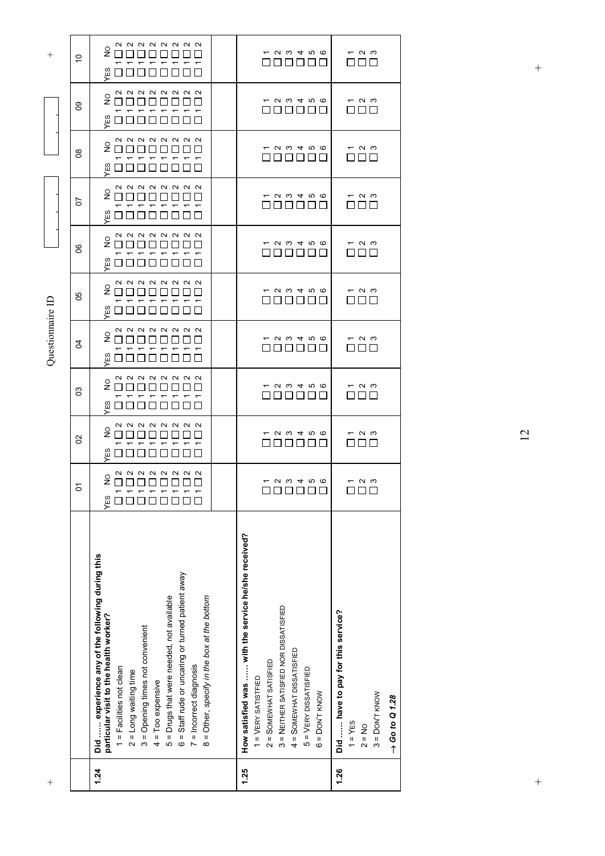| $^{+}$           |                | 1.24                                                                                                                                                                                                                                                                                                                                                                                                               | 1.25                                                                                                                                                                                                                            | 1.26                                                                                                          |
|------------------|----------------|--------------------------------------------------------------------------------------------------------------------------------------------------------------------------------------------------------------------------------------------------------------------------------------------------------------------------------------------------------------------------------------------------------------------|---------------------------------------------------------------------------------------------------------------------------------------------------------------------------------------------------------------------------------|---------------------------------------------------------------------------------------------------------------|
|                  |                | Did  experience any of the following during this<br>6 = Staff rude or uncaring or turned patient away<br>5 = Drugs that were needed, not available<br>8 = Other, specify in the box at the bottom<br>particular visit to the health worker?<br>3 = Opening times not convenient<br>= Incorrect diagnosis<br>$1 = Factor$ Facilities not clean<br>$2 = Long$ waiting time<br>$4 = 7$ oo expensive<br>$\overline{a}$ | How satisfied was  with the service he/she received?<br>3 = NEITHER SATISFIED NOR DISSATISFIED<br>4 = SOMEWHAT DISSATISFIED<br>$2 =$ SOMEWHAT SATISFIED<br>$5 = VERY DISSATISFIED$<br>$1 = VERY SATISTFIED$<br>$6 =$ DON'T KNOW | Did  have to pay for this service?<br>$3 =$ DON'T KNOW<br>$\rightarrow$ Go to Q 1.28<br>$1 = YES$<br>$2 = No$ |
|                  | δ              | <b>222222424</b><br>% 00000000<br>YES                                                                                                                                                                                                                                                                                                                                                                              | <b>- 00466</b><br>00000                                                                                                                                                                                                         | $ \sim$ $\sim$                                                                                                |
|                  | $\mathcal{S}$  | <b>222222424</b><br>20001<br>ξS                                                                                                                                                                                                                                                                                                                                                                                    | <b>- 0 0 4 10 6</b>                                                                                                                                                                                                             | $-$ ი ო<br><b>TELESCOPE</b>                                                                                   |
|                  | 3              | <b>222222424</b><br>$\frac{1}{2}$<br>88888888<br>7 7 7 7 7 7<br>YES                                                                                                                                                                                                                                                                                                                                                | <b>- 0 w 4 m @</b>                                                                                                                                                                                                              | — ი ო<br>8   8   8   8                                                                                        |
| Questionnaire ID | R,             | <b>222222424</b><br>$\stackrel{\circ}{\mathsf{z}}$<br>00000000<br>$\frac{8}{10}$                                                                                                                                                                                                                                                                                                                                   | <b>- 0 w 4 m @</b><br>000000                                                                                                                                                                                                    | $ \sim$ $\sim$<br>000                                                                                         |
|                  | 80             | <b>222222424</b><br>$\stackrel{\circ}{\mathsf{z}}$<br>Ξg                                                                                                                                                                                                                                                                                                                                                           | <b>- 0 0 4 10 6</b><br>000000                                                                                                                                                                                                   | $ \sim$ $\sim$<br>a ni n                                                                                      |
|                  | 8              | <b>QQQQQQQ</b><br>2000<br><b>۳ ۳ ۳ ۳</b><br>$\tau$<br>ם חם חם ש                                                                                                                                                                                                                                                                                                                                                    | <b>- 00406</b><br>000000                                                                                                                                                                                                        | $ \sim$ $\sim$<br>88 88 8                                                                                     |
|                  | 5              | <b>QQQQQQQ</b><br>200000000<br>$\tau$ $\tau$<br>$\overline{ }$<br>Œ                                                                                                                                                                                                                                                                                                                                                | $ \alpha$ $\omega$ $+$ $\alpha$ $\infty$<br>000000                                                                                                                                                                              | $ \sim$ $\sim$<br>00 O                                                                                        |
|                  | $8^{\circ}$    | <b>222222424</b><br><u>و</u><br><u> nnnnnnn</u><br>$\tau$ $\tau$ $\tau$<br>ĞΞ                                                                                                                                                                                                                                                                                                                                      | <b>- 0 0 4 10 6</b><br>000000                                                                                                                                                                                                   | $ \sim$ $\sim$<br>000                                                                                         |
|                  | 80             | <b>222222424</b><br>$\frac{1}{2}$<br>00000000<br>ΞS                                                                                                                                                                                                                                                                                                                                                                | $ \alpha$ $\omega$ $+$ $\alpha$ $\infty$<br>888888                                                                                                                                                                              | $ \sim$ $\sim$<br>000                                                                                         |
| $\, + \,$        | $\overline{C}$ | <b>222222424</b><br>ء<br>ح<br>$- - -$<br>ΈS                                                                                                                                                                                                                                                                                                                                                                        | <i>–</i> и ω 4 r ω<br>000000                                                                                                                                                                                                    | $ \sim$ $\sim$<br>OOO                                                                                         |
|                  |                |                                                                                                                                                                                                                                                                                                                                                                                                                    |                                                                                                                                                                                                                                 |                                                                                                               |

12

 $\ddot{}$ 

 $+$  +  $+$  $\ddot{}$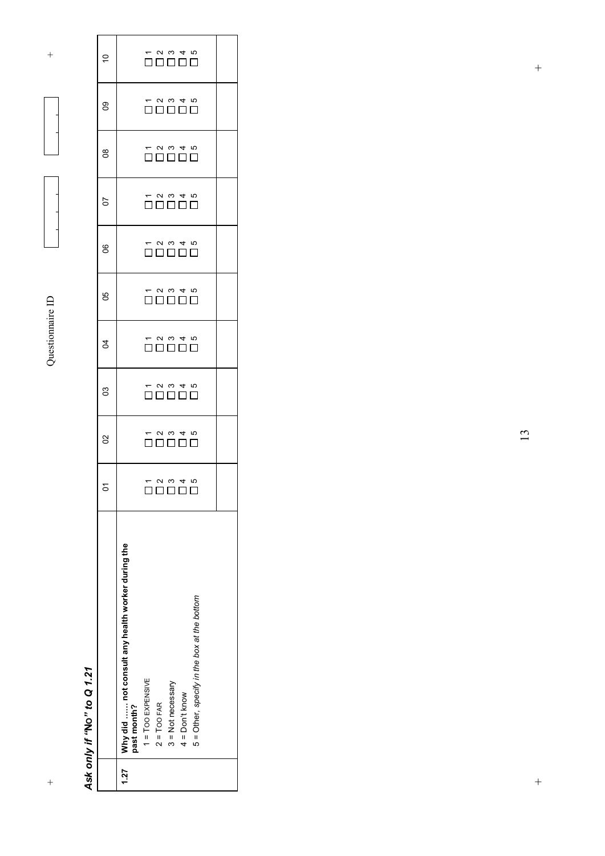#### *Ask only if "* **N O***" to Q 1.21*

 $\ddot{}$ 

|      |                                                                  |           | 8                                                                                                | පි                                                                          | R                                                                                                      | 80                                                                                                                                            | 8 | 50                                                                                         | $\frac{8}{2}$                                                                                                   | 80                                                                                               | Ś                                                                           |
|------|------------------------------------------------------------------|-----------|--------------------------------------------------------------------------------------------------|-----------------------------------------------------------------------------|--------------------------------------------------------------------------------------------------------|-----------------------------------------------------------------------------------------------------------------------------------------------|---|--------------------------------------------------------------------------------------------|-----------------------------------------------------------------------------------------------------------------|--------------------------------------------------------------------------------------------------|-----------------------------------------------------------------------------|
| 1.27 | Why did  not consult any health worker during the<br>past month? |           |                                                                                                  |                                                                             |                                                                                                        |                                                                                                                                               |   |                                                                                            |                                                                                                                 |                                                                                                  |                                                                             |
|      | $1 = 100$ EXPENSIVE                                              | ]         |                                                                                                  |                                                                             |                                                                                                        |                                                                                                                                               |   |                                                                                            |                                                                                                                 |                                                                                                  |                                                                             |
|      | $2 = TOO FAR$                                                    |           |                                                                                                  |                                                                             |                                                                                                        |                                                                                                                                               |   |                                                                                            |                                                                                                                 |                                                                                                  |                                                                             |
|      | $3 = Not necessary$                                              |           |                                                                                                  |                                                                             |                                                                                                        |                                                                                                                                               |   |                                                                                            |                                                                                                                 |                                                                                                  |                                                                             |
|      | $4 = Don't know$                                                 | 7 2 3 4 7 | $\begin{array}{c} - & 0 & 0 & 4 & 0 \\ - & 0 & 0 & 4 & 0 \\ \hline 0 & 0 & 0 & 0 \\ \end{array}$ | $\begin{array}{c} - & 0 & 0 & 4 & 0 \\ \hline 0 & 0 & 0 & 0 \\ \end{array}$ | $\begin{array}{c} - & 0 & 0 & 4 & 10 \\ - & 0 & 0 & 0 & 10 \\ \hline 0 & 0 & 0 & 0 & 0 \\ \end{array}$ | $\begin{array}{cccc}\n & \circ & \circ & \circ & \circ \\  & \circ & \circ & \circ & \circ \\  & \circ & \circ & \circ & \circ\n \end{array}$ |   | $\begin{array}{c} - & 0 & 0 & 4 & 0 \\ - & 0 & 0 & 1 & 0 \\ 0 & 0 & 0 & 0 & 0 \end{array}$ | $\begin{array}{cccc}\n- & 0 & 0 & 4 & 0 \\ \hline\n- & 0 & 0 & 1 & 0 \\ \hline\n- & 0 & 0 & 0 & 0\n\end{array}$ | $\begin{array}{c} - & 0 & 0 & 4 & 0 \\ - & 0 & 0 & 4 & 0 \\ \hline 0 & 0 & 0 & 0 \\ \end{array}$ | $\begin{array}{c} - & 0 & 0 & 4 & 0 \\ \hline 0 & 0 & 0 & 0 \\ \end{array}$ |
|      | 5 = Other, specify in the box at the bottom                      | П         |                                                                                                  |                                                                             |                                                                                                        |                                                                                                                                               |   |                                                                                            |                                                                                                                 |                                                                                                  |                                                                             |
|      |                                                                  |           |                                                                                                  |                                                                             |                                                                                                        |                                                                                                                                               |   |                                                                                            |                                                                                                                 |                                                                                                  |                                                                             |

 $+$  +  $+$ 

 $\frac{1}{2}$ 

 $\frac{1}{2}$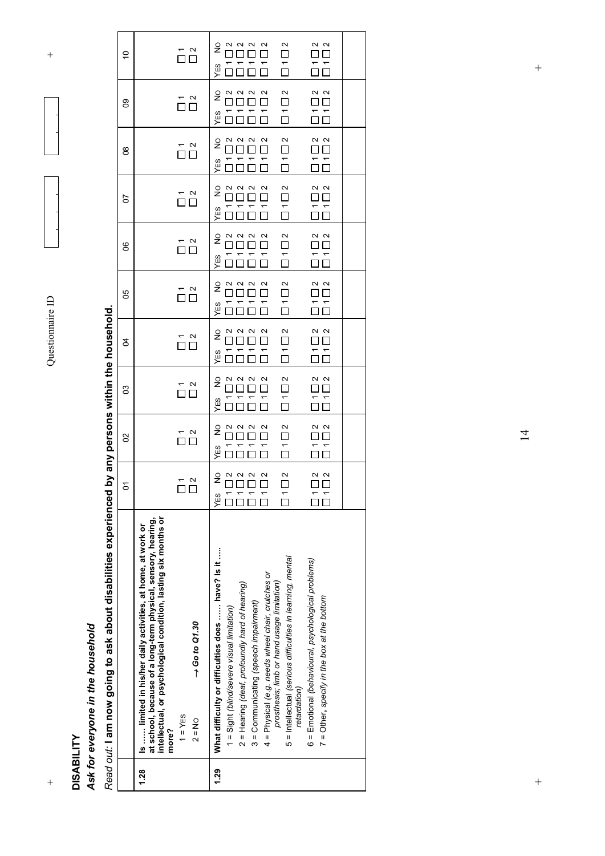

 $\overline{+}$ 

#### **DISABILITY DISABILITY**

 $\ddot{\phantom{1}}$ 

### Ask for everyone in the household *Ask for everyone in the household*

Read out: I am now going to ask about disabilities experienced by any persons within the household. *Read out:* **I am now going to ask about disabilities experienced by any persons within the household.**

| $1 = YES$<br>$2 = No$<br>more?<br>1.28                                                                     | retardation)<br>1.29                                                                                                                                                                                                                                                                                                                                                                                                                                              |
|------------------------------------------------------------------------------------------------------------|-------------------------------------------------------------------------------------------------------------------------------------------------------------------------------------------------------------------------------------------------------------------------------------------------------------------------------------------------------------------------------------------------------------------------------------------------------------------|
| $\rightarrow$ Go to Q1.30                                                                                  | What difficulty or difficulties does  have? Is it<br>5 = Intellectual (serious difficulties in learning, mental<br>6 = Emotional (behavioural, psychological problems)<br>4 = Physical (e.g. needs wheel chair, crutches or<br>prosthesis; limb or hand usage limitation)<br>2 = Hearing (deaf, profoundly hard of hearing)<br>7 = Other, specify in the box at the bottom<br>3 = Communicating (speech impairment)<br>1 = Sight (blind/severe visual limitation) |
| $\sim$ $\sim$                                                                                              | $\sim$<br>$\sim$ $\sim$<br>$\begin{matrix} 2 & 3 \\ 3 & 4 \end{matrix}$<br>$\sim$<br>$\frac{1}{2}$<br>$\Box$<br>88 8 8<br>$\Box$<br>$\Box$ $\Box$<br>$\frac{1}{\Box}$<br>YES                                                                                                                                                                                                                                                                                      |
| $\overline{\overline{\Pi}}$                                                                                | $\tilde{\Box}$<br>$\sim$ $\sim$<br>$\begin{array}{c} \n 0 & 0 & 0 \\ \n 0 & 0 & 0 \\ \n 0 & 0 & 0 \end{array}$<br>$\overline{\square}$<br>$\frac{1}{2}$<br>$\Box$<br>$\overline{\square}$<br>$\overline{\mathbf{D}}$<br>YES                                                                                                                                                                                                                                       |
| $\begin{array}{c}\n\stackrel{\mathsf{r}}{\square} & \stackrel{\mathsf{u}}{\square} \\ \hline\n\end{array}$ | $\tilde{\Box}$<br>$\begin{array}{c}\n 2 \\  \hline\n 1 \\  \hline\n 0\n \end{array}$<br>a a a<br>□□□<br>$\overline{\square}$<br>$\frac{1}{2}$<br>$\overline{\overline{}}$<br>$\overline{\overline{\square}}$<br>$ -$<br>YES                                                                                                                                                                                                                                       |
| $\overline{\overline{a}}$                                                                                  | $\overline{\square}$ 1 $\overline{\square}$ 2<br>$\frac{2}{\Box}$<br>$\begin{array}{c}\n2 \\ 1 \\ 1\n\end{array}$<br>$\begin{array}{c}\n 2 & 0 & 0 \\  0 & 0 & 0 \\  \hline\n 0 & 0 & 0\n \end{array}$<br>$\frac{1}{2}$<br>$\frac{1}{10}$<br>$\overline{\Pi}$<br>$\frac{1}{\Box} \frac{1}{\Box}$<br>YES                                                                                                                                                           |
| $\overline{\Omega}$ $\overline{\Omega}$                                                                    | $\begin{array}{c} \n 0 & 0 & 0 \\ \n 0 & 0 & 0 \\ \n \end{array}$<br>$\tilde{\Box}$<br>$\sim$ $\sim$<br>$\frac{2}{\Box}$<br>$\frac{1}{2}$<br>$\overline{\Gamma}$<br>$\frac{1}{\Box}$<br>$\overline{\overline{\square}}\,\overline{\overline{\square}}$<br>$\overline{\Pi}$<br>YES                                                                                                                                                                                 |
| — а<br>ПП                                                                                                  | $\overline{\square}$ 1 $\overline{\square}$ 2<br>$\begin{array}{c}\n 2 & 0 \\  0 & 0 \\  \hline\n 0 & 0\n \end{array}$<br>$\overline{\mathbf{C}}$<br>$\sim$ $\sim$<br>$\frac{1}{2}$<br>$\Box$ $\Box$<br>$\overline{ }$<br>$\bar{L}$<br>$\overline{\overline{D}}$<br>$\overline{\phantom{0}}$<br>YES                                                                                                                                                               |
| — ∾<br>□ □                                                                                                 | $\overline{\square}$ 1 $\overline{\square}$ 2<br>$\frac{2}{\Box}$<br>$\frac{N}{2}$<br>$\begin{array}{c}\n 2 & 0 & 0 \\  0 & 0 & 0 \\  \hline\n 0 & 0 & 0\n \end{array}$<br>$\frac{1}{2}$<br>$\Box$ $\Box$<br>$\overline{\overline{\square}}$<br>$\overline{a}$<br>$\overline{a}$<br>YES<br>$\Box$                                                                                                                                                                 |
| $\overline{\overline{\square}}\stackrel{\sim}{\square}$                                                    | $\overline{\square}$ 1 $\overline{\square}$ 2<br>$\sim$ $\sim$<br>$\frac{2}{\Box}$<br>$\begin{array}{c} \n 0 & 0 & 0 \\ \n 0 & 0 & 0 \\ \n 0 & 0 & 0 \end{array}$<br>$\frac{1}{2}$<br>ПП<br>$\overline{\overline{D}}$<br>YES                                                                                                                                                                                                                                      |
| $\overline{\overline{D}}$ $\overline{D}$                                                                   | $\overline{\square}$ 1 $\overline{\square}$ 2<br>$\overline{\square}$ 1 $\overline{\square}$ 2<br>$\sim$ $\sim$<br>$\frac{1}{2}$<br>$\Box$<br>= =<br>0 0<br>YES                                                                                                                                                                                                                                                                                                   |
| $\overline{\Omega}$ $\overline{\Omega}$                                                                    | $\sim$<br>2<br>2<br>$\begin{array}{c}\n 2 & 0 & 0 \\  0 & 0 & 0 \\  \hline\n 0 & 0 & 0\n \end{array}$<br>$\frac{2}{\Box}$<br>$\frac{1}{2}$<br>$\frac{\square}{\square}$<br>$\Box$ $\Box$<br>$\overline{\overline{}}$<br>$\overline{\Pi}$<br>YES                                                                                                                                                                                                                   |
|                                                                                                            | intellectual, or psychological condition, lasting six months or<br>at school, because of a long-term physical, sensory, hearing,<br>Is  limited in his/her daily activities, at home, at work or                                                                                                                                                                                                                                                                  |

 $+$  +  $+$ 

 $\ddot{+}$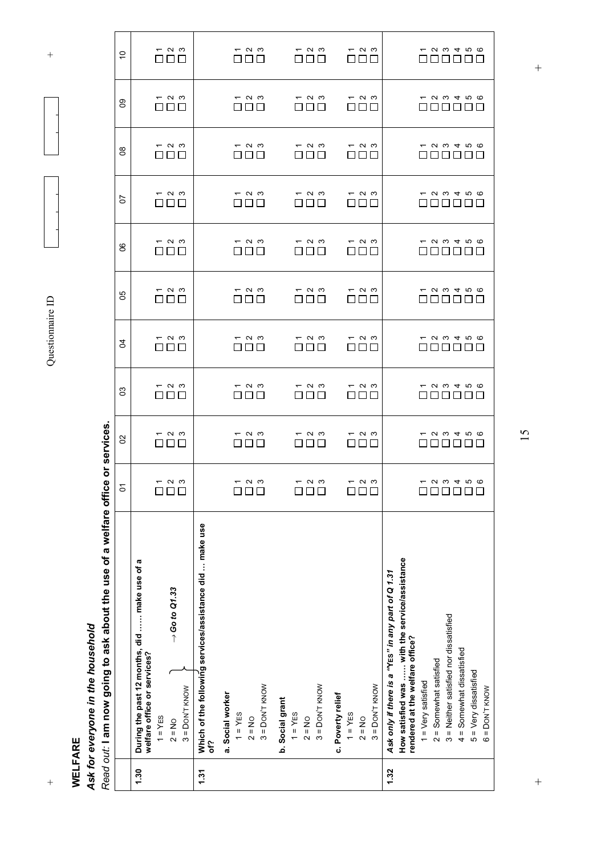+ Questionnaire ID + Questionnaire ID

 $\overline{+}$ 

#### **WELFARE WELFARE**

 $\frac{1}{2}$ 

### Ask for everyone in the household *Ask for everyone in the household*

Read out: I am now going to ask about the use of a welfare office or services. *Read out:* **I am now going to ask about the use of a welfare office or services.**

|             | 1.30                                                                                                                                                   | 1.31                                                                                            |                                    |                                          |                  |                                |                                             | 1.32                                                                                                                                    |                                                    |                                        |                             |                                             |
|-------------|--------------------------------------------------------------------------------------------------------------------------------------------------------|-------------------------------------------------------------------------------------------------|------------------------------------|------------------------------------------|------------------|--------------------------------|---------------------------------------------|-----------------------------------------------------------------------------------------------------------------------------------------|----------------------------------------------------|----------------------------------------|-----------------------------|---------------------------------------------|
| ה<br>ה      | During the past 12 months, did  make use of a<br>welfare office or services?<br>$\rightarrow$ Go to Q1.33<br>$3 =$ DON'T KNOW<br>$1 = YES$<br>$2 = No$ | Which of the following services/assistance did  make use<br>a. Social worker<br>$1 = YES$<br>δf | $3 =$ DON'T KNOW<br>$2 = No$       | b. Social grant<br>$1 = YES$<br>$2 = No$ | $3 =$ DON'T KNOW | c. Poverty relief<br>$1 = YES$ | $3 =$ DON'T KNOW<br>$2 = No$                | How satisfied was  with the service/assistance<br>Ask only if there is a "YES" in any part of Q 1.31<br>rendered at the welfare office? | $2 =$ Somewhat satisfied<br>$1 = V$ ery satisfied  | 3 = Neither satisfied nor dissatisfied | $4 =$ Somewhat dissatisfied | $5 = Very$ dissatisfied<br>$6 =$ DON'T KNOW |
| 5           | — ი ო<br>88 88                                                                                                                                         |                                                                                                 | — ი ო<br>000                       | $ \sim$ $\sim$<br>000                    |                  |                                | $ \sim$ $\sim$<br>000                       |                                                                                                                                         | 00000                                              | <b>- 00466</b>                         |                             |                                             |
| S           | $ \sim$ $\sim$<br>000                                                                                                                                  |                                                                                                 | $ \sim$ $\sim$<br>ППП              | $ \sim$ $\sim$<br>88 88                  |                  |                                | $ \sim$ $\sim$<br>888                       |                                                                                                                                         | <b>- 99466</b><br>000000                           |                                        |                             |                                             |
| ဠ           | $ \sim$ $\sim$<br>$\square \square \square$                                                                                                            |                                                                                                 | $ \sim$ $\sim$<br>nnn              | $ \sim$ $\sim$<br>88 88                  |                  |                                | $ \sim$ $\sim$<br>e d d                     |                                                                                                                                         | $ \alpha$ $\omega$ $+$ $\alpha$ $\infty$<br>000000 |                                        |                             |                                             |
| 3           | $ \sim$ $\sim$<br>000                                                                                                                                  |                                                                                                 | $ \sim$ $\sim$<br>$\Box \Box \Box$ | $ \sim$ $\sim$<br>a di B                 |                  | $\perp$                        | $ \sim$ $\sim$<br>பப                        |                                                                                                                                         | <b>- 99466</b><br>000000                           |                                        |                             |                                             |
| 99          | $ \sim$ $\sim$<br>88 88 8                                                                                                                              |                                                                                                 | $ \sim$ $\sim$<br>ППП              | $ \sim$ $\sim$<br>רונו                   | П                | $\mathsf{L}$                   | $ \sim$ $\sim$<br>חרו                       |                                                                                                                                         |                                                    | <b>- 00466</b><br>$\Box$ $\Box$        | 1111                        |                                             |
| ၆           | $ \sim$ $\sim$<br>8888                                                                                                                                 |                                                                                                 | $ \sim$ $\sim$<br>88 B B           | $ \sim$ $\sim$<br>nnn                    |                  |                                | $ \sim$ $\sim$<br>$\Box$ $\Box$ $\Box$      |                                                                                                                                         | $ \alpha$ $\omega$ $+$ $\alpha$ $\varpi$<br>000000 |                                        |                             |                                             |
| 5           | $ \sim$ $\sim$<br>88 88                                                                                                                                |                                                                                                 | $ \sim$ $\sim$<br>ППП              | $ \sim$ $\sim$<br>nnn                    |                  |                                | $ \sim$ $\sim$<br>e de                      |                                                                                                                                         | <b>- 99466</b><br>000000                           |                                        |                             |                                             |
| $8^{\circ}$ | $ \sim$ $\sim$<br>$\Box\ \Box\ \Box$                                                                                                                   |                                                                                                 | $ \sim$ $\sim$<br>nnn              | $ \sim$ $\sim$<br>88 88 8                |                  |                                | $ \sim$ $\sim$<br>$\square \square \square$ |                                                                                                                                         | <b>- 0 0 4 7 6</b><br>000000                       |                                        |                             |                                             |
| 8           | $ \sim$ $\sim$<br>$\square \square \square$                                                                                                            |                                                                                                 | $ \sim$ $\sim$<br>8888             | $ \sim$ $\sim$<br>888                    |                  |                                | $ \sim$ $\sim$<br>8888                      |                                                                                                                                         | $ \alpha$ $\omega$ $+$ $\alpha$ $\varpi$<br>000000 |                                        |                             |                                             |
| $\tilde{c}$ | $ \sim$ $\sim$<br>000                                                                                                                                  |                                                                                                 | $ \sim$ $\sim$<br>88 88            | $ \sim$ $\sim$<br>88 88                  |                  |                                | $ \sim$ $\sim$<br>$\Box$ $\Box$ $\Box$      |                                                                                                                                         | <b>- 0 0 4 10 6</b><br>000000                      |                                        |                             |                                             |

 $\frac{1}{2}$  $+$  +  $+$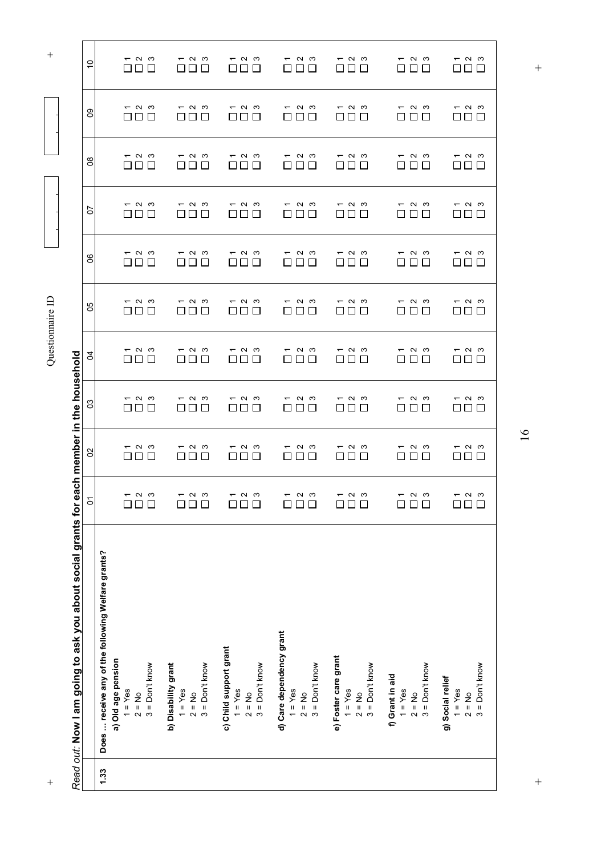| $\Box$<br>П<br>П<br>□<br>$\Box$<br>П<br>Е<br>$\mathbf{L}$<br>□<br>$ \sim$ $\sim$<br>$ \sim$ $\sim$<br>$ \sim$ $\sim$<br>$ \sim$ $\sim$<br>$ \sim$ $\sim$<br>– റ ന<br>പ യ<br>$\overline{\phantom{0}}$<br>П<br>П<br>$\Box$<br>П<br>П<br>ГΙ<br>Г<br>П<br>П<br>П<br>$\mathsf{L}$<br>$ \sim$ $\sim$<br>$ \sim$ $\sim$<br>പ ധ<br>$ \sim$ $\sim$<br>$ \sim$ $\sim$<br>പ ധ<br>$\overline{\phantom{0}}$<br>പ ധ<br>$\overline{\phantom{0}}$<br>$\overline{\phantom{0}}$<br>$\Box$<br>П<br>П<br>П<br>П<br>□<br>$\perp$<br>$\Box$<br>$\perp$<br>$\perp$<br>$\mathsf{L}$<br>$\mathsf{L}$<br>$\mathbf{I}$<br>$\mathbf{I}$<br>$\Box$<br>$\Box$<br>ப<br>$ \sim$ $\sim$<br>പ ധ<br>$ \sim$ $\sim$<br>പ യ<br>പ ധ<br>പ ധ<br>പ ധ<br>$\overline{\phantom{0}}$<br>$\overline{\phantom{0}}$<br>$\overline{\phantom{0}}$<br>$\overline{\phantom{0}}$<br>᠇<br>$\Box$<br>П<br>□<br>П<br>$\Box$<br>П<br>□<br>П<br>П<br>ГΙ<br>Π<br>П<br>$\Box$<br>□<br>□<br>$\mathbf{1}$<br>$\perp$<br>ΙI<br>$\mathbf{L}$<br>$\Box$<br>$ \sim$ $\sim$<br>$ \sim$ $\sim$<br>$ \sim$ $\sim$<br>— ი ო<br>$ \sim$ $\sim$<br>പ ധ<br>$ \sim$ $\sim$<br>□<br>$\Box$<br>$\Box$<br>$\Gamma$ )<br>$\Box$<br>$\Box$<br>□<br>$\Box$<br>П<br>ΓJ<br>$\Box$<br>□<br>□<br>$\Box$<br>$\Box$<br>$\Box$ $\Box$<br>L<br>П<br>$\mathbb{R}$<br>$\Box$<br>$ \sim$ $\sim$<br>$ \sim$ $\sim$<br>$ \sim$ $\sim$<br>$ \sim$ $\sim$<br>$ \sim$ $\sim$<br>പ ധ<br>$ \sim$ $\sim$<br>$\overline{\phantom{0}}$<br>□<br>$\Box$<br>П<br>$\Box$<br>$\Box$<br>$\Box$<br>$\Box$<br>$\Box$<br>$\Box$<br>$\Box$<br>П<br>$\Box$<br>П<br>$\mathbb{R}^n$<br>$\Box$<br>$\Box$<br>□<br>$\Box$<br>$ \sim$ $\sim$<br>$ \sim$ $\sim$<br>$ \sim$ $\sim$<br>് പ<br>$ \sim$ $\sim$<br>ຕ ພ<br>പ ധ<br>$\overline{\phantom{0}}$<br>$\Box$<br>$\Box$<br>$\Box$<br>┓<br>$\Box$<br>$\Box$<br>П<br>$\Box$<br>П<br>П<br>$\Box$<br>□<br>ΙI<br>$\blacksquare$<br>$\Box$<br>$\mathsf{L}$<br>ப<br>$\mathbf{L}$<br>$ \sim$ $\sim$<br>$ \sim$ $\sim$<br>$ \sim$ $\sim$<br>$ \sim$ $\sim$<br>പ ധ<br>പ ധ<br>$ \sim$ $\sim$<br>$\overline{\phantom{0}}$<br>$\overline{\phantom{0}}$<br>$\Box$<br><u>i</u><br>$\Box$<br>$\mathsf{L}$<br>$\Box$<br>$\mathbf{1}$<br>ப<br>⊔<br>$\mathbf{L}$<br>$\Box$<br>$\Box$<br>$\sqcup$<br>$\Box$<br>$\overline{\Box}$<br>$\infty$<br>$\frac{N}{2}$<br>$\approx$<br>$\sim$<br>$\sim$ $\sim$<br>$\infty$<br>$\frac{N}{2}$<br>$\overline{\Box}$<br>$\boldsymbol{\sim}$<br>$\frac{N}{n}$<br>$\overline{\phantom{0}}$<br>$\overline{\phantom{0}}$<br>$\overline{ }$<br>$\overline{ }$<br>$\overline{ }$<br>$\overline{ }$<br>$\overline{ }$<br>П<br>Does  receive any of the following Welfare grants?<br>d) Care dependency grant<br>c) Child support grant<br>e) Foster care grant<br>a) Old age pension<br>$3 =$ Don't know<br>b) Disability grant<br>$2 = No$<br>$3 = Don't know$<br>$3 = Don't know$<br>$3 = Don't know$<br>$3 = Don't know$<br>$2 = No$<br>$3 = Don't know$<br>$3 = Don't know$<br>f) Grant in aid<br>g) Social relief<br>$1 = Yes$<br>$1 = Yes$<br>$1 = Yes$<br>$1 = Yes$<br>$1 = Yes$<br>$1 = Yes$<br>$1 = Yes$<br>$2 = No$<br>$2 = No$<br>$2 = No$<br>$2 = No$<br>$2 = No$<br>1.33 | Read out: Now I am going to ask you about social grants for ea | $\overline{5}$ | ch member in the household<br>$\mathcal{S}$ | 3 | R | 80 | 80 | 5 | $8^{\circ}$ | $\mathbf{S}$             | $\tilde{c}$                                |
|-------------------------------------------------------------------------------------------------------------------------------------------------------------------------------------------------------------------------------------------------------------------------------------------------------------------------------------------------------------------------------------------------------------------------------------------------------------------------------------------------------------------------------------------------------------------------------------------------------------------------------------------------------------------------------------------------------------------------------------------------------------------------------------------------------------------------------------------------------------------------------------------------------------------------------------------------------------------------------------------------------------------------------------------------------------------------------------------------------------------------------------------------------------------------------------------------------------------------------------------------------------------------------------------------------------------------------------------------------------------------------------------------------------------------------------------------------------------------------------------------------------------------------------------------------------------------------------------------------------------------------------------------------------------------------------------------------------------------------------------------------------------------------------------------------------------------------------------------------------------------------------------------------------------------------------------------------------------------------------------------------------------------------------------------------------------------------------------------------------------------------------------------------------------------------------------------------------------------------------------------------------------------------------------------------------------------------------------------------------------------------------------------------------------------------------------------------------------------------------------------------------------------------------------------------------------------------------------------------------------------------------------------------------------------------------------------------------------------------------------------------------------------------------------------------------------------------------------------------------------------------------------------------------------------------------------------------------------------------------------------------------------------------------------------------------------------------------------------------------------------|----------------------------------------------------------------|----------------|---------------------------------------------|---|---|----|----|---|-------------|--------------------------|--------------------------------------------|
|                                                                                                                                                                                                                                                                                                                                                                                                                                                                                                                                                                                                                                                                                                                                                                                                                                                                                                                                                                                                                                                                                                                                                                                                                                                                                                                                                                                                                                                                                                                                                                                                                                                                                                                                                                                                                                                                                                                                                                                                                                                                                                                                                                                                                                                                                                                                                                                                                                                                                                                                                                                                                                                                                                                                                                                                                                                                                                                                                                                                                                                                                                                         |                                                                |                |                                             |   |   |    |    |   |             |                          |                                            |
|                                                                                                                                                                                                                                                                                                                                                                                                                                                                                                                                                                                                                                                                                                                                                                                                                                                                                                                                                                                                                                                                                                                                                                                                                                                                                                                                                                                                                                                                                                                                                                                                                                                                                                                                                                                                                                                                                                                                                                                                                                                                                                                                                                                                                                                                                                                                                                                                                                                                                                                                                                                                                                                                                                                                                                                                                                                                                                                                                                                                                                                                                                                         |                                                                |                |                                             |   |   |    |    |   |             |                          | $ \sim$ $\sim$<br>$\mathsf{L}$             |
|                                                                                                                                                                                                                                                                                                                                                                                                                                                                                                                                                                                                                                                                                                                                                                                                                                                                                                                                                                                                                                                                                                                                                                                                                                                                                                                                                                                                                                                                                                                                                                                                                                                                                                                                                                                                                                                                                                                                                                                                                                                                                                                                                                                                                                                                                                                                                                                                                                                                                                                                                                                                                                                                                                                                                                                                                                                                                                                                                                                                                                                                                                                         |                                                                |                |                                             |   |   |    |    |   |             | $ \sim$ $\sim$           | $\Box$                                     |
|                                                                                                                                                                                                                                                                                                                                                                                                                                                                                                                                                                                                                                                                                                                                                                                                                                                                                                                                                                                                                                                                                                                                                                                                                                                                                                                                                                                                                                                                                                                                                                                                                                                                                                                                                                                                                                                                                                                                                                                                                                                                                                                                                                                                                                                                                                                                                                                                                                                                                                                                                                                                                                                                                                                                                                                                                                                                                                                                                                                                                                                                                                                         |                                                                |                |                                             |   |   |    |    |   |             |                          | $\mathbf{I}$                               |
|                                                                                                                                                                                                                                                                                                                                                                                                                                                                                                                                                                                                                                                                                                                                                                                                                                                                                                                                                                                                                                                                                                                                                                                                                                                                                                                                                                                                                                                                                                                                                                                                                                                                                                                                                                                                                                                                                                                                                                                                                                                                                                                                                                                                                                                                                                                                                                                                                                                                                                                                                                                                                                                                                                                                                                                                                                                                                                                                                                                                                                                                                                                         |                                                                |                |                                             |   |   |    |    |   |             | $ \sim$ $\sim$           | $ \sim$ $\sim$<br>$\Box$<br>$\sim$         |
|                                                                                                                                                                                                                                                                                                                                                                                                                                                                                                                                                                                                                                                                                                                                                                                                                                                                                                                                                                                                                                                                                                                                                                                                                                                                                                                                                                                                                                                                                                                                                                                                                                                                                                                                                                                                                                                                                                                                                                                                                                                                                                                                                                                                                                                                                                                                                                                                                                                                                                                                                                                                                                                                                                                                                                                                                                                                                                                                                                                                                                                                                                                         |                                                                |                |                                             |   |   |    |    |   |             |                          | ⊔                                          |
|                                                                                                                                                                                                                                                                                                                                                                                                                                                                                                                                                                                                                                                                                                                                                                                                                                                                                                                                                                                                                                                                                                                                                                                                                                                                                                                                                                                                                                                                                                                                                                                                                                                                                                                                                                                                                                                                                                                                                                                                                                                                                                                                                                                                                                                                                                                                                                                                                                                                                                                                                                                                                                                                                                                                                                                                                                                                                                                                                                                                                                                                                                                         |                                                                |                |                                             |   |   |    |    |   |             | $ \sim$ $\sim$           | $ \sim$ $\sim$<br>- 1<br>$\Box$            |
|                                                                                                                                                                                                                                                                                                                                                                                                                                                                                                                                                                                                                                                                                                                                                                                                                                                                                                                                                                                                                                                                                                                                                                                                                                                                                                                                                                                                                                                                                                                                                                                                                                                                                                                                                                                                                                                                                                                                                                                                                                                                                                                                                                                                                                                                                                                                                                                                                                                                                                                                                                                                                                                                                                                                                                                                                                                                                                                                                                                                                                                                                                                         |                                                                |                |                                             |   |   |    |    |   |             |                          |                                            |
|                                                                                                                                                                                                                                                                                                                                                                                                                                                                                                                                                                                                                                                                                                                                                                                                                                                                                                                                                                                                                                                                                                                                                                                                                                                                                                                                                                                                                                                                                                                                                                                                                                                                                                                                                                                                                                                                                                                                                                                                                                                                                                                                                                                                                                                                                                                                                                                                                                                                                                                                                                                                                                                                                                                                                                                                                                                                                                                                                                                                                                                                                                                         |                                                                |                |                                             |   |   |    |    |   |             | – റ ന                    | – റ ന<br>$\Box$<br>$\Box$                  |
|                                                                                                                                                                                                                                                                                                                                                                                                                                                                                                                                                                                                                                                                                                                                                                                                                                                                                                                                                                                                                                                                                                                                                                                                                                                                                                                                                                                                                                                                                                                                                                                                                                                                                                                                                                                                                                                                                                                                                                                                                                                                                                                                                                                                                                                                                                                                                                                                                                                                                                                                                                                                                                                                                                                                                                                                                                                                                                                                                                                                                                                                                                                         |                                                                |                |                                             |   |   |    |    |   |             |                          |                                            |
|                                                                                                                                                                                                                                                                                                                                                                                                                                                                                                                                                                                                                                                                                                                                                                                                                                                                                                                                                                                                                                                                                                                                                                                                                                                                                                                                                                                                                                                                                                                                                                                                                                                                                                                                                                                                                                                                                                                                                                                                                                                                                                                                                                                                                                                                                                                                                                                                                                                                                                                                                                                                                                                                                                                                                                                                                                                                                                                                                                                                                                                                                                                         |                                                                |                |                                             |   |   |    |    |   |             | $ \sim$ $\sim$           | $ \sim$ $\sim$<br>L                        |
|                                                                                                                                                                                                                                                                                                                                                                                                                                                                                                                                                                                                                                                                                                                                                                                                                                                                                                                                                                                                                                                                                                                                                                                                                                                                                                                                                                                                                                                                                                                                                                                                                                                                                                                                                                                                                                                                                                                                                                                                                                                                                                                                                                                                                                                                                                                                                                                                                                                                                                                                                                                                                                                                                                                                                                                                                                                                                                                                                                                                                                                                                                                         |                                                                |                |                                             |   |   |    |    |   |             | $\overline{\phantom{0}}$ | $\overline{\phantom{0}}$                   |
|                                                                                                                                                                                                                                                                                                                                                                                                                                                                                                                                                                                                                                                                                                                                                                                                                                                                                                                                                                                                                                                                                                                                                                                                                                                                                                                                                                                                                                                                                                                                                                                                                                                                                                                                                                                                                                                                                                                                                                                                                                                                                                                                                                                                                                                                                                                                                                                                                                                                                                                                                                                                                                                                                                                                                                                                                                                                                                                                                                                                                                                                                                                         |                                                                |                |                                             |   |   |    |    |   |             | പ ധ                      | പ ധ                                        |
|                                                                                                                                                                                                                                                                                                                                                                                                                                                                                                                                                                                                                                                                                                                                                                                                                                                                                                                                                                                                                                                                                                                                                                                                                                                                                                                                                                                                                                                                                                                                                                                                                                                                                                                                                                                                                                                                                                                                                                                                                                                                                                                                                                                                                                                                                                                                                                                                                                                                                                                                                                                                                                                                                                                                                                                                                                                                                                                                                                                                                                                                                                                         |                                                                |                |                                             |   |   |    |    |   |             |                          | $\Box$                                     |
|                                                                                                                                                                                                                                                                                                                                                                                                                                                                                                                                                                                                                                                                                                                                                                                                                                                                                                                                                                                                                                                                                                                                                                                                                                                                                                                                                                                                                                                                                                                                                                                                                                                                                                                                                                                                                                                                                                                                                                                                                                                                                                                                                                                                                                                                                                                                                                                                                                                                                                                                                                                                                                                                                                                                                                                                                                                                                                                                                                                                                                                                                                                         |                                                                |                |                                             |   |   |    |    |   |             |                          | $\mathbf{L}$                               |
|                                                                                                                                                                                                                                                                                                                                                                                                                                                                                                                                                                                                                                                                                                                                                                                                                                                                                                                                                                                                                                                                                                                                                                                                                                                                                                                                                                                                                                                                                                                                                                                                                                                                                                                                                                                                                                                                                                                                                                                                                                                                                                                                                                                                                                                                                                                                                                                                                                                                                                                                                                                                                                                                                                                                                                                                                                                                                                                                                                                                                                                                                                                         |                                                                |                |                                             |   |   |    |    |   |             | $ \sim$ $\sim$           | $ \sim$ $\sim$<br>$\overline{\phantom{a}}$ |
|                                                                                                                                                                                                                                                                                                                                                                                                                                                                                                                                                                                                                                                                                                                                                                                                                                                                                                                                                                                                                                                                                                                                                                                                                                                                                                                                                                                                                                                                                                                                                                                                                                                                                                                                                                                                                                                                                                                                                                                                                                                                                                                                                                                                                                                                                                                                                                                                                                                                                                                                                                                                                                                                                                                                                                                                                                                                                                                                                                                                                                                                                                                         |                                                                |                |                                             |   |   |    |    |   |             |                          | 口                                          |

+ Questionnaire ID + Questionnaire ID

 $\ddot{}$ 

 $\ddot{\phantom{1}}$ 

 $\frac{1}{2}$  $+$  +  $+$ 

 $\overline{+}$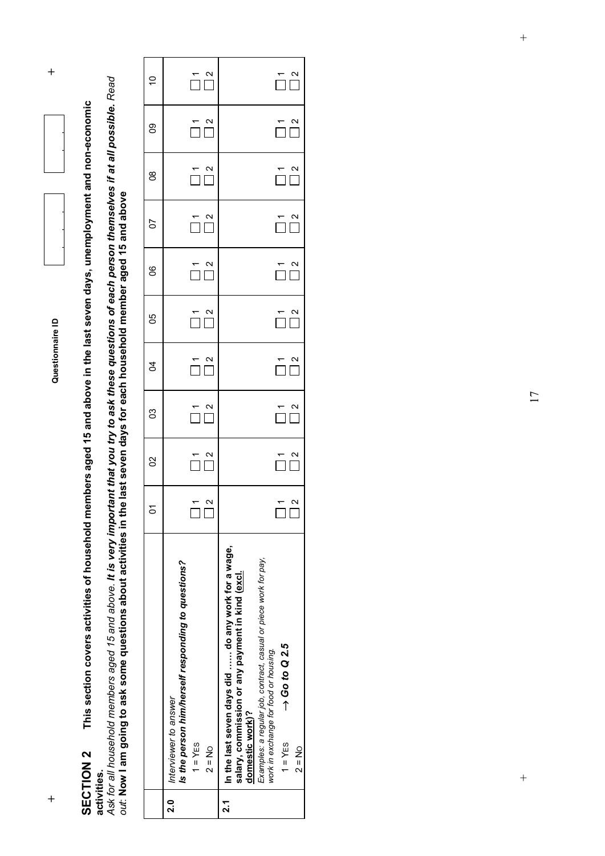

This section covers activities of household members aged 15 and above in the last seven days, unemployment and non-economic **SECTION 2 This section covers activities of household members aged 15 and above in the last seven days, unemployment and non-economic**  SECTION 2 **activities.**

activities.<br>Ask for all household members aged 15 and above. It is very important that you try to ask these questions of each person themselves if at all possible. Read<br>out: Now I am going to ask some questions about activ *Ask for all household members aged 15 and above. It is very important that you try to ask these questions of each person themselves if at all possible. Read out*: **Now I am going to ask some questions about activities in the last seven days for each household member aged 15 and above**

|         |                                                                                                                                                                                                                                                                                                |                                     | $\mathcal{S}$                             | ຮ                                         | g<br>2                                                                                                     | 80                                                                                   | SO                                        | $\overline{c}$                   | g                                       | g                                                                                    | $\Rightarrow$                                                                                          |  |
|---------|------------------------------------------------------------------------------------------------------------------------------------------------------------------------------------------------------------------------------------------------------------------------------------------------|-------------------------------------|-------------------------------------------|-------------------------------------------|------------------------------------------------------------------------------------------------------------|--------------------------------------------------------------------------------------|-------------------------------------------|----------------------------------|-----------------------------------------|--------------------------------------------------------------------------------------|--------------------------------------------------------------------------------------------------------|--|
| 0<br>ผ่ | Is the person him/herself responding to questions?<br>Interviewer to answer<br>$1 = YES$<br>$2 = N_0$                                                                                                                                                                                          | $\mathbf{\Omega}$<br>$\bar{\Gamma}$ | $\overline{\bigcap}$ $\overline{\bigcap}$ | $\overline{\square}^{\,n}_{\, \square}$   | $\begin{array}{c}\n\stackrel{\mathbf{r}}{\square} & \stackrel{\mathbf{a}}{\square} \\ \hline\n\end{array}$ | $\overline{\square}$ $\overline{\square}$                                            | $\overline{\square}$ $\overline{\square}$ | $\overline{\square}^{\,2}_{\,1}$ | $\overline{\square}^{\,n}_{\, \square}$ | $\overline{\square}^{\,2}_{\,1}$                                                     | $\begin{array}{c}\n\stackrel{\text{r}}{\square} & \stackrel{\text{o}}{\square} \\ \hline\n\end{array}$ |  |
| ี<br>~ี | In the last seven days did  do any work for a wage,<br>Examples: a regular job, contract, casual or piece work for pay,<br>salary, commission or any payment in kind (excl.<br>$\rightarrow$ Go to Q 2.5<br>work in exchange for food or housing.<br>domestic work)?<br>$1 = YES$<br>$2 = N_0$ | $\mathbf{\Omega}$                   | $\overline{\square}$ $\overline{\square}$ | $\overline{\bigcap}$ $\overline{\bigcap}$ | $\bar{\Pi}$                                                                                                | $\begin{array}{c}\n\stackrel{\tau}{\square} \stackrel{\alpha}{\square}\n\end{array}$ | $\frac{2}{\sqrt{2}}$<br>$\frac{1}{\Box}$  | $\bigcap_{n=1}^{\infty}$         | $\overline{\square}^{\,n}_{\,n}$        | $\begin{array}{c}\n\stackrel{\tau}{\square} \stackrel{\alpha}{\square}\n\end{array}$ | $\overline{\square}^{\,2}_{\,2}$                                                                       |  |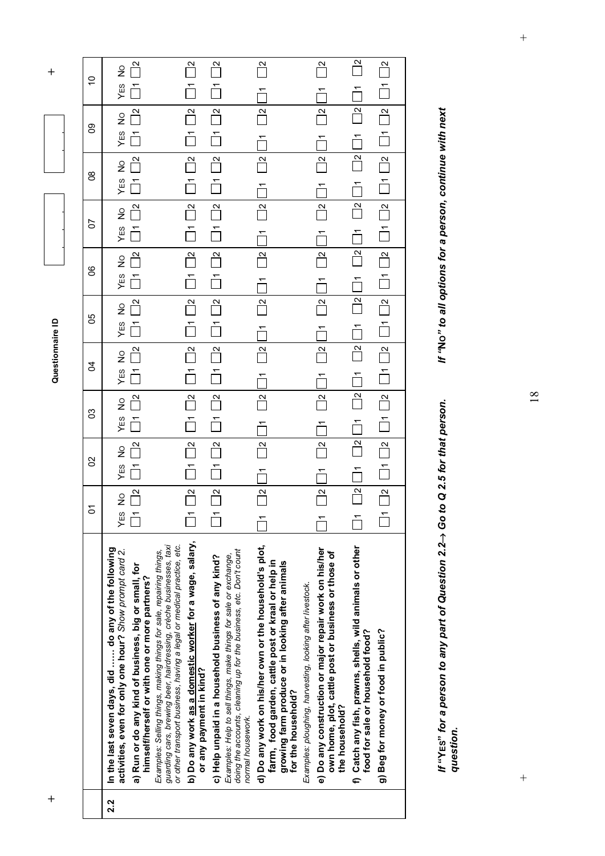|     |                                                                                                                                                                                                                    | δ                                 | ပ္ပ                              | ၛ                       | ट्ठ                               | ပ္ပ                          | 80                      | 5                        | g                       | ၜၟ                      | S                       |
|-----|--------------------------------------------------------------------------------------------------------------------------------------------------------------------------------------------------------------------|-----------------------------------|----------------------------------|-------------------------|-----------------------------------|------------------------------|-------------------------|--------------------------|-------------------------|-------------------------|-------------------------|
| 2.2 | In the last seven days, did  do any of the following<br>activities, even for only one hour? Show prompt card 2.                                                                                                    | $\frac{\circ}{\mathsf{Z}}$<br>YES | $\frac{1}{2}$<br>ίE <sub>S</sub> | $\frac{1}{2}$<br>YES    | $\frac{\circ}{\mathsf{Z}}$<br>YES | $\frac{0}{2}$<br>ΥÉS         | $\frac{0}{2}$<br>YES    | $\frac{1}{2}$<br>YES     | $\frac{1}{2}$<br>YES    | $\frac{1}{2}$<br>YES    | $\frac{1}{2}$<br>YES    |
|     | a) Run or do any kind of business, big or small, for<br>himself/herself or with one or more partners?                                                                                                              |                                   | $\frac{1}{2}$                    | $\overline{\mathbf{r}}$ |                                   |                              | $\overline{\mathbf{r}}$ | $\overline{\mathbf{r}}$  |                         |                         |                         |
|     | guarding cars, brewing beer, hairdressing, crèche businesses, taxi<br>or other transport business, having a legal or medical practice, etc.<br>Examples: Selling things, making things for sale, repairing things, |                                   |                                  |                         |                                   |                              |                         |                          |                         |                         |                         |
|     | b) Do any work as a domestic worker for a wage, salary,<br>or any payment in kind?                                                                                                                                 | $\overline{\mathbf{z}}$           | $\overline{\mathbf{r}}$          | $\mathbf{N}$            | $\frac{\infty}{\infty}$           | $\mathbb{R}$                 | $\mathbf{N}$            | $\overline{\mathbf{r}}$  | $\overline{a}$          | $\overline{\mathbf{c}}$ | $\overline{\mathbb{R}}$ |
|     | doing the accounts, cleaning up for the business, etc. Don't count<br>c) Help unpaid in a household business of any kind?<br>Examples: Help to sell things, make things for sale or exchange,                      | $\approx$                         | $\mathbf{N}$                     | $\approx$               | $\triangle$                       | $\mathbf{R}$                 | $\mathbf{N}$            | $\frac{1}{\sqrt{2}}$     | $\mathbf{N}$            | $\overline{\mathbf{z}}$ | $\frac{\infty}{\infty}$ |
|     | d) Do any work on his/her own or the household's plot,<br>farm, food garden, cattle post or kraal or help in<br>growing farm produce or in looking after animals<br>normal housework.                              | $\mathbf{N}$<br>$\overline{ }$    | $\mathbf{a}$                     | $\mathbb{R}$            | $\mathbb{R}$                      | $\mathbb{R}$                 | 싄                       | $\mathbf{a}$             | $\mathbf{N}$            | $\overline{\mathbf{C}}$ | $\mathbf{N}$            |
|     | Examples: ploughing, harvesting, looking after livestock.<br>for the household?                                                                                                                                    |                                   |                                  |                         |                                   |                              |                         |                          |                         |                         |                         |
|     | e) Do any construction or major repair work on his/her<br>own home, plot, cattle post or business or those of<br>the household?                                                                                    | $\mathbf{a}$                      | $\frac{1}{2}$                    | $\approx$               | $\overline{\mathbf{z}}$           | $\mathbf{N}$                 | $\mathbf{z}$            | $\overline{\mathbf{c}}$  | $\overline{\mathbf{r}}$ | $\overline{\mathbf{C}}$ | $\overline{\mathbf{z}}$ |
|     | f) Catch any fish, prawns, shells, wild animals or other<br>food for sale or household food?                                                                                                                       | $\frac{1}{2}$                     | $\mathbb{R}$                     | $\mathbb{P}$            | $\mathbb{R}$                      | $\overline{\mathbf{r}}$      | $\mathbf{r}$            | $\mathbf{r}$             | $\overline{\mathbf{C}}$ | $\mathbb{P}$            | $\overline{\mathbf{r}}$ |
|     | g) Beg for money or food in public?                                                                                                                                                                                | $\mathbf{N}$                      | $\overline{\phantom{0}}$         | $\frac{1}{\sqrt{2}}$    | $\frac{1}{\sqrt{2}}$              | $\mathop{\mathring{\sqcap}}$ | $\overline{\mathbf{r}}$ | $\overline{\phantom{0}}$ | $\frac{1}{2}$           | $\frac{1}{2}$           | $\mathbf{r}$            |
|     |                                                                                                                                                                                                                    |                                   |                                  |                         |                                   |                              |                         |                          |                         |                         |                         |

*If* **"YES"** *for a person to any part of Question 2.2*→ *Go to Q 2.5 for that person. If "***NO***" to all options for a person, continue with next If* "YEs" for a person to any part of Question 2.2→ Go to Q 2.5 for that person.<br>question.

If "No" to all options for a person, continue with next

 $\ddot{+}$ 

18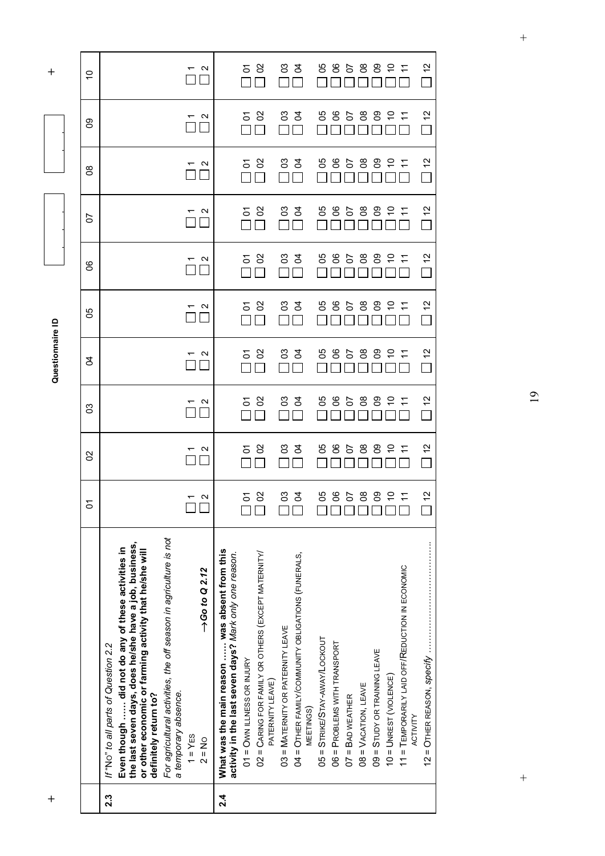**+ Questionnaire ID +** 

 $\ddot{}$ 

Questionnaire ID

 $\ddot{}$ 

|     |                                                                                                                                                                                                                                                                                                                                                                                                                                                                                                                                                                           | δ                                                                                             | 8                                                                                               | ၛ                                                                                 | S,                                                                               | ပ္ပ                                                                   | S                                                                              | 5                                                                                                                         | 8                                                                                 | ႙ၟ                                                                       | $\circ$                                                               |
|-----|---------------------------------------------------------------------------------------------------------------------------------------------------------------------------------------------------------------------------------------------------------------------------------------------------------------------------------------------------------------------------------------------------------------------------------------------------------------------------------------------------------------------------------------------------------------------------|-----------------------------------------------------------------------------------------------|-------------------------------------------------------------------------------------------------|-----------------------------------------------------------------------------------|----------------------------------------------------------------------------------|-----------------------------------------------------------------------|--------------------------------------------------------------------------------|---------------------------------------------------------------------------------------------------------------------------|-----------------------------------------------------------------------------------|--------------------------------------------------------------------------|-----------------------------------------------------------------------|
| 2.3 | For agricultural activities, the off season in agriculture is not<br>the last seven days, does he/she have a job, business,<br>Even though  did not do any of these activities in<br>or other economic or farming activity that he/she will<br>$\rightarrow$ Go to Q 2.12<br>If "No" to all parts of Question 2.2<br>a temporary absence.<br>definitely return to?<br>$1 = YES$<br>$2 = No$                                                                                                                                                                               | N<br>$\mathbf{L}$                                                                             | $\mathbf{\Omega}$                                                                               | N                                                                                 | N                                                                                | $\mathbf{\Omega}$                                                     | N                                                                              | N                                                                                                                         | N                                                                                 | N                                                                        | N                                                                     |
| 2.4 | What was the main reason  was absent from this<br>02 = CARING FOR FAMILY OR OTHERS (EXCEPT MATERNITY/<br>activity in the last seven days? Mark only one reason.<br>04 = OTHER FAMILY/COMMUNITY OBLIGATIONS (FUNERALS,<br>11 = TEMPORARILY LAID OFF/REDUCTION IN ECONOMIC<br>03 = MATERNITY OR PATERNITY LEAVE<br>05 = STRIKE/STAY-AWAY/LOCKOUT<br>06 = PROBLEMS WITH TRANSPORT<br>$09 =$ STUDY OR TRAINING LEAVE<br>$01 =$ OWN ILLNESS OR INJURY<br>$10 =$ UNREST (VIOLENCE)<br>PATERNITY LEAVE)<br>$08 = VACATION, LEAVE$<br>$07 =$ BAD WEATHER<br>MEETINGS)<br>ACTIVITY | $\frac{1}{2}$<br>$\delta$<br>ငိ<br>80<br>3<br>ပိ<br>ိ<br>ဒိ<br>δ<br>5<br>┑┍┓<br>$\neg$ $\Box$ | $\frac{2}{3}$<br>8<br>පි<br>ိ<br>8<br>ဥ<br>$\tilde{c}$<br>र्ठ<br>ပိ<br>5<br>5<br>$\tilde{\tau}$ | 51<br>္ထ<br>ိ<br>පී<br>ဥ<br>$\tilde{c}$<br>පි<br>g<br>ပိ<br>5<br>δ<br>÷<br>$\Box$ | $\frac{1}{2}$<br>ိ<br>8<br>ဥ<br>8<br>පි<br>ပိ<br>S<br>2<br>δ<br>5<br>≓<br>$\Box$ | $\tilde{c}$<br>ိ<br>ဥ<br>8<br>පි<br>3<br>రి<br>පී<br>S<br>5<br>Σ<br>Г | $\frac{2}{3}$<br>ပ္ပ<br>පි<br>3<br>ပိ<br>ိ<br>පී<br>ဥ<br>5<br>5<br>÷<br>δ<br>Г | $\frac{2}{3}$<br>$\infty$<br>8O<br>$\mathcal{S}^{\mathcal{S}}$<br>ვე<br>$\mathsf{S}$<br>80<br>80<br>$\tilde{c}$<br>5<br>δ | $\frac{2}{3}$<br>80<br>ဥ<br>5 S<br>3<br>र्ड<br>80<br>္တီ<br>$\tilde{c}$<br>5<br>Г | $\frac{1}{2}$<br>ိ<br>8<br>ဥ<br>8<br>පි<br>ट्ठ<br>ပိ<br>S<br>5<br>δ<br>┌ | $\frac{1}{2}$<br>පි<br>8<br>පි<br>र्ठ<br>မိ<br>ိ<br>පී<br>၃<br>5<br>δ |

 $\qquad \qquad +$ 

19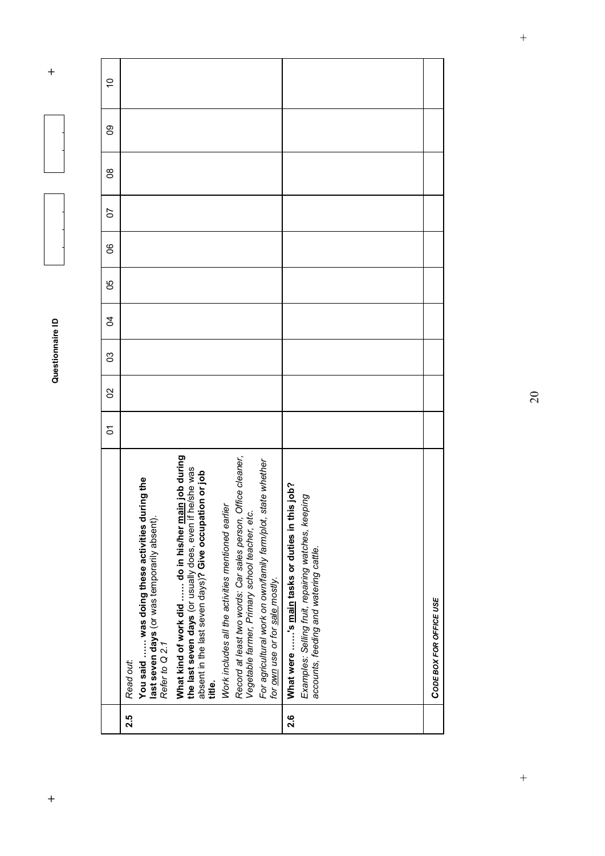|                | 2.5                                                                                                                            |                                                                                                                                                                                             |                                                                                                                    |                                                                                                                                                   | 2.6                                               |                                                                                               |
|----------------|--------------------------------------------------------------------------------------------------------------------------------|---------------------------------------------------------------------------------------------------------------------------------------------------------------------------------------------|--------------------------------------------------------------------------------------------------------------------|---------------------------------------------------------------------------------------------------------------------------------------------------|---------------------------------------------------|-----------------------------------------------------------------------------------------------|
|                | You said  was doing these activities during the<br>last seven days (or was temporarily absent).<br>Refer to Q 2.1<br>Read out: | What kind of work did  do in his/her <u>main</u> job during<br>the last seven days (or usually does, even if he/she was<br>absent in the last seven days)? Give occupation or job<br>title. | Record at least two words: Car sales person, Office cleaner,<br>Work includes all the activities mentioned earlier | For agricultural work on own/family farm/plot, state whether<br>Vegetable farmer, Primary school teacher, etc.<br>for own use or for sale mostly. | sjob?<br>What were 's main tasks or duties in thi | Examples: Selling fruit, repairing watches, keeping<br>accounts, feeding and watering cattle. |
| 5              |                                                                                                                                |                                                                                                                                                                                             |                                                                                                                    |                                                                                                                                                   |                                                   |                                                                                               |
| SO             |                                                                                                                                |                                                                                                                                                                                             |                                                                                                                    |                                                                                                                                                   |                                                   |                                                                                               |
| ၛ              |                                                                                                                                |                                                                                                                                                                                             |                                                                                                                    |                                                                                                                                                   |                                                   |                                                                                               |
| $\overline{5}$ |                                                                                                                                |                                                                                                                                                                                             |                                                                                                                    |                                                                                                                                                   |                                                   |                                                                                               |
| ပိ             |                                                                                                                                |                                                                                                                                                                                             |                                                                                                                    |                                                                                                                                                   |                                                   |                                                                                               |
| ၆              |                                                                                                                                |                                                                                                                                                                                             |                                                                                                                    |                                                                                                                                                   |                                                   |                                                                                               |
| 5              |                                                                                                                                |                                                                                                                                                                                             |                                                                                                                    |                                                                                                                                                   |                                                   |                                                                                               |
| ဒိ             |                                                                                                                                |                                                                                                                                                                                             |                                                                                                                    |                                                                                                                                                   |                                                   |                                                                                               |
| ဥ              |                                                                                                                                |                                                                                                                                                                                             |                                                                                                                    |                                                                                                                                                   |                                                   |                                                                                               |
| ő              |                                                                                                                                |                                                                                                                                                                                             |                                                                                                                    |                                                                                                                                                   |                                                   |                                                                                               |
|                |                                                                                                                                |                                                                                                                                                                                             |                                                                                                                    |                                                                                                                                                   |                                                   |                                                                                               |

20

 $\overline{+}$ 

*CODE BOX FOR OFFICE USE*

CODE BOX FOR OFFICE USE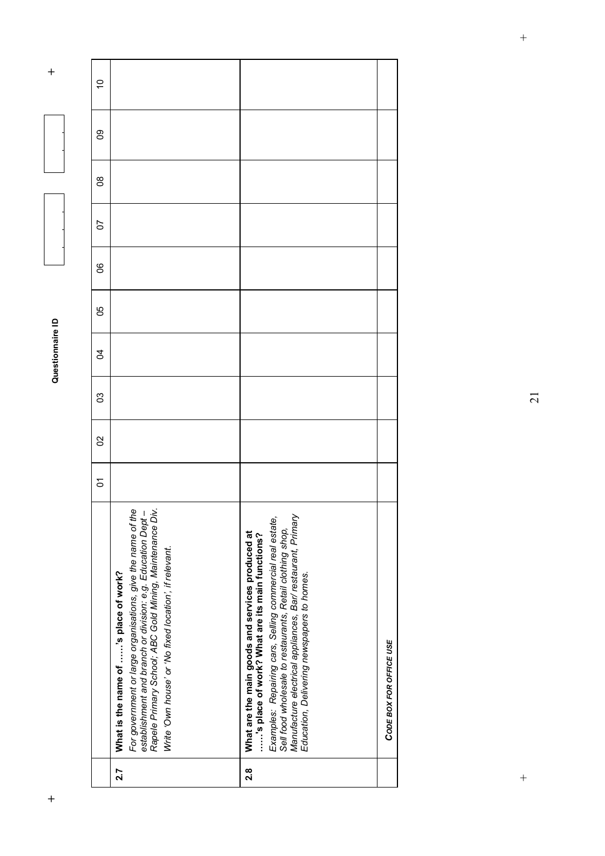| For government or large organisations, give the name of the<br>establishment and branch or division: e.g. Education Dept –<br>Rapele Primary School; ABC Gold Mining, Maintenance Div.<br>Examples: Repairing cars, Selling commercial real estate,<br>Manufacture electrical appliances, Bar/ restaurant, Primary<br>Sell food wholesale to restaurants, Retail clothing shop,<br>What are the main goods and services produced at<br>'s place of work? What are its main functions?<br>Write 'Own house' or 'No fixed location', if relevant.<br>What is the name of 's place of work?<br>Education, Delivering newspapers to homes. | $\tilde{c}$<br>ဥ<br>g<br>5<br>၆<br>ပ္ပ<br>S,<br>ၛ<br>S<br>5 |
|----------------------------------------------------------------------------------------------------------------------------------------------------------------------------------------------------------------------------------------------------------------------------------------------------------------------------------------------------------------------------------------------------------------------------------------------------------------------------------------------------------------------------------------------------------------------------------------------------------------------------------------|-------------------------------------------------------------|
| CODE BOX FOR OFFICE USE                                                                                                                                                                                                                                                                                                                                                                                                                                                                                                                                                                                                                | $2.\overline{8}$<br>2.7                                     |

**+ Questionnaire ID +**  Questionnaire ID  $\overline{1}$ 

 $\ddot{}$ 

21

 $\qquad \qquad +$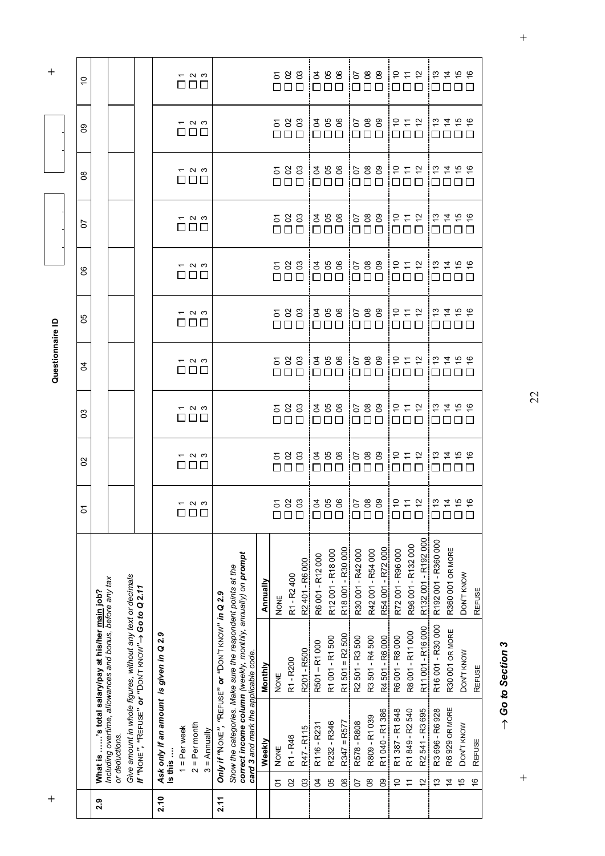| $^{+}$ |                                                                                                     |                                                                                                                              |                    |                                                                       |                                    |                                                                                    | Questionnaire ID                         |                                                                               |                                            |                                                             |                                                                             |                                                                                | $\ddot{}$                              |
|--------|-----------------------------------------------------------------------------------------------------|------------------------------------------------------------------------------------------------------------------------------|--------------------|-----------------------------------------------------------------------|------------------------------------|------------------------------------------------------------------------------------|------------------------------------------|-------------------------------------------------------------------------------|--------------------------------------------|-------------------------------------------------------------|-----------------------------------------------------------------------------|--------------------------------------------------------------------------------|----------------------------------------|
|        |                                                                                                     |                                                                                                                              |                    |                                                                       |                                    |                                                                                    |                                          |                                                                               |                                            |                                                             |                                                                             |                                                                                |                                        |
|        |                                                                                                     |                                                                                                                              |                    | $\mathbf{S}$                                                          | 8                                  | 3                                                                                  | $\overline{5}$                           | 50                                                                            | 8                                          | 5                                                           | g                                                                           | $8^{\circ}$                                                                    | $\tilde{c}$                            |
| 2.9    |                                                                                                     | Including overtime, allowances and bonus, before any tax<br>What is ……'s total salary/pay at his/her <u>main</u> job?        |                    |                                                                       |                                    |                                                                                    |                                          |                                                                               |                                            |                                                             |                                                                             |                                                                                |                                        |
|        | or deductions.                                                                                      |                                                                                                                              |                    |                                                                       |                                    |                                                                                    |                                          |                                                                               |                                            |                                                             |                                                                             |                                                                                |                                        |
|        |                                                                                                     | Give amount in whole figures, without any text or decimals<br>If "NONE", "REFUSE" or "DON'T KNOW" $\rightarrow$ Go to Q 2.11 |                    |                                                                       |                                    |                                                                                    |                                          |                                                                               |                                            |                                                             |                                                                             |                                                                                |                                        |
| 2.10   | Ask only if an amount is given in Q 2.9<br>Is this                                                  |                                                                                                                              |                    |                                                                       |                                    |                                                                                    |                                          |                                                                               |                                            |                                                             |                                                                             |                                                                                |                                        |
|        | $1 = Per$ week                                                                                      |                                                                                                                              |                    |                                                                       |                                    |                                                                                    |                                          |                                                                               |                                            |                                                             |                                                                             |                                                                                |                                        |
|        | $2 = Per month$                                                                                     |                                                                                                                              |                    | $ \sim$ $\sim$<br>000                                                 | $ \sim$ $\sim$<br>$\Box \Box \Box$ | $ \sim$ $\infty$<br>88 B B                                                         | $ \sim$ $\sim$<br>$\Box \ \Box \ \Box$   | $ \sim$ $\infty$<br>$\Box\ \Box\ \Box$                                        | $ \sim$ $\sim$<br>$\Box \ \Box \ \Box$     | $ \sim$ $\sim$<br>$\Box \Box \Box$                          | $ \sim$ $\infty$<br>88 B B                                                  | $ \sim$ $\sim$<br>000                                                          | $ \sim$ $\sim$<br>$\Box \ \Box \ \Box$ |
|        | $3 =$ Annually                                                                                      |                                                                                                                              |                    |                                                                       |                                    |                                                                                    |                                          |                                                                               |                                            |                                                             |                                                                             |                                                                                |                                        |
| 2.11   |                                                                                                     | Only if "NONE", "REFUSE" or "DON'T KNOW" in Q 2.9                                                                            |                    |                                                                       |                                    |                                                                                    |                                          |                                                                               |                                            |                                                             |                                                                             |                                                                                |                                        |
|        |                                                                                                     | Show the categories. Make sure the respondent points at the                                                                  |                    |                                                                       |                                    |                                                                                    |                                          |                                                                               |                                            |                                                             |                                                                             |                                                                                |                                        |
|        | correct income column (weekly, monthly, annually) on prompt<br>card 3 and mark the applicable code. |                                                                                                                              |                    |                                                                       |                                    |                                                                                    |                                          |                                                                               |                                            |                                                             |                                                                             |                                                                                |                                        |
|        | Weekly                                                                                              | Monthly                                                                                                                      | Annually           |                                                                       |                                    |                                                                                    |                                          |                                                                               |                                            |                                                             |                                                                             |                                                                                |                                        |
|        | <b>NONE</b><br>5                                                                                    | <b>NONE</b>                                                                                                                  | <b>NONE</b>        |                                                                       |                                    |                                                                                    |                                          |                                                                               |                                            |                                                             |                                                                             |                                                                                |                                        |
|        | R1 - R46<br>S                                                                                       | R1-R200                                                                                                                      | R1-R2400           | 583                                                                   | 583<br>$\Box$                      | 588<br>$\square$ $\square$ $\square$                                               | 583<br>$\Box \Box \Box$                  | 583<br>$\Box$ Box                                                             | 583<br>$\Box \ \Box \ \Box$                | 583<br>$\Box \ \Box \ \Box$                                 | 583<br>OOO                                                                  | 583<br>$\Box \ \Box \ \Box$                                                    | 583<br>$\Box \Box \Box$                |
|        | R47 - R115<br>C3                                                                                    | R201 - R500                                                                                                                  | R2 401 - R6 000    |                                                                       |                                    |                                                                                    |                                          |                                                                               |                                            |                                                             |                                                                             |                                                                                |                                        |
|        | R116 - R231<br>$\mathfrak{q}$                                                                       | R501-R1000                                                                                                                   | R6 001 - R12 000   |                                                                       |                                    |                                                                                    | 388                                      |                                                                               |                                            |                                                             |                                                                             |                                                                                |                                        |
|        | R232 - R346<br>90                                                                                   | R1 001 - R1 500                                                                                                              | R12001-R18000      | 358                                                                   | 288<br>88 B B                      | 358<br>$\square$                                                                   | $\Box\ \Box\ \Box$                       | 358<br>$\Box\,\Box\,\Box$                                                     | 288<br>$\Box$                              | 398<br>000                                                  | 288<br>OOO                                                                  | 358<br>$\Box \ \Box \ \Box$                                                    | 358<br>$\Box \ \Box \ \Box$            |
|        | $R347 = R577$<br>$\frac{1}{2}$                                                                      | $R1 501 = R2 500$                                                                                                            | R18 001 - R30 000  |                                                                       |                                    |                                                                                    |                                          |                                                                               |                                            |                                                             |                                                                             |                                                                                |                                        |
|        | R578 - R808<br>$\overline{c}$                                                                       | R2 501 - R3 500                                                                                                              | R30 001 - R42 000  | 588                                                                   | 588<br>$\Box$                      | 588<br>$\square$                                                                   | 588<br>$\Box \ \Box \ \Box$              | 688<br>$\Box\,\Box\,\Box$                                                     | 588<br>$\Box \ \Box \ \Box$                | 588<br>$\Box$                                               | 588<br>OOO                                                                  | 588<br>$\Box \Box \Box$                                                        | 588<br>$\Box$ $\Box$ $\Box$            |
|        | R809-R1039<br>80                                                                                    | R3501-R4500                                                                                                                  | R42001 - R54000    |                                                                       |                                    | $\Box$                                                                             |                                          |                                                                               |                                            |                                                             |                                                                             |                                                                                |                                        |
|        | R1 040 - R1 386<br>80                                                                               | R4501-R6000                                                                                                                  | R54 001 - R72 000  |                                                                       | $\Box$                             |                                                                                    |                                          |                                                                               |                                            | $\Box$                                                      |                                                                             |                                                                                |                                        |
|        | R1387-R1848<br>$\tilde{c}$                                                                          | R6 001 - R8 000                                                                                                              | R72001-R96000      | 5.5                                                                   | 5.5.5<br>0 0 0                     | $\overleftarrow{\sigma}$ $\overleftarrow{\tau}$ $\overleftarrow{\sigma}$<br>$\Box$ | 555<br>$\Box$                            | 555<br>$\Box$                                                                 | $\tilde{\Xi} \simeq \tilde{\Xi}$<br>$\Box$ | 5.5.5<br>000                                                | $\ddot{\sigma} \simeq \dot{\sigma}$<br>O O O                                | 555<br>$\Box\ \Box\ \Box$                                                      | 5.55<br>$\Box$                         |
|        | R1849-R2540                                                                                         | R8 001 - R11 000                                                                                                             | R96 001 - R132 000 |                                                                       |                                    | $\Box$                                                                             |                                          |                                                                               |                                            |                                                             |                                                                             |                                                                                |                                        |
|        | R2541 - R3695<br>$\tilde{c}$                                                                        | R11 001-R16 000                                                                                                              | R132001-R192000    |                                                                       |                                    |                                                                                    |                                          |                                                                               |                                            |                                                             |                                                                             |                                                                                |                                        |
|        | R3 696 - R6 928<br>$\frac{3}{2}$                                                                    | R16 001 - R30 000                                                                                                            | R192001-R360000    | $\frac{1}{2}$ $\frac{1}{2}$ $\frac{1}{2}$ $\frac{1}{2}$ $\frac{1}{2}$ | 5250<br>000                        | $\frac{1}{2}$ $\frac{1}{2}$ $\frac{1}{2}$ $\frac{1}{2}$ $\frac{1}{2}$<br>8888      | $ z \sharp \hat{\sigma} \rangle$<br>0000 | $\frac{1}{2}$ $\frac{1}{2}$ $\frac{1}{2}$ $\frac{1}{2}$ $\frac{1}{2}$<br>0000 | $\frac{127}{2456}$<br>10000                |                                                             | $\tilde{\omega}$ $\tilde{\omega}$ $\tilde{\omega}$ $\tilde{\omega}$<br>0000 | $\frac{1}{2}$ $\frac{1}{2}$ $\frac{1}{2}$ $\frac{1}{2}$ $\frac{1}{2}$<br>80000 | 10000                                  |
|        | R6 929 OR MORE<br>$\overline{4}$                                                                    | R30 001 OR MORE                                                                                                              | R360 001 OR MORE   |                                                                       |                                    |                                                                                    |                                          |                                                                               |                                            |                                                             |                                                                             |                                                                                |                                        |
|        | DON'T KNOW<br>$\frac{1}{2}$                                                                         | DON'T KNOW                                                                                                                   | DON'T KNOW         |                                                                       | $\Box$                             |                                                                                    |                                          |                                                                               |                                            | $\frac{207}{21}$ $\frac{217}{21}$ $\frac{207}{21}$<br>88888 |                                                                             |                                                                                | 5.456                                  |
|        | REFUSE<br>$\frac{6}{5}$                                                                             | REFUSE                                                                                                                       | REFUSE             |                                                                       |                                    |                                                                                    |                                          |                                                                               |                                            |                                                             |                                                                             |                                                                                |                                        |

 $\rightarrow$  Go to Section 3 *Go to Section 3*

 $\qquad \qquad +$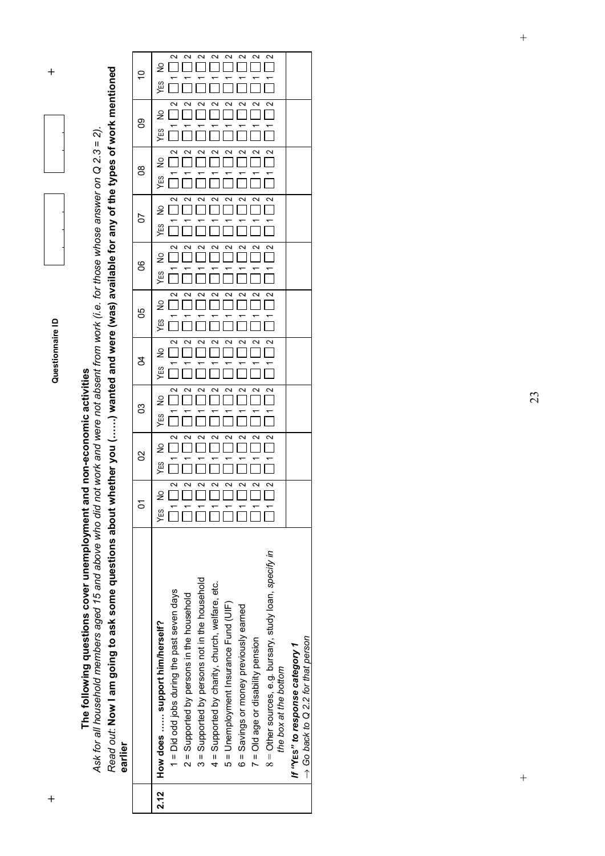

 $\ddot{}$ 

**The following questions cover unemployment and non-economic activities** 

Read out: Now I am going to ask some questions about whether you (......) wanted and were (was) available for any of the types of work mentioned *Read out*: **Now I am going to ask some questions about whether you (……) wanted and were (was) available for any of the types of work mentioned**  *Ask for all household members aged 15 and above who did not work and were not absent from work (i.e. for those whose answer on Q 2.3 = 2).*  The following questions cover unemployment and non-economic activities<br>Ask for all household members aged 15 and above who did not work and were not absent from work (i.e. for those whose answer on Q 2.3 = 2). **earlier**

|      |                                                         | Σ                    | 8   | 3        | Z                    | မ္မ                  | 80       | 50  | 8        | ၜ        | ő   |  |
|------|---------------------------------------------------------|----------------------|-----|----------|----------------------|----------------------|----------|-----|----------|----------|-----|--|
| 2.12 | How does  support him/herself?                          | $\frac{1}{2}$<br>УES | YES | ₽<br>YES | $\frac{1}{2}$<br>YES | $\frac{1}{2}$<br>YES | ₽<br>YES | YES | ş<br>YES | ₽<br>YES | YES |  |
|      | 1 = Did odd jobs during the past seven days             | 2<br>$\overline{a}$  |     | $\sim$   |                      |                      | 2        |     |          |          |     |  |
|      | 2 = Supported by persons in the household               | ∾                    |     |          |                      |                      |          |     |          |          |     |  |
|      | 3 = Supported by persons not in the household           | $\sim$               |     |          |                      |                      | $\sim$   |     |          |          |     |  |
|      | 4 = Supported by charity, church, welfare, etc.         | $\sim$               | ∾   | $\sim$   |                      | $\sim$               | $\sim$   |     |          |          |     |  |
|      | 5 = Unemployment Insurance Fund (UIF)                   | $\sim$               | N   |          |                      | $\sim$               | $\sim$   |     |          |          | ∾   |  |
|      | 6 = Savings or money previously earned                  | $\sim$               |     |          |                      | $\sim$               | $\sim$   |     |          |          | ∾   |  |
|      | 7 = Old age or disability pension                       | $\sim$               |     |          |                      |                      |          |     |          |          | ∾   |  |
|      | 8 = Other sources, e.g. bursary, study loan, specify in | $\mathbf{\sim}$      |     |          |                      |                      |          |     |          |          |     |  |
|      | the box at the bottom                                   |                      |     |          |                      |                      |          |     |          |          |     |  |
|      | If "Yes" to response category 1                         |                      |     |          |                      |                      |          |     |          |          |     |  |
|      | $\rightarrow$ Go back to Q 2.2 for that person          |                      |     |          |                      |                      |          |     |          |          |     |  |

 $\overline{+}$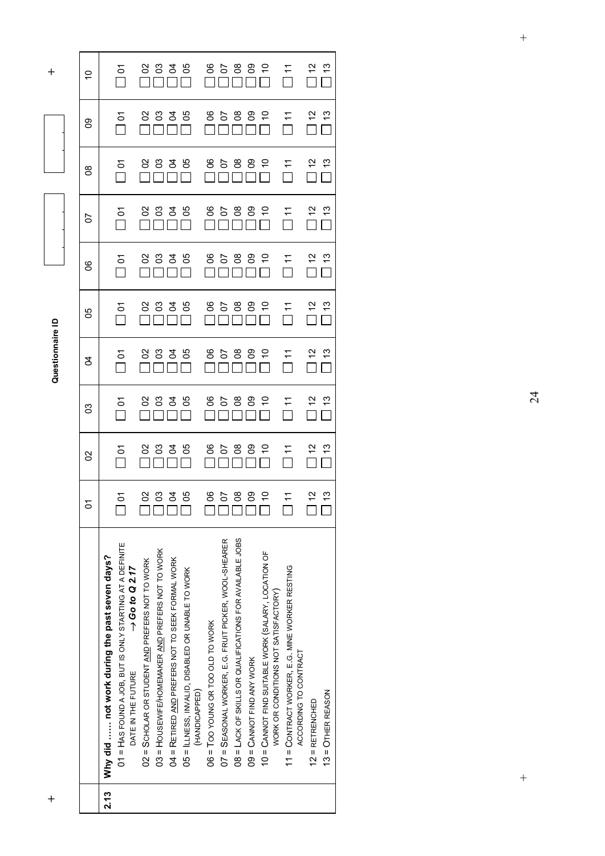|      |                                                                    | δ             | 8             | ဥ                     | र्ठ           | မ္မ                           | ၆                    | 5              | ၛ                 | ၜၟ                   | Ś   |
|------|--------------------------------------------------------------------|---------------|---------------|-----------------------|---------------|-------------------------------|----------------------|----------------|-------------------|----------------------|-----|
| 2.13 | Why did  not work during the past seven days?                      |               |               |                       |               |                               |                      |                |                   |                      |     |
|      | 01 = HAS FOUND A JOB, BUT IS ONLY STARTING AT A DEFINITE           | δ             | δ             | δ                     | δ             | δ                             | Σ<br>Π               | δ              | δ                 | $\delta$             | δ   |
|      | $\rightarrow$ Go to Q 2.17<br>DATE IN THE FUTURE                   |               |               |                       |               |                               |                      |                |                   |                      |     |
|      | 02 = SCHOLAR OR STUDENT AND PREFERS NOT TO WORK                    |               |               | 8                     |               |                               |                      |                |                   |                      | 8   |
|      | 03 = HOUSEWIFE/HOMEMAKER AND PREFERS NOT TO WORK                   |               |               |                       |               |                               |                      |                |                   |                      | පි  |
|      | 04 = RETIRED AND PREFERS NOT TO SEEK FORMAL WORK                   |               | 8838          | 335                   | 8838          | 8838                          |                      | 8838           | 8838              | 8838                 | र्ड |
|      | 05 = ILLNESS, INVALID, DISABLED OR UNABLE TO WORK<br>(HANDICAPPED) |               |               |                       |               |                               | $\frac{88356}{8}$    |                |                   |                      | ပိ  |
|      | 06 = TOO YOUNG OR TOO OLD TO WORK                                  |               |               |                       |               |                               |                      |                |                   |                      | ဒိ  |
|      | 07 = SEASONAL WORKER, E.G. FRUIT PICKER, WOOL-SHEARER              |               | 858           |                       |               |                               |                      |                |                   |                      | 5   |
|      | 08 = LACK OF SKILLS OR QUALIFICATIONS FOR AVAILABLE JOBS           | 85889         |               | 8588                  | 8588          | 98889                         | -<br>ຮຽຮຣຣ<br>ີີືີືີ | 85889          | 85889             | 8588                 | පී  |
|      | $09 =$ CANNOT FIND ANY WORK                                        |               | 8 ခု          |                       |               |                               |                      |                |                   |                      | ဥ   |
|      | 10 = CANNOT FIND SUITABLE WORK (SALARY, LOCATION OF                |               |               | $\tilde{\varepsilon}$ | $\tilde{a}$   |                               |                      | $\Box$         |                   | $\frac{1}{\sqrt{2}}$ |     |
|      | WORK OR CONDITIONS NOT SATISFACTORY)                               |               |               |                       |               |                               |                      |                |                   |                      |     |
|      | 11 = CONTRACT WORKER, E.G. MINE WORKER RESTING                     | $\Xi$         | $\frac{1}{2}$ | $\overline{\Pi}$      | $\frac{1}{1}$ | $\sum_{i=1}^{n}$              | $\Box$ 11            | $\overline{1}$ | $\overline{\Box}$ | $\overline{\Pi}$     |     |
|      | ACCORDING TO CONTRACT                                              |               |               |                       |               |                               |                      |                |                   |                      |     |
|      | $12$ = RETRENCHED                                                  |               |               | $\tilde{c}$           |               | $\frac{2}{10}$ $\frac{2}{10}$ | $\frac{2}{\Box}$     |                | $\tilde{c}$       |                      |     |
|      | $13 =$ OTHER REASON                                                | $\frac{1}{2}$ |               | <u>င်</u>             |               |                               |                      |                | مبر<br>ب          |                      |     |
|      |                                                                    |               |               |                       |               |                               |                      |                |                   |                      |     |

**+ Questionnaire ID +**  Questionnaire ID

 $\ddot{}$ 

 $\overline{+}$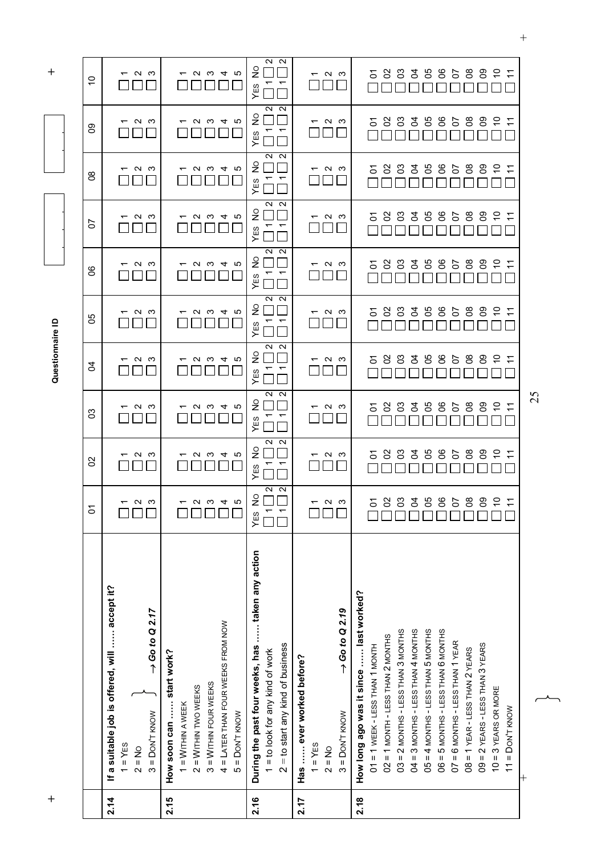| $\boldsymbol{+}$ |                                                   |                          |                                 |                          | Questionnaire ID         |                          |                          |                      |                          |                                 | $\boldsymbol{+}$            |
|------------------|---------------------------------------------------|--------------------------|---------------------------------|--------------------------|--------------------------|--------------------------|--------------------------|----------------------|--------------------------|---------------------------------|-----------------------------|
|                  |                                                   |                          |                                 |                          |                          |                          |                          |                      |                          |                                 |                             |
|                  |                                                   | $\delta$                 | 8                               | ဥ                        | S,                       | 80                       | 8                        | 5                    | $8^{\circ}$              | 8                               | $\tilde{c}$                 |
| 2.14             | If a suitable job is offered, will  accept it?    |                          |                                 |                          |                          |                          |                          |                      |                          |                                 |                             |
|                  | $1 = YES$                                         |                          | ᠇                               | ᠇                        | ᠇                        | ᠇                        | ᠇                        |                      | ᠇                        | $\overline{\phantom{0}}$        | ᠇                           |
|                  | $2 = No$                                          | ຕ ພ                      | പ ധ                             | പ ധ                      | പ ധ                      | പ ധ                      | പ ധ                      | ຕ ຕ                  | പ ധ                      | $\sim$                          | പ ധ                         |
|                  | $\rightarrow$ Go to Q 2.17<br>$3 =$ DON'T KNOW    |                          |                                 |                          |                          |                          |                          |                      |                          | ം                               |                             |
| 2.15             | How soon can  start work?                         |                          |                                 |                          |                          |                          |                          |                      |                          |                                 |                             |
|                  | $1 =$ WITHIN A WEEK                               |                          |                                 |                          |                          |                          | ᠇                        |                      |                          |                                 |                             |
|                  | $2 = W$ ITHIN TWO WEEKS                           | $\mathbf{\Omega}$        |                                 |                          |                          |                          | $\sim$                   |                      |                          | N                               | $\sim$                      |
|                  | $3 =$ WITHIN FOUR WEEKS                           | ო                        | U W 4                           | $\omega \omega 4$        | $U \omega 4$             | ດ ພ                      |                          | U W 4                | U W 4                    | က                               | က                           |
|                  | 4 = LATER THAN FOUR WEEKS FROM NOW                | $\overline{4}$           |                                 |                          |                          | $\overline{4}$           |                          |                      |                          | $\overline{4}$                  | 4                           |
|                  | $5 =$ DON'T KNOW                                  | Ю                        | ျ                               | ျ                        | 5                        | ယ                        | ယ                        | ပ                    | 5                        | ယ                               | ပ                           |
| 2.16             | During the past four weeks, has  taken any action | YES NO                   | ş<br>YES                        | ş<br>YES                 | ş<br>YES                 | ş<br>YES                 | $\frac{1}{2}$<br>YES     | $\frac{1}{2}$<br>YES | $\frac{1}{2}$<br>YES     | ş<br>YES                        | ş<br>YES                    |
|                  | 1 = to look for any kind of work                  | $\mathbf{a}$             | $\overline{\phantom{0}}$        | $\overline{ }$           | ↽                        | $\overline{\phantom{0}}$ |                          | ↽                    | $\overline{ }$           | $\overline{ }$                  | $\overline{\phantom{0}}$    |
|                  | $2 =$ to start any kind of business               | $\mathbf{\Omega}$        | $\sim$ $\sim$<br>$\overline{ }$ | $\sim$ $\sim$<br>↽       | $\sim$ $\sim$<br>↽       | $N$ $N$<br>$\sqrt{2}$    | $\sim$ $\sim$            | $\sim$ $\sim$        | $\sim$ $\sim$            | $\sim$ $\sim$<br>$\overline{ }$ | $\sim$ $\sim$<br>$\sqrt{ }$ |
| 2.17             | Has  ever worked before?                          |                          |                                 |                          |                          |                          |                          |                      |                          |                                 |                             |
|                  | $1 = YES$                                         | $\overline{\phantom{0}}$ | $\overline{\phantom{0}}$        | $\overline{\phantom{0}}$ | $\overline{\phantom{0}}$ | ᠇                        | $\overline{\phantom{0}}$ |                      | $\overline{\phantom{0}}$ | $\overline{\phantom{0}}$        | $\overline{\phantom{0}}$    |
|                  | $2 = No$                                          | പത                       | പ ധ                             | പ ധ                      | ് പ                      | പ ധ                      | പ ധ                      |                      | പ ധ                      | പ ധ                             | പ ധ                         |
|                  | $\rightarrow$ Go to Q 2.19<br>$3 =$ DON'T KNOW    |                          |                                 |                          |                          |                          |                          | പ ധ                  |                          |                                 |                             |
| 2.18             | How long ago was it since  last worked?           |                          |                                 |                          |                          |                          |                          |                      |                          |                                 |                             |
|                  | $01 = 1$ WEEK - LESS THAN 1 MONTH                 | Σ                        | δ                               | δ                        | δ                        | δ                        | δ                        | δ                    | δ                        | δ                               | δ                           |
|                  | $02 = 1$ MONTH - LESS THAN 2 MONTHS               | S                        | 8                               | 8                        | SS                       | ပ္ပ                      | 8                        | S                    | 8                        | 8                               | SS                          |
|                  | $03 = 2$ MONTHS - LESS THAN 3 MONTHS              | පි                       | 8                               | ვ                        | 3                        | පි                       | C3                       | 8                    | 8                        | 8                               | ငိ                          |
|                  | 04 = 3 MONTHS - LESS THAN 4 MONTHS                | 3                        | र्ठ                             | 3                        | 3                        | र्ठ                      | र्ठ                      | र्ठ                  | र्ठ                      | र्ठ                             | र्ठ                         |
|                  | 05 = 4 MONTHS - LESS THAN 5 MONTHS                | 8g                       | 8                               | 80                       | 80                       | မ္မ                      | 80                       | 80                   | ပိ                       | မ္မ                             | 80                          |
|                  | O6 = 5 MONTHS - LESS THAN 6 MONTHS                | 8                        | 8                               | 80                       | °0                       | ළ                        | 80                       | 80                   | ළ                        | ළ                               | °0                          |
|                  | $07 = 6$ MONTHS - LESS THAN 1 YEAR                | 5                        | 5                               | 5                        | 5                        | 5                        | 5                        | 5                    | 5                        | 5                               | 5                           |
|                  | $08 = 1$ YEAR - LESS THAN 2 YEARS                 | 8                        | 8                               | $^{\circ}_{\infty}$      | $\infty$                 | $\infty$                 | 8 <sup>o</sup>           | 80                   | පී                       | 80                              | 80                          |
|                  | $09 = 2$ YEARS - LESS THAN 3 YEARS                | පි                       | ဥ                               | ဥ၀                       | ဥ၀                       | ဥ                        | 80                       | ဥ                    | පි                       | ဥ                               | ဥ၀                          |
|                  | $10 = 3$ YEARS OR MORE                            | $\tilde{c}$              | $\tilde{c}$                     | $\tilde{\mathsf{c}}$     | S                        | 5                        | $\tilde{c}$              | S                    | S                        | $\tilde{c}$                     | S                           |
|                  | $11 =$ Don't know                                 | $\tilde{t}$              | $\tilde{t}$                     | $\tilde{\tau}$           | $\tilde{\tau}$           | $\tilde{\tau}$           | $\tilde{\tau}$           | $\tilde{\tau}$       | $\tilde{\tau}$           | $\tilde{\tau}$                  | $\tilde{\tau}$              |
|                  | $^{+}$                                            |                          |                                 |                          |                          |                          |                          |                      |                          |                                 |                             |

 $\qquad \qquad +$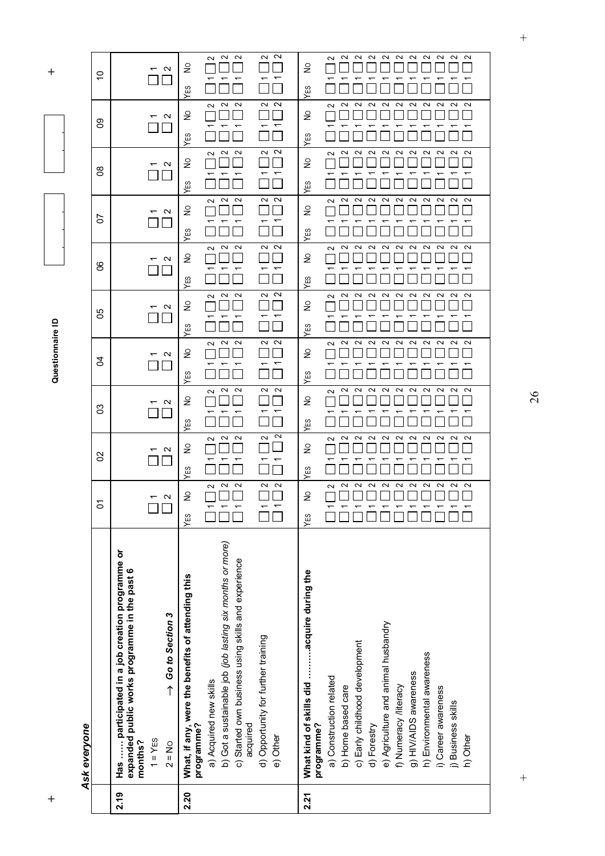**+ Questionnaire ID +**  Questionnaire ID

| ١<br>c |  |
|--------|--|
|        |  |
|        |  |
|        |  |
|        |  |
|        |  |
|        |  |
|        |  |
|        |  |
|        |  |
| ů      |  |
| с      |  |
|        |  |
|        |  |

| S  | N<br>᠇                                                                                                                                                                 | $\sim$<br>$\sim$<br>$\sim$<br>$\sim$<br>$\sim$<br>₽                                                                                                                                                                                                                          | $\sim$<br>$\sim$<br>$\sim$<br>$\sim$<br>$\sim$<br>$\sim$<br>$\sim$<br>$\sim$<br>$\sim$<br>$\sim$<br>$\sim$<br>$\geq$                                                                                                                                                                                                                       |
|----|------------------------------------------------------------------------------------------------------------------------------------------------------------------------|------------------------------------------------------------------------------------------------------------------------------------------------------------------------------------------------------------------------------------------------------------------------------|--------------------------------------------------------------------------------------------------------------------------------------------------------------------------------------------------------------------------------------------------------------------------------------------------------------------------------------------|
| ႙ၟ | $\mathbf{\Omega}$                                                                                                                                                      | YES<br>$\sim$ $\sim$<br>$\sim$<br>$\sim$<br>$\sim$<br>S                                                                                                                                                                                                                      | YES<br>$\sim$<br>$\sim$<br>$\sim$<br>$\sim$<br>$\sim$<br>$\sim$<br>$\sim$<br>$\sim$<br>$\sim$<br>$\sim$<br>$\sim$<br>ş                                                                                                                                                                                                                     |
|    |                                                                                                                                                                        | YES<br>$\sim$<br>$\sim$<br>$\sim$<br>$\sim$<br>$\sim$                                                                                                                                                                                                                        | <b>YES</b><br>$\sim$<br>$\sim$<br>N<br>$\sim$<br>$\sim$<br>$\sim$<br>$\sim$<br>N<br>$\sim$<br>$\sim$<br>$\sim$                                                                                                                                                                                                                             |
| g  | $\mathbf{\Omega}$                                                                                                                                                      | $\geq$<br>᠇<br>ᡪ<br>$\overline{\phantom{0}}$                                                                                                                                                                                                                                 | $\geq$<br>↽                                                                                                                                                                                                                                                                                                                                |
| 5  | $\mathbf{\Omega}$                                                                                                                                                      | YES<br>$\sim$<br>$\sim$<br>$\sim$<br>$\sim$<br>$\sim$<br>$\frac{1}{2}$                                                                                                                                                                                                       | YES<br>$\sim$<br>$\sim$<br>$\sim$<br>$\sim$<br>N<br>∾<br>$\sim$<br>$\sim$<br>$\sim$<br>$\sim$<br>$\sim$<br>S                                                                                                                                                                                                                               |
|    |                                                                                                                                                                        | YES<br>2<br>2<br>$\sim$<br>$\sim$<br>$\sim$                                                                                                                                                                                                                                  | YES<br>$\sim$<br>$\sim$<br>$\sim$<br>$\sim$<br>N<br>$\sim$<br>$\sim$<br>$\sim$<br>$\sim$<br>$\sim$<br>$\sim$                                                                                                                                                                                                                               |
| ိ  | $\mathbf{\Omega}$                                                                                                                                                      | $\frac{1}{2}$<br>YES                                                                                                                                                                                                                                                         | $\epsilon$<br>YES                                                                                                                                                                                                                                                                                                                          |
| రి | $\mathbf{\Omega}$                                                                                                                                                      | $\sim$<br>$\sim$<br>$\sim$<br>$\sim$<br>$\sim$<br>$\geq$                                                                                                                                                                                                                     | $\sim$<br>$\sim$<br>$\sim$<br>$\sim$<br>$\sim$<br>$\sim$<br>$\sim$<br>$\sim$<br>$\sim$<br>$\sim$<br>$\geq$<br>ΣЭ,                                                                                                                                                                                                                          |
| S  | $\mathbf{\Omega}$                                                                                                                                                      | <b>YES</b><br>$\sim$ $\sim$<br>$\sim$<br>$\sim$<br>$\sim$<br>S                                                                                                                                                                                                               | ≻<br>$\sim$<br>$\sim$<br>$\sim$<br>N<br>$\sim$<br>$\sim$<br>$\sim$<br>$\sim$<br>$\sim$<br>$\sim$<br>$\sim$<br>$\geq$                                                                                                                                                                                                                       |
|    |                                                                                                                                                                        | <b>YES</b><br>2<br>$\sim$<br>$\sim$<br>$\sim$<br>$\sim$                                                                                                                                                                                                                      | YES<br>$\sim$<br>$\sim$<br>N<br>$\sim$<br>$\sim$<br>$\sim$<br>$\sim$<br>$\sim$<br>$\sim$<br>$\sim$<br>$\sim$                                                                                                                                                                                                                               |
| ဒ  | N                                                                                                                                                                      | $\geq$<br>YES                                                                                                                                                                                                                                                                | $\geq$<br>YES                                                                                                                                                                                                                                                                                                                              |
| S  | $\mathbf{\Omega}$                                                                                                                                                      | $\mathbf{\Omega}$<br>$\sim$<br>$\sim$<br>$\sim$<br>$\sim$<br>$\geq$<br>YES                                                                                                                                                                                                   | 2<br>2<br>$\sim$<br>N<br>∾<br>N<br>$\sim$<br>$\sim$<br>$\sim$<br>$\sim$<br>ົ<br>$\geq$<br>YES                                                                                                                                                                                                                                              |
| δ  | $\mathbf{\Omega}$                                                                                                                                                      | $\sim$<br>$\sim$<br>$\sim$<br>2<br>$\sim$<br>$\frac{1}{2}$<br>YES                                                                                                                                                                                                            | 2<br>N<br>$\sim$<br>2<br>$\sim$<br>$\sim$<br>$\sim$<br>$\sim$<br>$\sim$<br>$\sim$<br>N<br>$\frac{1}{2}$<br>YES                                                                                                                                                                                                                             |
|    | Has  participated in a job creation programme or<br>expanded public works programme in the past 6<br>$\rightarrow$ Go to Section 3<br>$1 = YES$<br>months?<br>$2 = No$ | b) Got a sustainable job (job lasting six months or more)<br>c) Started own business using skills and experience<br>What, if any, were the benefits of attending this<br>d) Opportunity for further training<br>a) Acquired new skills<br>acquired<br>programme?<br>e) Other | What kind of skills did acquire during the<br>e) Agriculture and animal husbandry<br>c) Early childhood development<br>h) Environmental awareness<br>g) HIV/AIDS awareness<br>a) Construction related<br>f) Numeracy /literacy<br>b) Home based care<br>i) Career awareness<br>j) Business skills<br>programme?<br>d) Forestry<br>h) Other |
|    | 2.19                                                                                                                                                                   | 2.20                                                                                                                                                                                                                                                                         | 2.21                                                                                                                                                                                                                                                                                                                                       |

26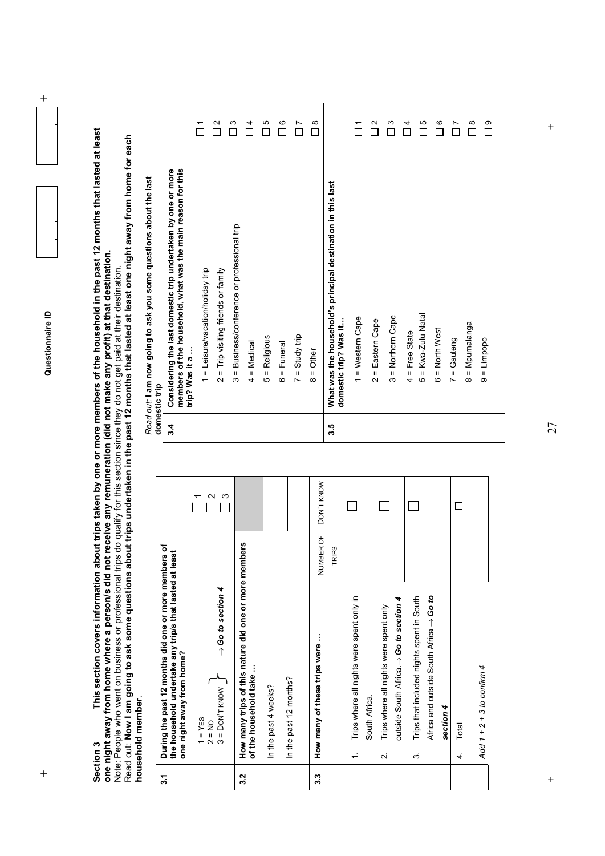**+ Questionnaire ID +** 

 $\ddot{+}$ 

Section 3 This section covers information about trips taken by one or more members of the household in the past 12 months that lasted at least<br>one night away from home where a person/s did not receive any remuneration (did **Section 3 This section covers information about trips taken by one or more members of the household in the past 12 months that lasted at least one night away from home where a person/s did not receive any remuneration (did not make any profit) at that destination.**

Note: People who went on business or professional trips do qualify for this section since they do not get paid at their destination. Read out: **Now I am going to ask some questions about trips undertaken in the past 12 months that lasted at least one night away from home for each household member**.

| 3.1 | During the past 12 months did one or more members of<br>the household undertake any trip/s that lasted at least<br>one night away from home? |           |            |
|-----|----------------------------------------------------------------------------------------------------------------------------------------------|-----------|------------|
|     | $\rightarrow$ Go to section 4<br>$1 = YES$<br>$2 = NO$<br>$3 = DON'T KNOW$                                                                   |           | ო<br>N     |
| 3.2 | How many trips of this nature did one or more members<br>of the household take                                                               |           |            |
|     | In the past 4 weeks?                                                                                                                         |           |            |
|     | In the past 12 months?                                                                                                                       |           |            |
| 3.3 | How many of these trips were                                                                                                                 | NUMBER OF | DON'T KNOW |
|     |                                                                                                                                              | TRIPS     |            |
|     | Trips where all nights were spent only in<br>South Africa.                                                                                   |           |            |
|     | outside South Africa.  → Go to section 4<br>Trips where all nights were spent only<br>$\overline{\mathbf{v}}$                                |           |            |
|     | Africa and outside South Africa $\rightarrow$ Go to<br>Trips that included nights spent in South<br>c.                                       |           |            |
|     | section 4                                                                                                                                    |           |            |
|     | Total<br>4                                                                                                                                   |           |            |
|     | Add $1 + 2 + 3$ to confirm 4                                                                                                                 |           |            |

|     | Read out: I am now going to ask you some questions about the last<br>domestic trip                                                            |          |
|-----|-----------------------------------------------------------------------------------------------------------------------------------------------|----------|
| 3.4 | members of the household, what was the main reason for this<br>Considering the last domestic trip undertaken by one or more<br>trip? Was it a |          |
|     | 1 = Leisure/vacation/holiday trip                                                                                                             | ᠇        |
|     | $2 =$ Trip visiting friends or family                                                                                                         | Ν        |
|     | = Business/conference or professional trip<br>ო                                                                                               | ო        |
|     | = Medical<br>4                                                                                                                                | 4        |
|     | = Religious<br>Ю                                                                                                                              | Ю        |
|     | = Funeral<br>ဖ                                                                                                                                | ဖ        |
|     | $=$ Study trip<br>$\overline{ }$                                                                                                              | Ľ        |
|     | $=$ Other<br>$\infty$                                                                                                                         | $\infty$ |
| 3.5 | What was the household's principal destination in this last<br>domestic trip? Was it.                                                         |          |
|     | = Western Cape<br>$\leftarrow$                                                                                                                | ᠆        |
|     | Eastern Cape<br>$\mathbf{I}$<br>$\mathbf{\Omega}$                                                                                             | Ν        |
|     | = Northern Cape<br>ო                                                                                                                          | ო        |
|     | $4$ = Free State                                                                                                                              | 4        |
|     | = Kwa-Zulu Natal<br>Ю                                                                                                                         | Ю        |
|     | 6 = North West                                                                                                                                | G        |
|     | = Gauteng<br>$\overline{ }$                                                                                                                   | Ľ        |
|     | = Mpumalanga<br>$\infty$                                                                                                                      | $\infty$ |
|     | $9 = Limp$                                                                                                                                    | တ        |

 $\ddot{}$ 

 $\overline{+}$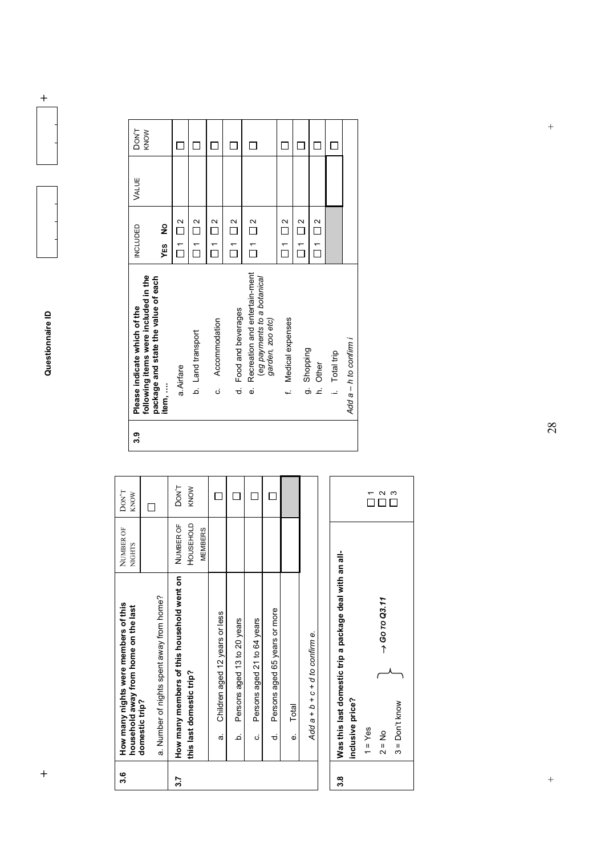**+ Questionnaire ID +** 

 $\ddot{}$ 

| ္ကိ              |                | How many nights were members of this<br>household away from home on the last | NUMBER OF<br><b>NIGHTS</b> | $DON^{\prime}T$<br>KNOW |
|------------------|----------------|------------------------------------------------------------------------------|----------------------------|-------------------------|
|                  | domestic trip? | a. Number of nights spent away from home?                                    |                            |                         |
| $\overline{3.7}$ |                | How many members of this household went on                                   | NUMBER OF                  | DON'T                   |
|                  |                | this last domestic trip?                                                     | HOUSEHOLD                  | KNOW                    |
|                  |                |                                                                              | <b>MEMBERS</b>             |                         |
|                  | <del>ർ</del>   | Children aged 12 years or less                                               |                            |                         |
|                  | م              | Persons aged 13 to 20 years                                                  |                            |                         |
|                  | Ġ              | Persons aged 21 to 64 years                                                  |                            |                         |
|                  | ಕ              | Persons aged 65 years or more                                                |                            |                         |
|                  | نه             | Total                                                                        |                            |                         |
|                  |                | Add $a + b + c + d$ to confirm $e$ .                                         |                            |                         |



| 3.9 |        | following items were included in the<br>Please indicate which of the             | <b>INCLUDED</b>  |                                                       | VALUE | DON'T<br>KNOW |
|-----|--------|----------------------------------------------------------------------------------|------------------|-------------------------------------------------------|-------|---------------|
|     | item,  | package and state the value of each                                              | YES<br>          | ş                                                     |       |               |
|     |        | a. Airfare                                                                       |                  | $\Box$ 1 $\Box$ 2                                     |       |               |
|     |        | b. Land transport                                                                | $\frac{1}{\Box}$ | $\frac{2}{\Box}$                                      |       |               |
|     | ن<br>  | Accommodation                                                                    | $\overline{\Pi}$ | $\frac{2}{\sqrt{2}}$                                  |       |               |
|     |        | d. Food and beverages                                                            |                  | $\overline{\phantom{0}}$ 1 $\overline{\phantom{0}}$ 2 |       |               |
|     | é      | Recreation and entertain-ment<br>(eg payments to a botanical<br>garden, zoo etc) |                  | $\Box$ 1 $\Box$ 2                                     |       |               |
|     |        | Medical expenses                                                                 |                  | $\overline{\square}$ 1 $\overline{\square}$ 2         |       |               |
|     |        | g. Shopping                                                                      | $\tilde{\Gamma}$ | $\frac{2}{\Box}$                                      |       |               |
|     | .<br>ع | Other                                                                            |                  | $\Box$ 1 $\Box$ 2                                     |       |               |
|     |        | i. Total trip                                                                    |                  |                                                       |       |               |
|     |        | Add a – h to confirm i                                                           |                  |                                                       |       |               |

 $\frac{1}{2}$ 

 $\frac{1}{2}$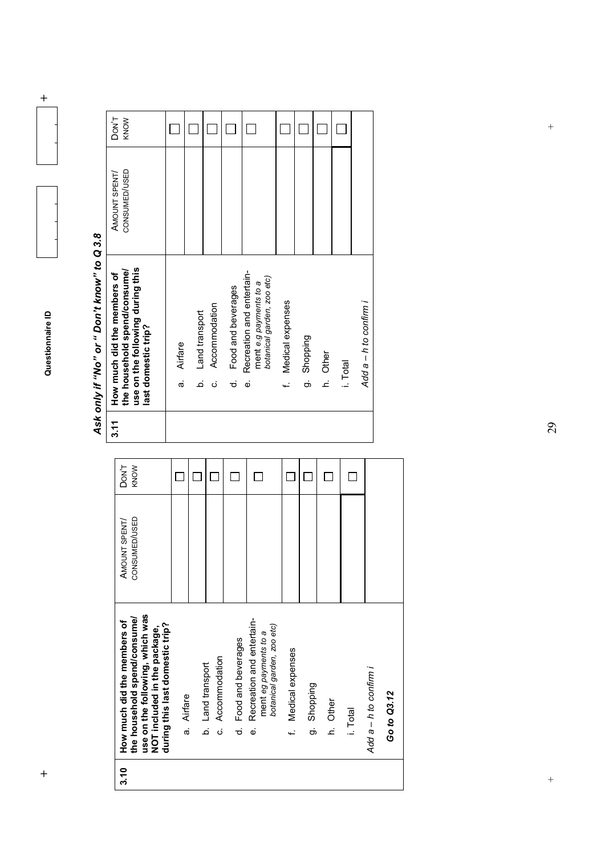

 $\ddot{+}$ 

| ć             |
|---------------|
|               |
| ć             |
| ខ្            |
|               |
|               |
|               |
| į             |
|               |
|               |
|               |
|               |
|               |
| ć             |
|               |
|               |
| .<br>`ა       |
|               |
|               |
|               |
| SIN)          |
|               |
|               |
| ١             |
| יומה          |
|               |
|               |
|               |
| $\frac{1}{2}$ |
|               |
|               |

AMOUNT SPENT/ CONSUMED/USED

AMOUNT SPENT/<br>CONSUMED/USED

DON'T KNOW

 $\Box$ 

 $\Box$ 

 $\Box$  $\Box$ 

 $\Box$ 

 $\Box$  $\Box$   $\Box$ 

 $\Box$ 

| How much did the members of | use on the following during this<br>the household spend/consume/<br>last domestic trip?                                                                           | Airfare<br>σà | Land transport<br>.<br>ف | Accommodation<br>.<br>ن | Food and beverages<br>ಕ | Recreation and entertain-<br>botanical garden, zoo etc)<br>ment e.g payments to a<br>نه | f. Medical expenses | g. Shopping    | h. Other | i. Total | Add a – h to confirm i |             |
|-----------------------------|-------------------------------------------------------------------------------------------------------------------------------------------------------------------|---------------|--------------------------|-------------------------|-------------------------|-----------------------------------------------------------------------------------------|---------------------|----------------|----------|----------|------------------------|-------------|
| 3.11                        |                                                                                                                                                                   |               |                          |                         |                         |                                                                                         |                     |                |          |          |                        |             |
|                             | DON <sup>'T</sup><br>KNOW                                                                                                                                         |               |                          |                         |                         |                                                                                         |                     |                |          |          |                        |             |
|                             | CONSUMED/USED<br>AMOUNT SPENT/                                                                                                                                    |               |                          |                         |                         |                                                                                         |                     |                |          |          |                        |             |
|                             | use on the following, which was<br>the household spend/consume/<br>How much did the members of<br>during this last domestic trip?<br>NOT included in the package, | a. Airfare    | b. Land transport        | c. Accommodation        | Food and beverages<br>ಕ | Recreation and entertain-<br>botanical garden, zoo etc)<br>ment eg payments to a<br>نه  | f. Medical expenses | Shopping<br>တ် | h. Other | i. Total | Add a - h to confirm i | Go to Q3.12 |
|                             | 3.10                                                                                                                                                              |               |                          |                         |                         |                                                                                         |                     |                |          |          |                        |             |

 $+$  + 29

 $\frac{1}{2}$ 

 $\left. +\right.$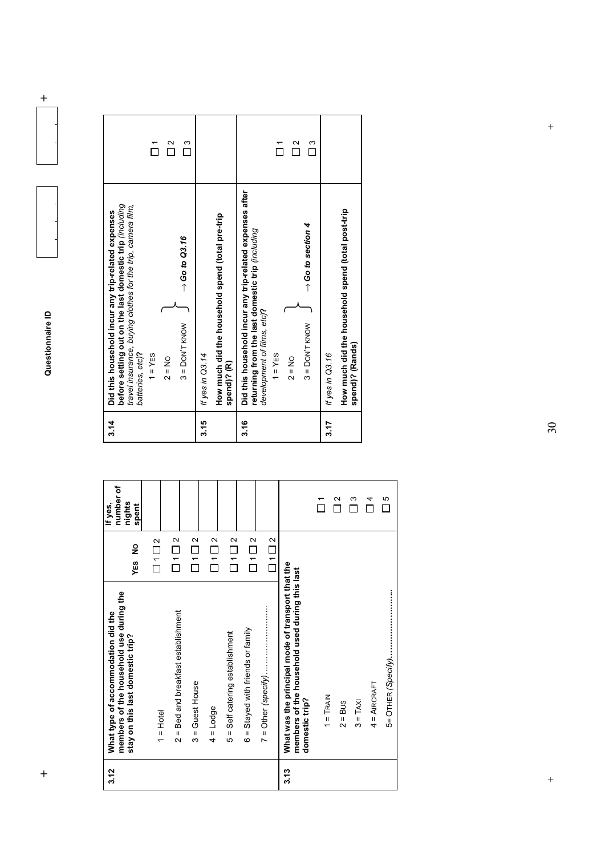**+ Questionnaire ID +**  Questionnaire ID

 $\ddot{}$ 

| 3.14 | before setting out on the last domestic trip (including<br>travel insurance, buying clothes for the trip, camera film,<br>Did this household incur any trip-related expenses<br>batteries, etc)? |                   |
|------|--------------------------------------------------------------------------------------------------------------------------------------------------------------------------------------------------|-------------------|
|      | $1 = YES$                                                                                                                                                                                        |                   |
|      | $2 = No$                                                                                                                                                                                         | $\tilde{\Gamma}$  |
|      | $\rightarrow$ Go to Q3.16<br>$3 =$ DON'T KNOW                                                                                                                                                    | ო                 |
| 3.15 | If yes in Q3.14                                                                                                                                                                                  |                   |
|      | How much did the household spend (total pre-trip<br>spend)? (R)                                                                                                                                  |                   |
| 3.16 | Did this household incur any trip-related expenses after<br>returning from the last domestic trip (including<br>development of films, etc)?                                                      |                   |
|      | $1 = YES$                                                                                                                                                                                        |                   |
|      | $2 = No$                                                                                                                                                                                         | $\mathbf{\Omega}$ |
|      | $\rightarrow$ Go to section 4<br>$3 =$ DON'T KNOW                                                                                                                                                | ო                 |
| 3.17 | If yes in Q3.16                                                                                                                                                                                  |                   |
|      | How much did the household spend (total post-trip<br>spend)? (Rands)                                                                                                                             |                   |

| 3.12 | members of the household use during the<br>What type of accommodation did the<br>stay on this last domestic trip?     | YES NO                                        | number of<br>nights<br>If yes,<br>spent |
|------|-----------------------------------------------------------------------------------------------------------------------|-----------------------------------------------|-----------------------------------------|
|      | $1 =$ Hotel                                                                                                           | $\overline{\square}$ 1 $\overline{\square}$ 2 |                                         |
|      | 2 = Bed and breakfast establishment                                                                                   | $\Box$ 1 $\Box$ 2                             |                                         |
|      | $3 = 1$ Guest House                                                                                                   | $\overline{\Box}$ 1 $\overline{\Box}$ 2       |                                         |
|      | $4 =$ Lodge                                                                                                           | $\Box$ 1 $\Box$ 2                             |                                         |
|      | 5 = Self catering establishment                                                                                       | $\overline{\square}$ 1 $\overline{\square}$ 2 |                                         |
|      | 6 = Stayed with friends or family                                                                                     | $\Box$ 1 $\Box$ 2                             |                                         |
|      |                                                                                                                       | $\overline{\square}$ 1 $\overline{\square}$ 2 |                                         |
| 3.13 | What was the principal mode of transport that the<br>members of the household used during this last<br>domestic trip? |                                               |                                         |
|      | $1 =$ TRAIN                                                                                                           |                                               | ᠇                                       |
|      | $2 = Bus$                                                                                                             |                                               | $\mathbf{\Omega}$                       |
|      | $3 = TAXI$                                                                                                            |                                               | ω                                       |
|      | $4 =$ AIRCRAFT                                                                                                        |                                               | 4                                       |
|      |                                                                                                                       |                                               | Ю<br>П                                  |

 $\ddot{}$ 

 $\frac{1}{2}$ 

 $\frac{1}{2}$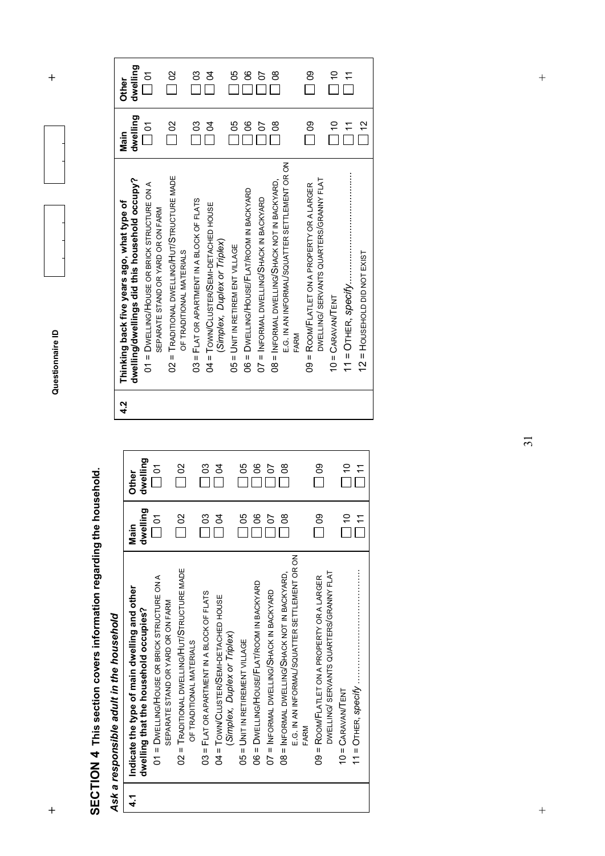**+ Questionnaire ID +**  Questionnaire ID

SECTION 4 This section covers information regarding the household.  **SECTION 4 This section covers information regarding the household.** 

Ask a responsible adult in the household *Ask a responsible adult in the household* 

| 14 | Indicate the type of main dwelling and other<br>dwelling that the household occupies?          | dwelling<br>Main            | dwelling<br><b>Other</b> |
|----|------------------------------------------------------------------------------------------------|-----------------------------|--------------------------|
|    | 01 = DWELLING/HOUSE OR BRICK STRUCTURE ON A<br>SEPARATE STAND OR YARD OR ON FARM               | $\overline{\square}$ of     | $\frac{5}{1}$            |
|    | 02 = TRADITIONAL DWELLING/HUT/STRUCTURE MADE<br>OF TRADITIONAL MATERIALS                       | $\Box$ 02                   | $\frac{1}{2}$            |
|    | 03 = FLAT OR APARTMENT IN A BLOCK OF FLATS                                                     | $\frac{3}{2}$               | $\frac{1}{3}$            |
|    | 04 = TOWN/CLUSTER/SEMI-DETACHED HOUSE<br>(Simplex, Duplex or Triplex)                          | $\overline{a}$              | $\overline{a}$           |
|    | $05 = UNIT IN RETIREMENT VILLAGE$                                                              | $\frac{5}{6}$               | 8O                       |
|    | 06 = DWELLING/HOUSE/FLAT/ROOM IN BACKYARD                                                      | $\frac{8}{1}$               | S                        |
|    | 07 = INFORMAL DWELLING/SHACK IN BACKYARD                                                       | 5                           | $\frac{1}{2}$            |
|    | E.G. IN AN INFORMAL/SQUATTER SETTLEMENT OR ON<br>08 = INFORMAL DWELLING/SHACK NOT IN BACKYARD, | $\frac{8}{1}$               | g                        |
|    | FARM                                                                                           |                             |                          |
|    | DWELLING/ SERVANTS QUARTERS/GRANNY FLAT<br>09 = ROOM/FLATLET ON A PROPERTY OR A LARGER         | $\overline{\phantom{0}}$ 09 | $\frac{80}{1}$           |
|    | $10 = C$ ARAVANTENT                                                                            | $\frac{1}{2}$               | $\frac{1}{2}$            |
|    |                                                                                                | $\frac{1}{1}$               | $\frac{1}{1}$            |

| 4.2 | Thinking back five years ago, what type of            | Main                        | Other                |
|-----|-------------------------------------------------------|-----------------------------|----------------------|
|     | dwelling/dwellings did this household occupy?         | dwelling                    | dwelling             |
|     | 01 = DWELLING/HOUSE OR BRICK STRUCTURE ON A           |                             | $\sum_{i=1}^{n}$     |
|     | SEPARATE STAND OR YARD OR ON FARM                     |                             |                      |
|     | 02 = TRADITIONAL DWELLING/HUT/STRUCTURE MADE          | $\overline{\phantom{0}}$ 02 | $\frac{2}{3}$        |
|     | OF TRADITIONAL MATERIALS                              |                             |                      |
|     | 03 = FLAT OR APARTMENT IN A BLOCK OF FLATS            | C <sub>3</sub>              | $\frac{1}{2}$        |
|     | 04 = TOWN/CLUSTER/SEMI-DETACHED HOUSE                 | S                           | Ŕ                    |
|     | (Simplex, Duplex or Triplex)                          |                             |                      |
|     | 05 = UNIT IN RETIREM ENT VILLAGE                      | 80                          | 80                   |
|     | 06 = DWELLING/HOUSE/FLAT/ROOM IN BACKYARD             | ၆                           | ၝ                    |
|     | 07 = INFORMAL DWELLING/SHACK IN BACKYARD              | 5                           | 5                    |
|     | 08 = INFORMAL DWELLING/SHACK NOT IN BACKYARD,         | 8                           | 80                   |
|     | E.G. IN AN INFORMAL/SQUATTER SETTLEMENT OR ON<br>FARM |                             |                      |
|     | 09 = ROOM/FLATLET ON A PROPERTY OR A LARGER           | $\frac{80}{2}$              | $\frac{80}{1}$       |
|     | DWELLING/ SERVANTS QUARTERS/GRANNY FLAT               |                             |                      |
|     | $10 = C$ ARAVAN/TENT                                  | $\frac{1}{1}$               | $\frac{1}{\sqrt{2}}$ |
|     |                                                       | $\frac{1}{1}$               |                      |
|     | 12 = HOUSEHOLD DID NOT EXIST                          | $\frac{2}{3}$               |                      |

31

 $+$  $\overline{+}$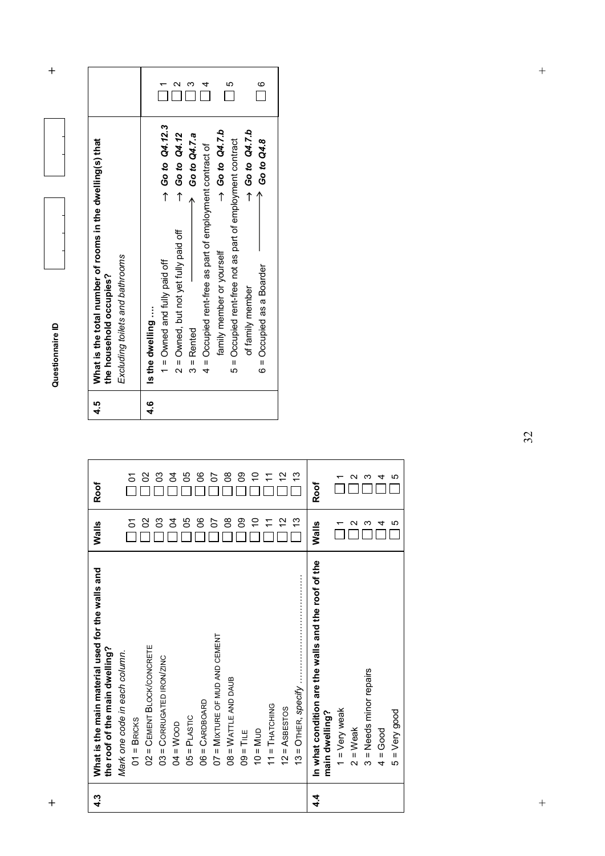**h**  $\uparrow$  **h**  $\uparrow$  **d**  $\uparrow$  **d**  $\uparrow$  **d**  $\uparrow$  **d**  $\uparrow$  **d**  $\uparrow$  **d**  $\uparrow$  **d**  $\uparrow$  **d**  $\uparrow$  **d**  $\uparrow$  **d**  $\uparrow$  **d**  $\uparrow$  **d**  $\uparrow$  **d**  $\uparrow$  **d**  $\uparrow$  **d**  $\uparrow$  **d**  $\uparrow$  **d**  $\uparrow$  **d**  $\uparrow$  **d**  $\uparrow$  **d**  $\uparrow$  **d** Questionnaire ID

 $\ddot{}$ 

| 4.5 | What is the total number of rooms in the dwelling(s) that<br>Excluding toilets and bathrooms<br>the household occupies?                                                                                                                                                                                                                                                                                                                                                                             |               |  |
|-----|-----------------------------------------------------------------------------------------------------------------------------------------------------------------------------------------------------------------------------------------------------------------------------------------------------------------------------------------------------------------------------------------------------------------------------------------------------------------------------------------------------|---------------|--|
| 4.6 | $\rightarrow$ Go to Q4.12.3<br>$\rightarrow$ Go to Q4.7.b<br>$\rightarrow$ Go to Q4.7.b<br>$\rightarrow$ Go to Q4.12<br>$\rightarrow$ Go to Q4.7.a<br>$\rightarrow$ Go to Q4.8<br>5 = Occupied rent-free not as part of employment contract<br>4 = Occupied rent-free as part of employment contract of<br>2 = Owned, but not yet fully paid off<br>family member or yourself<br>$1 =$ Owned and fully paid off<br>6 = Occupied as a Boarder<br>of family member<br>Is the dwelling<br>$3$ = Rented | $\frac{6}{1}$ |  |

| 4.3 | What is the main material used for the walls and<br>the roof of the main dwelling? | Walls  | Roof |
|-----|------------------------------------------------------------------------------------|--------|------|
|     | Mark one code in each column.                                                      |        |      |
|     | $01 = BROKS$                                                                       | δ      | δ    |
|     | 02 = CEMENT BLOCK/CONCRETE                                                         | 8      | 8    |
|     | 03 = CORRUGATED IRON/ZINC                                                          | ဥ      | င္မ  |
|     | $04 = W$ OOD                                                                       | ट      | 3    |
|     | $05 = PLASTIC$                                                                     | 8      | 80   |
|     | $06 = C$ ARDBOARD                                                                  | ၆      | ိ    |
|     | $07 =$ MIXTURE OF MUD AND CEMENT                                                   | 5      | 5    |
|     | $08 = WATTE$ AND DAUB                                                              | 8      | g    |
|     | $09 =$ TILE                                                                        | 8      | 09   |
|     | $10 = MUD$                                                                         | S      | S    |
|     | $11 = THATCHING$                                                                   |        |      |
|     | $12 =$ AsBESTOS                                                                    | 51     | 2    |
|     |                                                                                    | స      | 13   |
| 4.4 | In what condition are the walls and the roof of the                                | Walls  | Roof |
|     | main dwelling?                                                                     |        |      |
|     | $1 = V$ ery weak                                                                   |        |      |
|     | $2 = Weak$                                                                         | $\sim$ |      |
|     | $3 = Needs$ minor repairs                                                          | ო      |      |
|     | $4 = Good$                                                                         | 4      | 4    |
|     | $5 = V$ ery good                                                                   | ю      | ഥ    |

 $\qquad \qquad +$ 

 $\ddot{+}$ +<br>
+<br>
+<br>
+<br>
+<br>
+<br>
+<br>
+<br>
+<br>
+<br>
+<br>
+<br><br><br>
+<br><br>
+<br><br><br>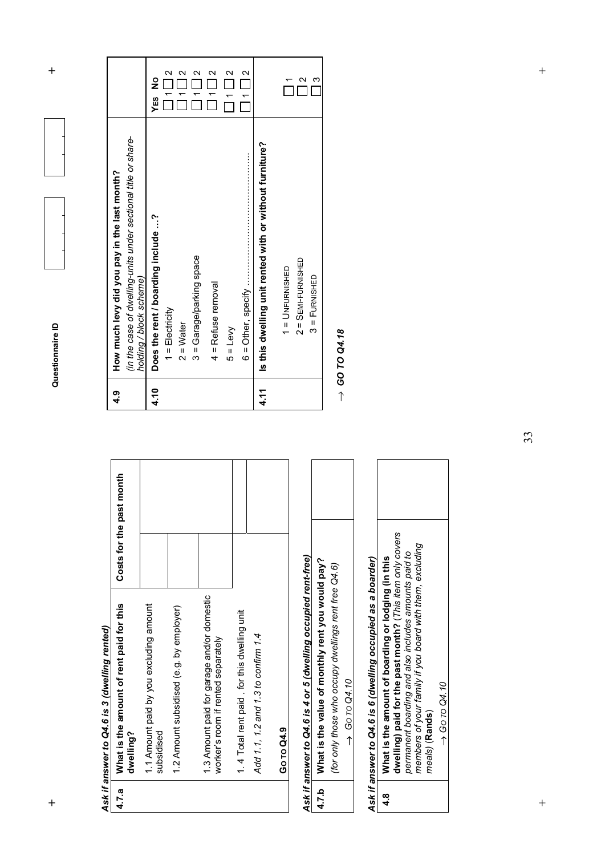**h**  $\uparrow$  **h**  $\uparrow$  **d**  $\uparrow$  **d**  $\uparrow$  **d**  $\uparrow$  **d**  $\uparrow$  **d**  $\uparrow$  **d**  $\uparrow$  **d**  $\uparrow$  **d**  $\uparrow$  **d**  $\uparrow$  **d**  $\uparrow$  **d**  $\uparrow$  **d**  $\uparrow$  **d**  $\uparrow$  **d**  $\uparrow$  **d**  $\uparrow$  **d**  $\uparrow$  **d**  $\uparrow$  **d**  $\uparrow$  **d**  $\uparrow$  **d**  $\uparrow$  **d** Questionnaire ID

Ask if answer to Q4.6 is 3 (dwelling rented) *Ask if answer to Q4.6 is 3 (dwelling rented)* 

 $\ddot{}$ 

| 4.7.a | What is the amount of rent paid for this<br>dwelling?                            | Costs for the past month |  |
|-------|----------------------------------------------------------------------------------|--------------------------|--|
|       | 1.1 Amount paid by you excluding amount<br>subsidised                            |                          |  |
|       | 1.2 Amount subsidised (e.g. by employer)                                         |                          |  |
|       | 1.3 Amount paid for garage and/or domestic<br>worker's room if rented separately |                          |  |
|       | 1.4 Total rent paid, for this dwelling unit                                      |                          |  |
|       | Add 1.1, 1.2 and 1.3 to confirm 1.4                                              |                          |  |
|       | Go To Q4.9                                                                       |                          |  |

# Ask if answer to Q4.6 is 4 or 5 (dwelling occupied rent-free) *Ask if answer to Q4.6 is 4 or 5 (dwelling occupied rent-free)*

| What is the value of monthly rent you would pay?    |
|-----------------------------------------------------|
| for only those who occupy dwellings rent free Q4.6) |
| $\rightarrow$ Go to Q4.10                           |

# Ask if answer to Q4.6 is 6 (dwelling occupied as a boarder) *Ask if answer to Q4.6 is 6 (dwelling occupied as a boarder)*

| ୍ୟ<br>4 | How much levy did you pay in the last month?                                              |                                       |
|---------|-------------------------------------------------------------------------------------------|---------------------------------------|
|         | (in the case of dwelling-units under sectional title or share-<br>holding / block scheme) |                                       |
| 4.10    | Does the rent / boarding include ?                                                        | <b>YES</b> No                         |
|         | $1 = E$ lectricity                                                                        | $\mathbf{\Omega}$<br>$\frac{1}{1}$    |
|         | $2 = Water$                                                                               | $\overline{ }$                        |
|         | 3 = Garage/parking space                                                                  | $\overline{\phantom{0}}$              |
|         | 4 = Refuse removal                                                                        | $\mathbf{\Omega}$<br>$\frac{1}{\tau}$ |
|         | $5 = Levy$                                                                                | $\mathbf{\Omega}$<br>$\overline{1}$   |
|         |                                                                                           | 1112                                  |
| 4.11    | Is this dwelling unit rented with or without furniture?                                   |                                       |
|         | $1 =$ UNFURNISHED                                                                         |                                       |
|         | $2 =$ SEMI-FURNISHED                                                                      |                                       |
|         | $3 =$ Furnished                                                                           | $\mathfrak{c}$                        |

 $\rightarrow$  GO TO Q4.18 *GO TO Q4.18* 

33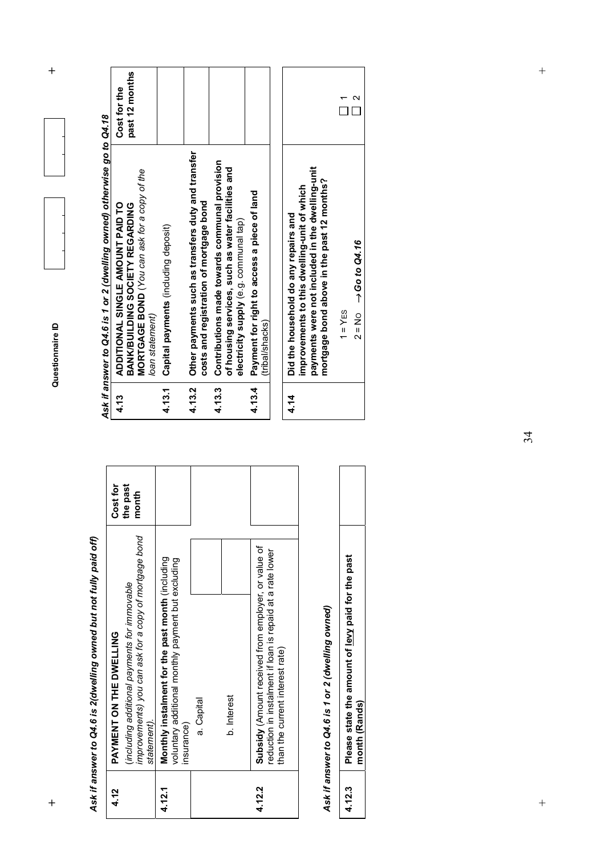**h**  $\uparrow$  **h**  $\uparrow$  **d**  $\uparrow$  **d**  $\uparrow$  **d**  $\uparrow$  **d**  $\uparrow$  **d**  $\uparrow$  **d**  $\uparrow$  **d**  $\uparrow$  **d**  $\uparrow$  **d**  $\uparrow$  **d**  $\uparrow$  **d**  $\uparrow$  **d**  $\uparrow$  **d**  $\uparrow$  **d**  $\uparrow$  **d**  $\uparrow$  **d**  $\uparrow$  **d**  $\uparrow$  **d**  $\uparrow$  **d**  $\uparrow$  **d**  $\uparrow$  **d** 

 $\ddot{}$ 

Ask if answer to Q4.6 is 2(dwelling owned but not fully paid off) *Ask if answer to Q4.6 is 2(dwelling owned but not fully paid off)* 

| 4.12   | PAYMENT ON THE DWELLING                                                                                                                             | Cost for          |
|--------|-----------------------------------------------------------------------------------------------------------------------------------------------------|-------------------|
|        | improvements) you can ask for a copy of mortgage bond<br>(including additional payments for immovable<br>statement).                                | the past<br>month |
| 4.12.1 | Monthly instalment for the past month (including<br>voluntary additional monthly payment but excluding<br>insurance)                                |                   |
|        | a. Capital                                                                                                                                          |                   |
|        | <b>b.</b> Interest                                                                                                                                  |                   |
| 4.12.2 | Subsidy (Amount received from employer, or value of<br>reduction in instalment if loan is repaid at a rate lower<br>than the current interest rate) |                   |

## Ask if answer to Q4.6 is 1 or 2 (dwelling owned) *Ask if answer to Q4.6 is 1 or 2 (dwelling owned)*

| si<br>, paid for th<br>t of lew<br>ımoun<br>esse state f |  |
|----------------------------------------------------------|--|
|                                                          |  |

|        | Ask if answer to Q4.6 is 1 or 2 (dwelling owned) otherwise go to Q4.18                                                                                                               |                                |  |
|--------|--------------------------------------------------------------------------------------------------------------------------------------------------------------------------------------|--------------------------------|--|
| 4.13   | MORTGAGE BOND (You can ask for a copy of the<br>ADDITIONAL SINGLE AMOUNT PAID TO<br>BANK/BUILDING SOCIETY REGARDING<br>loan statement)                                               | past 12 months<br>Cost for the |  |
| 4.13.1 | Capital payments (including deposit)                                                                                                                                                 |                                |  |
| 4.13.2 | Other payments such as transfers duty and transfer<br>costs and registration of mortgage bond                                                                                        |                                |  |
| 4.13.3 | Contributions made towards communal provision<br>of housing services, such as water facilities and<br>electricity supply (e.g. communal tap)                                         |                                |  |
| 4.13.4 | Payment for right to access a piece of land<br>(tribal/shacks)                                                                                                                       |                                |  |
|        |                                                                                                                                                                                      |                                |  |
| 4.14   | payments were not included in the dwelling-unit<br>mortgage bond above in the past 12 months?<br>improvements to this dwelling-unit of which<br>Did the household do any repairs and |                                |  |

 $\sim$   $\alpha$ 

 $\ddot{}$ 

 $\qquad \qquad +$ 

 $\ddot{+}$ +<br>
+<br>
+<br>
+<br>
+<br>
+<br>
+<br>
+<br>
+<br>
+<br>
+<br>
+<br><br><br>
+<br><br>
+<br><br><br>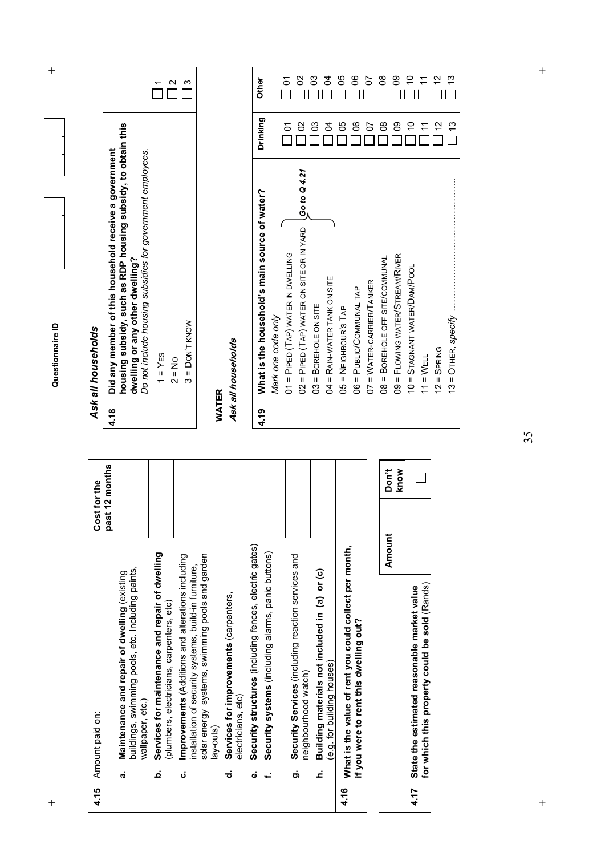| 4.15 |    | Amount paid on:                                                                                                       | Cost for the    |      | Ask all households                                                                                            |
|------|----|-----------------------------------------------------------------------------------------------------------------------|-----------------|------|---------------------------------------------------------------------------------------------------------------|
|      |    |                                                                                                                       | past 12 months  | 4.18 | Did any member of this household                                                                              |
|      | ι, | buildings, swimming pools, etc. Including paints,<br>Maintenance and repair of dwelling (existing<br>wallpaper, etc.) |                 |      | housing subsidy, such as RDP hou<br>Do not include housing subsidies for g<br>dwelling or any other dwelling? |
|      | م  | aintenance and repair of dwelling<br>(plumbers, electricians, carpenters, etc)<br>Services for m                      |                 |      | $1 = YES$<br>$2 = No$                                                                                         |
|      | ن  | Improvements (Additions and alterations including<br>nstallation of security systems, build-in furniture,             |                 |      | $3 =$ Don't know                                                                                              |
|      |    | solar energy systems, swimming pools and garden<br>lay-outs)                                                          |                 |      | WATER                                                                                                         |
|      | ಕ  | Services for improvements (carpenters,<br>electricians, etc)                                                          |                 |      | Ask all households                                                                                            |
|      | ق  | Security structures (including fences, electric gates)                                                                |                 |      |                                                                                                               |
|      | ÷, | Security systems (including alarms, panic buttons)                                                                    |                 | 4.19 | What is the household's main sour<br>Mark one code only                                                       |
|      |    |                                                                                                                       |                 |      | 01 = PIPED (TAP) WATER IN DWELLING                                                                            |
|      | တ် | ces (including reaction services and<br>neighbourhood watch)<br>Security Servi                                        |                 |      | 02 = PIPED (TAP) WATER ON SITE OR IN Y                                                                        |
|      | ċ  | Building materials not included in (a) or (c)                                                                         |                 |      | 03 = BOREHOLE ON SITE                                                                                         |
|      |    | (e.g. for building houses)                                                                                            |                 |      | 04 = RAIN-WATER TANK ON SITE                                                                                  |
| 4.16 |    | What is the value of rent you could collect per month,                                                                |                 |      | $05 = NEIGHBOUR'S TAP$                                                                                        |
|      |    | this dwelling out?<br>if you were to rent                                                                             |                 |      | 06 = PUBLIC/COMMUNAL TAP                                                                                      |
|      |    |                                                                                                                       |                 |      | 07 = WATER-CARRIER/TANKER                                                                                     |
|      |    |                                                                                                                       | Don't<br>Amount |      | 08 = BOREHOLE OFF SITE/COMMUNAL                                                                               |
|      |    |                                                                                                                       | know            |      | 09 = FLOWING WATER/STREAM/RIVER                                                                               |
| 4.17 |    | berty could be sold (Rands)<br>State the estimated reasonable market value<br>for which this prop                     |                 |      | 10 = STAGNANT WATER/DAM/POOL<br>$11 = WELL$                                                                   |

| ASK all nousenoids | housing subsidy, such as RDP housing subsidy, to obtain this<br>4.18   Did any member of this household receive a government<br>Do not include housing subsidies for government employees.<br>dwelling or any other dwelling? | $1 = YES$ | $2 = N_0$ | $3 =$ DON'T KNOW |
|--------------------|-------------------------------------------------------------------------------------------------------------------------------------------------------------------------------------------------------------------------------|-----------|-----------|------------------|
|                    |                                                                                                                                                                                                                               |           |           |                  |

Questionnaire ID

| 4.19 | What is the household's main source of water?                               | Drinking       | <b>Other</b>         |
|------|-----------------------------------------------------------------------------|----------------|----------------------|
|      | Mark one code only                                                          |                |                      |
|      | 01 = PIPED (TAP) WATER IN DWELLING                                          | $\frac{5}{1}$  | $\frac{1}{\sqrt{2}}$ |
|      | $02$ = PIPED (TAP) WATER ON SITE OR IN YARD $\bigcup_{i=1}^n$ (30 to Q 4.21 | $\frac{2}{3}$  | 8                    |
|      | 03 = BOREHOLE ON SITE                                                       | C <sub>3</sub> | 3                    |
|      | 04 = RAIN-WATER TANK ON SITE                                                | S<br>4         | 24                   |
|      | $05 = NEIGHBOUR'S TAP$                                                      | 80             | 95                   |
|      | 06 = PUBLIC/COMMUNAL TAP                                                    | °0             | ၆                    |
|      | 07 = WATER-CARRIER/TANKER                                                   | $\frac{2}{3}$  | 5                    |
|      | 08 = BOREHOLE OFF SITE/COMMUNAL                                             | $\frac{8}{2}$  | $\frac{8}{2}$        |
|      | 09 = FLOWING WATER/STREAM/RIVER                                             | <u>၉</u>       | ဥ                    |
|      | 10 = STAGNANT WATER/DAM/POOL                                                |                |                      |
|      | $11 = WELL$                                                                 |                |                      |
|      | $12 =$ SPRING                                                               | $\frac{1}{2}$  |                      |
|      |                                                                             | $\frac{13}{2}$ | <u>ლ</u>             |

35

 $\ddot{+}$ +<br>
+<br>
+<br>
+<br>
+<br>
+<br>
+<br>
+<br>
+<br>
+<br>
+<br>
+<br><br><br>
+<br><br>
+<br><br><br>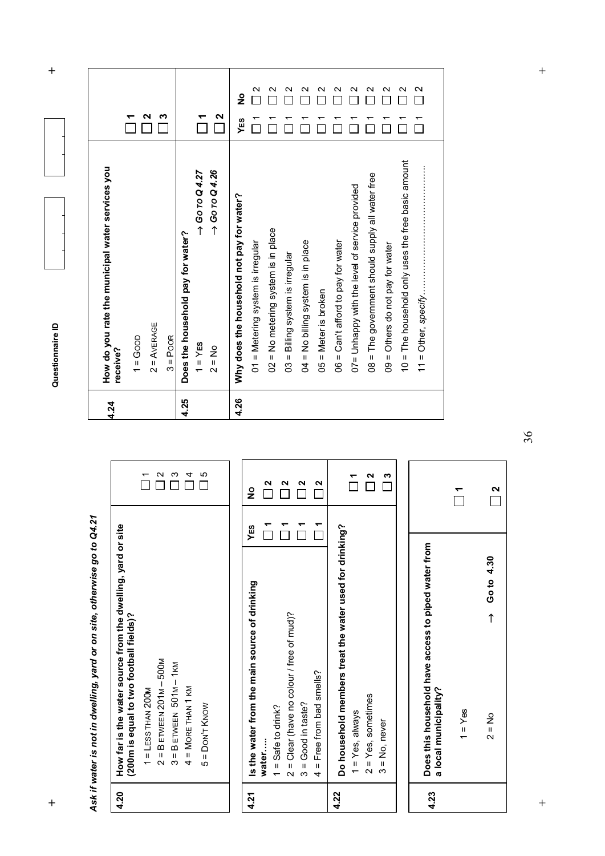Questionnaire ID

**h**  $\uparrow$  **h**  $\uparrow$  **d**  $\uparrow$  **d**  $\uparrow$  **d**  $\uparrow$  **d**  $\uparrow$  **d**  $\uparrow$  **d**  $\uparrow$  **d**  $\uparrow$  **d**  $\uparrow$  **d**  $\uparrow$  **d**  $\uparrow$  **d**  $\uparrow$  **d**  $\uparrow$  **d**  $\uparrow$  **d**  $\uparrow$  **d**  $\uparrow$  **d**  $\uparrow$  **d**  $\uparrow$  **d**  $\uparrow$  **d**  $\uparrow$  **d**  $\uparrow$  **d** 

| 4.24 | How do you rate the municipal water services you     |     |                   |
|------|------------------------------------------------------|-----|-------------------|
|      | receive?                                             |     |                   |
|      | $1 = G$ oop                                          |     |                   |
|      | $2 = AVERAGE$                                        | ี่  |                   |
|      | $3 = POOR$                                           | m   |                   |
| 4.25 | Does the household pay for water?                    |     |                   |
|      | $\rightarrow$ Go $\overline{0}$ Q 4.27<br>$1 = Y$ ES |     |                   |
|      | $\rightarrow$ Go To Q 4.26<br>$2 = No$               | 2   |                   |
| 4.26 | Why does the household not pay for water?            | YES | $\frac{1}{2}$     |
|      | 01 = Metering system is irregular                    |     | Ν                 |
|      | 02 = No metering system is in place                  |     | $\sim$            |
|      | 03 = Billing system is irregular                     |     | $\mathbf \sim$    |
|      | $04 = No$ billing system is in place                 |     | $\mathbf{\Omega}$ |
|      | $05 =$ Meter is broken                               |     | $\mathbf \Omega$  |
|      | $06 = Can't$ afford to pay for water                 |     | $\mathbf{\sim}$   |
|      | 07= Unhappy with the level of service provided       |     | $\mathbf \sim$    |
|      | 08 = The government should supply all water free     |     | Ν                 |
|      | 09 = Others do not pay for water                     |     | И                 |
|      | 10 = The household only uses the free basic amount   |     | $\mathbf{\sim}$   |
|      |                                                      |     | $\mathbf{\Omega}$ |
|      |                                                      |     |                   |

Ask if water is not in dwelling, yard or on site, otherwise go to Q4.21 *Ask if water is not in dwelling, yard or on site, otherwise go to Q4.21* 

| 4.20 | How far is the water source from the dwelling, yard or site<br>(200m is equal to two football fields)? |     |                 |
|------|--------------------------------------------------------------------------------------------------------|-----|-----------------|
|      | $2 = B$ ETWEEN 201M - 500M<br>$1 =$ LESS THAN 200M                                                     |     | $\mathbf{\sim}$ |
|      | $3 = B$ ETWEEN $501M - 1KM$                                                                            |     | က               |
|      | $4 =$ MORE THAN 1 KM                                                                                   |     | 4               |
|      | $5 =$ Don't Know                                                                                       |     | 5               |
|      |                                                                                                        |     |                 |
| 4.21 | Is the water from the main source of drinking                                                          | YES | $\frac{1}{2}$   |
|      | water                                                                                                  |     | 2               |
|      | $1 =$ Safe to drink?                                                                                   |     |                 |
|      | $2 =$ Clear (have no colour / free of mud)?                                                            |     | Ν               |
|      | $3 = Good$ in taste?                                                                                   |     | N               |
|      | Free from bad smells?<br>$\frac{1}{4}$                                                                 |     | N               |
| 4.22 | Do household members treat the water used for drinking?                                                |     |                 |
|      | $1 = Yes$ , always                                                                                     |     |                 |
|      | $2 = Yes$ , sometimes                                                                                  |     | N               |
|      | $3 = No$ , never                                                                                       |     | ω               |
|      |                                                                                                        |     |                 |
| 4.23 | Does this household have access to piped water from<br>a local municipality?                           |     |                 |

36

 $1 = Yes$ 

**1** 

 **2** 

**2.400 ←** ON → Quest → Quest → Quest → Quest → Quest → Quest → Quest → Quest → Quest → Quest → Quest → Quest → Quest → Quest → Quest → Quest → Quest → Quest → Quest → Quest → Quest → Quest → Quest → Quest → Quest → Quest → Qu

 $2 = No$ 

 $\ddot{}$ 

 $\rightarrow$  Go to 4.30

+<br>
+<br>
+<br>
+<br>
+<br>
+<br>
+<br>
+<br>
+<br>
+<br>
+<br>
+<br><br><br>
+<br><br>
+<br><br><br>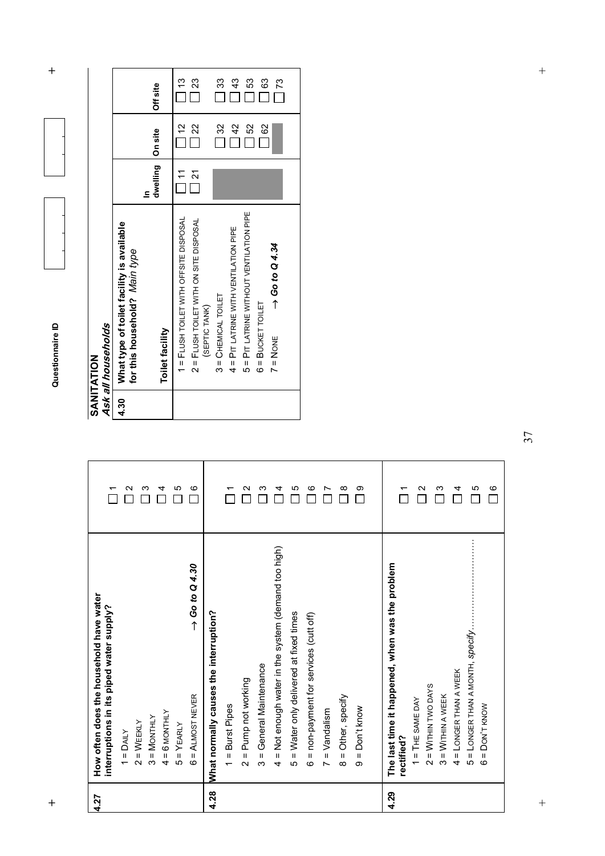| п<br>₹<br>۱<br>۶<br>U. |  |
|------------------------|--|
|                        |  |
|                        |  |
|                        |  |
|                        |  |
|                        |  |
|                        |  |

|      | Ask all households                                                         |                      |                |                 |
|------|----------------------------------------------------------------------------|----------------------|----------------|-----------------|
| 4.30 | What type of toilet facility is available<br>for this household? Main type |                      |                |                 |
|      | <b>Toilet facility</b>                                                     | dwelling<br>£        | On site        | Off site        |
|      | 1 = FLUSH TOILET WITH OFFSITE DISPOSAL                                     | $\tilde{\mathbf{r}}$ | $\frac{1}{2}$  | $\frac{13}{2}$  |
|      | 2 = FLUSH TOILET WITH ON SITE DISPOSAL<br>(SEPTIC TANK)                    | $\frac{21}{2}$       | $\frac{22}{5}$ | 23              |
|      | $3 =$ CHEMICAL TOILET                                                      |                      | $\frac{3}{2}$  | 33              |
|      | 4 = PIT LATRINE WITH VENTILATION PIPE                                      |                      | $\frac{2}{3}$  | $\frac{3}{4}$   |
|      | 5 = PIT LATRINE WITHOUT VENTILATION PIPE                                   |                      | S)             | 53              |
|      | $6 = BUCKET TOILET$                                                        |                      | 8              | $\frac{63}{2}$  |
|      | $\rightarrow$ Go to Q 4.34<br>$7 = N$ ONE                                  |                      |                | $\overline{73}$ |
|      |                                                                            |                      |                |                 |

| 4.27 | How often does the household have water                       |          |
|------|---------------------------------------------------------------|----------|
|      | interruptions in its piped water supply?                      |          |
|      | $1 =$ DAILY                                                   | Ν        |
|      | $2 = WEENLY$                                                  | ო        |
|      | $3 = M$ ONTHLY                                                |          |
|      | <b>6 MONTHLY</b><br>$\frac{1}{4}$                             | 4        |
|      | $5 = YEARLY$                                                  | <u>က</u> |
|      | $\rightarrow$ Go to Q 4.30<br>6 = ALMOST NEVER                | G        |
| 4.28 | What normally causes the interruption?                        |          |
|      | = Burst Pipes<br>$\overline{ }$                               |          |
|      | = Pump not working<br>$\mathbf{\Omega}$                       | ∾        |
|      | = General Maintenance<br>ო                                    | ო        |
|      | = Not enough water in the system (demand too high)<br>4       | ↴        |
|      | = Water only delivered at fixed times<br>ယ                    | ഥ        |
|      | = non-payment for services (cutt off)<br>$\circ$              | ဖ        |
|      | $=$ $V$ andalism<br>$\overline{ }$                            |          |
|      | = Other, specify<br>$\infty$                                  | $\infty$ |
|      | $=$ Don't know<br>တ                                           | တ        |
|      |                                                               |          |
| 4.29 | The last time it happened, when was the problem<br>rectified? |          |
|      | $1 = THE$ SAME DAY                                            |          |
|      | $2 = W$ ITHIN TWO DAYS                                        | N        |
|      | $3 =$ Within a week                                           | ო        |
|      | 4 = LONGER THAN A WEEK                                        | 4        |
|      | 5 = LONGER THAN A MONTH, Specify                              | ю        |
|      | $6 =$ Don't know                                              | G        |

37

 $\overline{+}$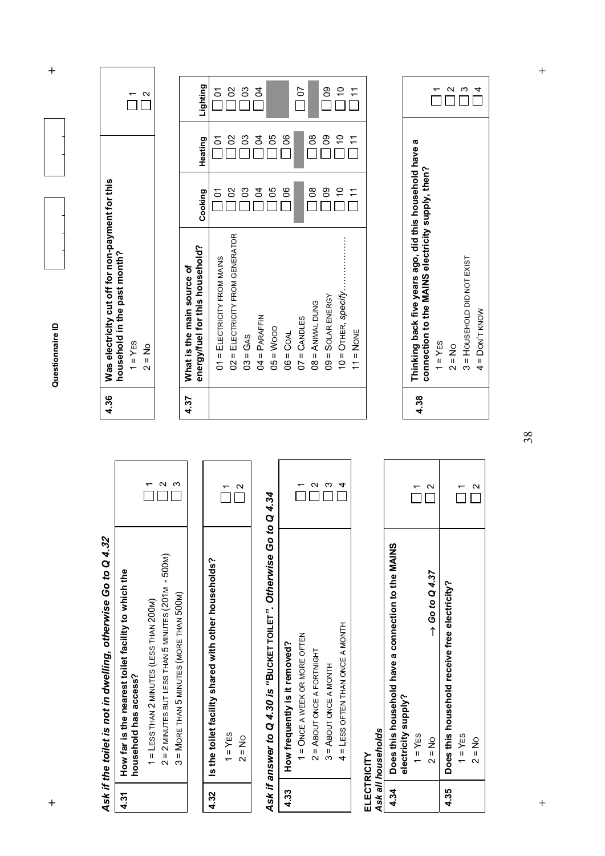Questionnaire ID

**h**  $\uparrow$  **h**  $\uparrow$  **d**  $\uparrow$  **d**  $\uparrow$  **d**  $\uparrow$  **d**  $\uparrow$  **d**  $\uparrow$  **d**  $\uparrow$  **d**  $\uparrow$  **d**  $\uparrow$  **d**  $\uparrow$  **d**  $\uparrow$  **d**  $\uparrow$  **d**  $\uparrow$  **d**  $\uparrow$  **d**  $\uparrow$  **d**  $\uparrow$  **d**  $\uparrow$  **d**  $\uparrow$  **d**  $\uparrow$  **d**  $\uparrow$  **d**  $\uparrow$  **d** 

# Ask if the toilet is not in dwelling, otherwise Go to Q 4.32 *Ask if the toilet is not in dwelling, otherwise Go to Q 4.***32**

 $\ddot{}$ 

| 4.31   How far is the nearest toilet facility to which the<br>nousehold has access? | 1 = LESS THAN 2 MINUTES (LESS THAN 200M) | $2 = 2$ MINUTES BUT LESS THAN 5 MINUTES (201M - 500M) | 3 = MORE THAN 5 MINUTES (MORE THAN 500M) |
|-------------------------------------------------------------------------------------|------------------------------------------|-------------------------------------------------------|------------------------------------------|
|                                                                                     |                                          |                                                       |                                          |

|                                                      |                            | Ν                  |
|------------------------------------------------------|----------------------------|--------------------|
| Is the toilet facility shared with other households? | <b>YES</b><br>$\mathbf{u}$ | $\frac{8}{1}$<br>Ń |
|                                                      |                            |                    |

# Ask if answer to Q 4.30 is "BuckET TOILET". Otherwise Go to Q 4.34 *Ask if answer to Q 4.30 is "***BUCKET TOILET***". Otherwise Go to Q 4.34*

|                               |                               |                            | $\frac{1}{3}$            |                                  |
|-------------------------------|-------------------------------|----------------------------|--------------------------|----------------------------------|
| How frequently is it removed? | 1 = ONCE A WEEK OR MORE OFTEN | 2 = ABOUT ONCE A FORTNIGHT | $3 =$ ABOUT ONCE A MONTH | 4 = LESS OFTEN THAN ONCE A MONTH |
| 4.33                          |                               |                            |                          |                                  |

#### ELECTRICITY<br>Ask all households *Ask all households* **ELECTRICITY**

| 4.34 | Does this household have a connection to the MAINS<br>electricity supply? |                            |               |
|------|---------------------------------------------------------------------------|----------------------------|---------------|
|      | $1 = YES$                                                                 |                            | ↽             |
|      | $2 = N_O$                                                                 | $\rightarrow$ Go to Q 4.37 | $\frac{1}{2}$ |
|      | 4.35   Does this household receive free electricity?                      |                            |               |
|      | $1 = YES$                                                                 |                            |               |
|      | $2 = No$                                                                  |                            | 2             |

| Was electricity cut off for non-payment for this<br>nousehold in the past month? |  |
|----------------------------------------------------------------------------------|--|
| $=$ Y <sub>ES</sub>                                                              |  |
| $\frac{2}{3}$                                                                    |  |

<u>่</u> ผ

| 4.37 | energy/fuel for this household?<br>What is the main source of | Cooking        | Heating         | Lighting        |
|------|---------------------------------------------------------------|----------------|-----------------|-----------------|
|      | 01 = ELECTRICITY FROM MAINS                                   | $\frac{5}{1}$  | $\frac{5}{1}$   | $\frac{5}{1}$   |
|      | 02 = ELECTRICITY FROM GENERATOR                               | $\frac{8}{1}$  | $\frac{1}{2}$   | 02              |
|      | $03 = GAS$                                                    | $\frac{3}{2}$  | 3               | 03              |
|      | $04 = P$ ARAFFIN                                              | $\overline{5}$ | $\overline{5}$  | $\overline{6}$  |
|      | $05 = W$ OOD                                                  | $\frac{50}{2}$ | 99              |                 |
|      | $06 = CoAL$                                                   | 06             | $\frac{1}{100}$ |                 |
|      | $07 =$ CANDLES                                                |                |                 | $\frac{10}{2}$  |
|      | $OS = ANIMAL DUNG$                                            | $\frac{80}{ }$ | $\frac{80}{2}$  |                 |
|      | $09 = SOLAR$ ENERGY                                           | ဥ၀             | ၜ               | $\frac{80}{1}$  |
|      | $10 =$ O <sub>THER</sub> , specify                            | $\frac{1}{2}$  |                 |                 |
|      | $11 = NONE$                                                   | $\tilde{\tau}$ |                 | $\overline{11}$ |
|      |                                                               |                |                 |                 |

| 4.38 | Thinking back five years ago, did this household have a<br>connection to the MAINS electricity supply, then? |   |
|------|--------------------------------------------------------------------------------------------------------------|---|
|      | $1 = YES$                                                                                                    |   |
|      | $2 = No$                                                                                                     | N |
|      | 3 = HOUSEHOLD DID NOT EXIST                                                                                  | ო |
|      | 4 = DON'T KNOW                                                                                               | 4 |

 $\overline{+}$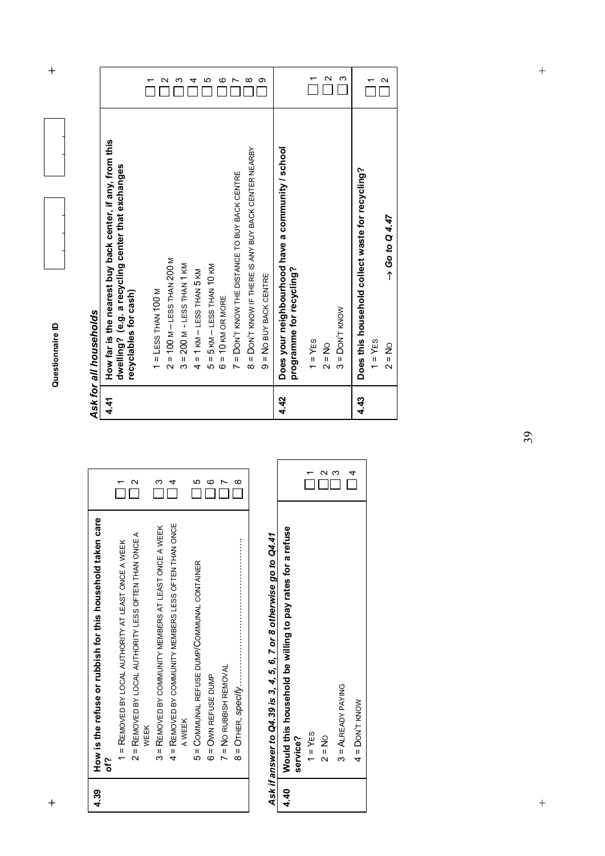| $\ddag$          |                                                                    |                                                           |                                                     |                                                               |                                                       | $\mathbf \sim$                                        | ∞                            |                                             | ഥ                                   | ဖ                        |                                              | ∞                                                     | ග                                                                  |                                                                               | ᡪ         | $\mathbf{\sim}$ | က                        |                                                  |            | $\mathbf{\Omega}$          |
|------------------|--------------------------------------------------------------------|-----------------------------------------------------------|-----------------------------------------------------|---------------------------------------------------------------|-------------------------------------------------------|-------------------------------------------------------|------------------------------|---------------------------------------------|-------------------------------------|--------------------------|----------------------------------------------|-------------------------------------------------------|--------------------------------------------------------------------|-------------------------------------------------------------------------------|-----------|-----------------|--------------------------|--------------------------------------------------|------------|----------------------------|
|                  |                                                                    | How far is the nearest buy back center, if any, from this | dwelling? (e.g. a recycling center that exchanges   |                                                               |                                                       |                                                       |                              |                                             |                                     |                          | = DON'T KNOW THE DISTANCE TO BUY BACK CENTRE | 8 = DON'T KNOW IF THERE IS ANY BUY BACK CENTER NEARBY |                                                                    | Does your neighbourhood have a community / school                             |           |                 |                          | Does this household collect waste for recycling? |            | $\rightarrow$ Go to Q 4.47 |
| Questionnaire ID | Ask for all households                                             | 4.41                                                      |                                                     | recyclables for cash)<br>$\mathbf{\sim}$                      | $1 =$ LESS THAN $100$ M<br>ო                          | $2 = 100$ M $-$ LESS THAN 200 M<br>4                  | $3 = 200$ M - LESS THAN 1 KM | $4 = 1$ KM $-$ LESS THAN 5 KM<br>5          | $5 = 5$ KM $-$ LESS THAN 10 KM<br>ဖ | $6 = 10$ KM OR MORE<br>Ľ | ∞                                            |                                                       | = NO BUY BACK CENTRE<br>တ                                          | programme for recycling?<br>4.42                                              | $1 = YES$ | $2 = No$<br>N   | $=$ DON'T KNOW<br>က<br>က | 4.43<br>4                                        | $1 = Y$ ES | $2 = No$                   |
| $\,{}^+$         | How is the refuse or rubbish for this household taken care<br>4.39 | ρf?                                                       | 1 = REMOVED BY LOCAL AUTHORITY AT LEAST ONCE A WEEK | 2 = REMOVED BY LOCAL AUTHORITY LESS OFTEN THAN ONCE A<br>WEEK | 3 = REMOVED BY COMMUNITY MEMBERS AT LEAST ONCE A WEEK | 4 = REMOVED BY COMMUNITY MEMBERS LESS OFTEN THAN ONCE | A WEEK                       | 5 = COMMUNAL REFUSE DUMP/COMMUNAL CONTAINER | 6 = Own REFUSE DUMP                 | $7 = NO$ RUBBISH REMOVAL | $8 =$ OTHER, specify                         |                                                       | Ask if answer to Q4.39 is 3, 4, 5, 6, 7 or 8 otherwise go to Q4.41 | Would this household be willing to pay rates for a refuse<br>service?<br>4.40 | $1 = YES$ | $2 = No$        | $3 =$ ALREADY PAYING     | 4 = DON'T KNOW                                   |            |                            |

4.39

4.40

39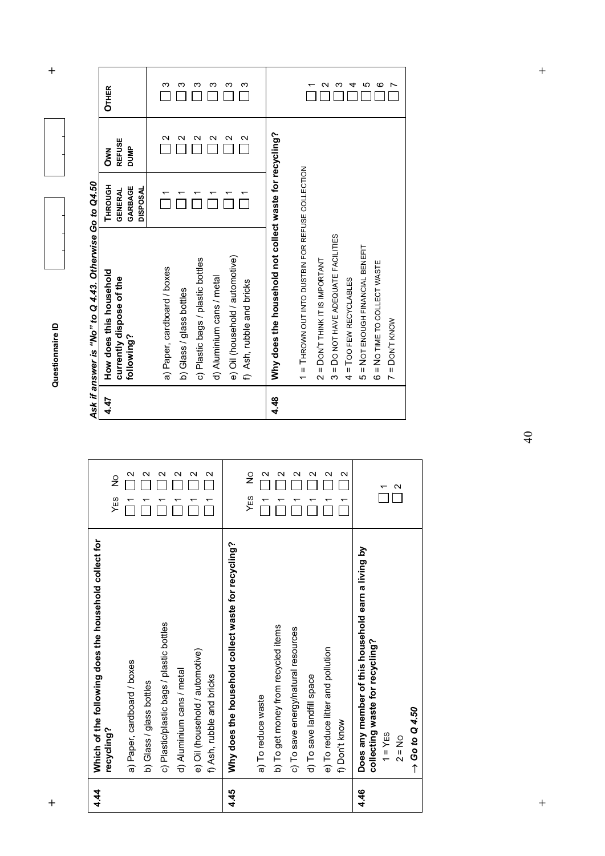|   | Г          |
|---|------------|
|   |            |
|   |            |
|   |            |
|   |            |
|   |            |
|   |            |
|   |            |
|   |            |
|   |            |
|   |            |
|   |            |
|   |            |
|   |            |
|   |            |
|   |            |
|   |            |
|   |            |
|   |            |
|   |            |
|   |            |
|   |            |
|   |            |
|   |            |
|   |            |
|   |            |
|   |            |
|   |            |
|   |            |
|   |            |
|   |            |
|   |            |
|   |            |
|   |            |
|   |            |
|   |            |
|   |            |
|   |            |
|   |            |
|   |            |
|   |            |
|   |            |
|   |            |
|   |            |
|   |            |
|   |            |
|   |            |
|   |            |
|   |            |
|   |            |
|   |            |
|   |            |
|   |            |
|   |            |
|   |            |
|   |            |
|   |            |
|   |            |
| × | ׇ֚֚֡֬<br>۲ |

 $\ddot{}$ 

| Ş<br>č                  |  |
|-------------------------|--|
| $5e$ Go to              |  |
|                         |  |
| i                       |  |
|                         |  |
| I                       |  |
|                         |  |
| $\sim$ 01 $\mu$ 0 $\mu$ |  |
|                         |  |
| L.<br>į<br>i            |  |
| J                       |  |
| <br>د                   |  |
|                         |  |

| Ν<br>$\frac{0}{2}$<br>$\epsilon$    | 4.47 | Ask if answer is "No" to Q 4.43. Otherwise Go to Q4.50<br>How does this household<br>currently dispose of the<br>following?                                  | THROUGH<br>GARBAGE<br><b>DISPOSAL</b><br><b>GENERAL</b> | <b>REFUSE</b><br><b>DUMP</b><br>Š                                 | <b>OTHER</b>          |
|-------------------------------------|------|--------------------------------------------------------------------------------------------------------------------------------------------------------------|---------------------------------------------------------|-------------------------------------------------------------------|-----------------------|
| $\mathbf{\sim}$<br>N<br>Ν<br>N<br>Ν |      | e) Oil (household / automotive)<br>c) Plastic bags / plastic bottles<br>a) Paper, cardboard / boxes<br>d) Aluminium cans / metal<br>b) Glass / glass bottles |                                                         | $\mathbf{\Omega}$<br>$\mathbf{\sim}$<br>N<br>$\mathbf{\sim}$<br>Ν | ო<br>ო<br>ო<br>ო<br>ო |
| $\frac{1}{2}$<br>$\omega$           |      | f) Ash, rubble and bricks                                                                                                                                    |                                                         | N                                                                 | ო                     |
| $\mathbf{\Omega}$<br>Ν              | 4.48 | Why does the household not collect waste for recycling?                                                                                                      |                                                         |                                                                   |                       |
| $\sim$<br>$\mathbf{\Omega}$         |      | 1 = THROWN OUT INTO DUSTBIN FOR REFUSE COLLECTION<br>$2 =$ DON'T THINK IT IS IMPORTANT                                                                       |                                                         |                                                                   |                       |
| $\sim$                              |      | 3 = DO NOT HAVE ADEQUATE FACILITIES                                                                                                                          |                                                         |                                                                   | Ν<br>ო                |
| $\sim$                              |      | = NOT ENOUGH FINANCIAL BENEFIT<br>$4 = 100$ FEW RECYCLABLES<br>Ю                                                                                             |                                                         |                                                                   | LO<br>4               |
| ᡪ                                   |      | 6 = NO TIME TO COLLECT WASTE<br>$7 =$ DON'T KNOW                                                                                                             |                                                         |                                                                   | ဖ                     |
| $\mathbf{\Omega}$                   |      |                                                                                                                                                              |                                                         |                                                                   |                       |

| 4.44 | Which of the following does the household collect for                                 |                      |
|------|---------------------------------------------------------------------------------------|----------------------|
|      | recycling?                                                                            | $\frac{0}{2}$<br>YES |
|      | a) Paper, cardboard / boxes                                                           | $\mathbf{\Omega}$    |
|      | b) Glass / glass bottles                                                              | Ν                    |
|      | c) Plastic/plastic bags / plastic bottles                                             | $\mathbf{\sim}$      |
|      | d) Aluminium cans / metal                                                             | Ν                    |
|      | e) Oil (household / automotive)                                                       | $\mathbf{\sim}$      |
|      | f) Ash, rubble and bricks                                                             | Ν                    |
| 4.45 | Why does the household collect waste for recycling?                                   |                      |
|      |                                                                                       | $\frac{1}{2}$<br>YES |
|      | a) To reduce waste                                                                    | $\mathbf{\Omega}$    |
|      | b) To get money from recycled items                                                   | Ν                    |
|      | c) To save energy/natural resources                                                   | Ν                    |
|      | d) To save landfill space                                                             | $\mathbf \alpha$     |
|      | e) To reduce litter and pollution                                                     | $\sim$               |
|      | f) Don't know                                                                         | Ν                    |
| 4.46 | Does any member of this household earn a living by<br>collecting waste for recycling? |                      |
|      | $1 = YES$                                                                             |                      |
|      | $2 = No$                                                                              | $\mathbf{\Omega}$    |
|      | $\rightarrow$ Go to Q 4.50                                                            |                      |

40

 $+$ 

 $\qquad \qquad +$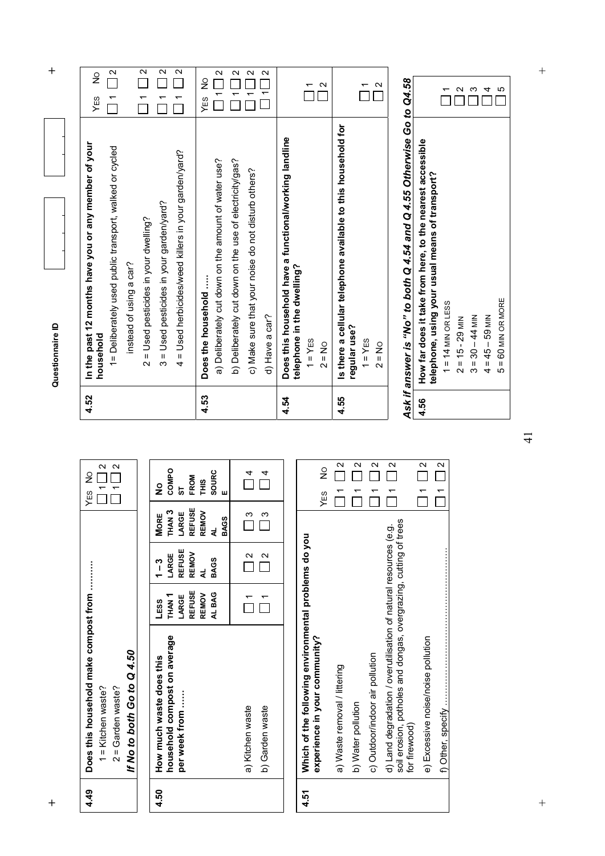$\ddot{}$ **h**  $\uparrow$  **h**  $\uparrow$  **d**  $\uparrow$  **d**  $\uparrow$  **d**  $\uparrow$  **d**  $\uparrow$  **d**  $\uparrow$  **d**  $\uparrow$  **d**  $\uparrow$  **d**  $\uparrow$  **d**  $\uparrow$  **d**  $\uparrow$  **d**  $\uparrow$  **d**  $\uparrow$  **d**  $\uparrow$  **d**  $\uparrow$  **d**  $\uparrow$  **d**  $\uparrow$  **d**  $\uparrow$  **d**  $\uparrow$  **d**  $\uparrow$  **d**  $\uparrow$  **d** 

|                                                                 |                                   |              |                                               | Questionnaire ID        |
|-----------------------------------------------------------------|-----------------------------------|--------------|-----------------------------------------------|-------------------------|
| 4.49   Does this household make compost from                    |                                   |              | YES NO                                        | 4.52   In the past 12 m |
| 1 = Kitchen waste?                                              |                                   |              | $\Box$ 1 $\Box$ 2                             | household               |
| 2 = Garden waste?                                               |                                   |              | $\overline{\square}$ 1 $\overline{\square}$ 2 | 1= Deliberatel          |
| If No to both Go to Q 4.50                                      |                                   |              |                                               | instead of              |
|                                                                 |                                   |              |                                               | $2 =$ Used pest         |
| household compost on average<br>4.50   How much waste does this | THAN 1 LARGE THAN 3 COMPO<br>LESS | $ 1-3 $ More | $\frac{9}{2}$                                 | $3 =$ Used pest         |
| .<br>.<br>.                                                     |                                   |              |                                               |                         |

| 4.50 | How much waste does this     | LESS              | $\frac{1}{1}$     | <b>MORE</b>       | ş             |
|------|------------------------------|-------------------|-------------------|-------------------|---------------|
|      | household compost on average | THAN <sub>1</sub> | LARGE             | THAN <sub>3</sub> | COMPO         |
|      | per week from                | LARGE             | <b>REFUSE</b>     | LARGE             | 5             |
|      |                              | <b>REFUSE</b>     | REMOV             | <b>REFUSE</b>     | FROM          |
|      |                              | REMOV             | ₹                 | <b>REMOV</b>      | THIS          |
|      |                              | AL BAG            | <b>BAGS</b>       | ₹                 | <b>SOURC</b>  |
|      |                              |                   |                   | <b>BAGS</b>       | ш             |
|      |                              |                   |                   |                   |               |
|      | a) Kitchen waste             |                   | $\mathbf{\Omega}$ | $\frac{3}{2}$     | $\frac{4}{1}$ |
|      | b) Garden waste              |                   | $\mathbf{\sim}$   | $\frac{3}{2}$     |               |
|      |                              |                   |                   |                   |               |

| 4.51 | Which of the following environmental problems do you<br>experience in your community?                                                                 | YES NO |                                                       |
|------|-------------------------------------------------------------------------------------------------------------------------------------------------------|--------|-------------------------------------------------------|
|      | a) Waste removal / littering                                                                                                                          |        | $\frac{2}{1}$                                         |
|      | b) Water pollution                                                                                                                                    |        | $ 1 $   2                                             |
|      | c) Outdoor/indoor air pollution                                                                                                                       |        | 1112                                                  |
|      | soil erosion, potholes and dongas, overgrazing, cutting of trees<br>d) Land degradation / overutilisation of natural resources (e.g.<br>for firewood) |        | $\overline{\phantom{0}}$ 1 $\overline{\phantom{0}}$ 2 |
|      | e) Excessive noise/noise pollution                                                                                                                    |        | 1112                                                  |
|      | f) Other, specify …………………………………………                                                                                                                    |        | 71   2                                                |

| 4.52 | In the past 12 months have you or any member of your<br>household                    | $\frac{1}{2}$<br>YES |
|------|--------------------------------------------------------------------------------------|----------------------|
|      | 1= Deliberately used public transport, walked or cycled                              | $\mathbf{\Omega}$    |
|      | instead of using a car?                                                              |                      |
|      | 2 = Used pesticides in your dwelling?                                                | $\mathbf{\Omega}$    |
|      | 3 = Used pesticides in your garden/yard?                                             | $\mathbf{\Omega}$    |
|      | 4 = Used herbicides/weed killers in your garden/yard?                                | $\mathbf{\Omega}$    |
| 4.53 | Does the household                                                                   | $\frac{1}{2}$<br>YES |
|      | a) Deliberately cut down on the amount of water use?                                 | Z<br>↽               |
|      | b) Deliberately cut down on the use of electricity/gas?                              | И                    |
|      | c) Make sure that your noise do not disturb others?                                  | Ν                    |
|      | d) Have a car?                                                                       | $\mathbf{\Omega}$    |
| 4.54 | Does this household have a functional/working landline<br>telephone in the dwelling? |                      |
|      | $1 = Y$ ES<br>$2 = No$                                                               | $\mathbf{\Omega}$    |
| 4.55 | Is there a cellular telephone available to this household for<br>regular use?        |                      |
|      | $1 = YES$<br>$2 = No$                                                                | $\mathbf{\Omega}$    |
|      |                                                                                      |                      |

# Ask if answer is "No" to both Q 4.54 and Q 4.55 Otherwise Go to Q4.58 *Ask if answer is "No" to both Q 4.54 and Q 4.55 Otherwise Go to Q4.58*

|                      | How far does it take from here, to the nearest accessible |   |
|----------------------|-----------------------------------------------------------|---|
|                      | telephone, using your usual means of transport?           |   |
| $1 = 14$ MIN OR LESS |                                                           |   |
| $2 = 15 - 29$ MIN    |                                                           |   |
| $3 = 30 - 44$ MIN    |                                                           |   |
| $4 = 45 - 59$ MIN    |                                                           |   |
| $5 = 60$ MIN OR MORE |                                                           | 5 |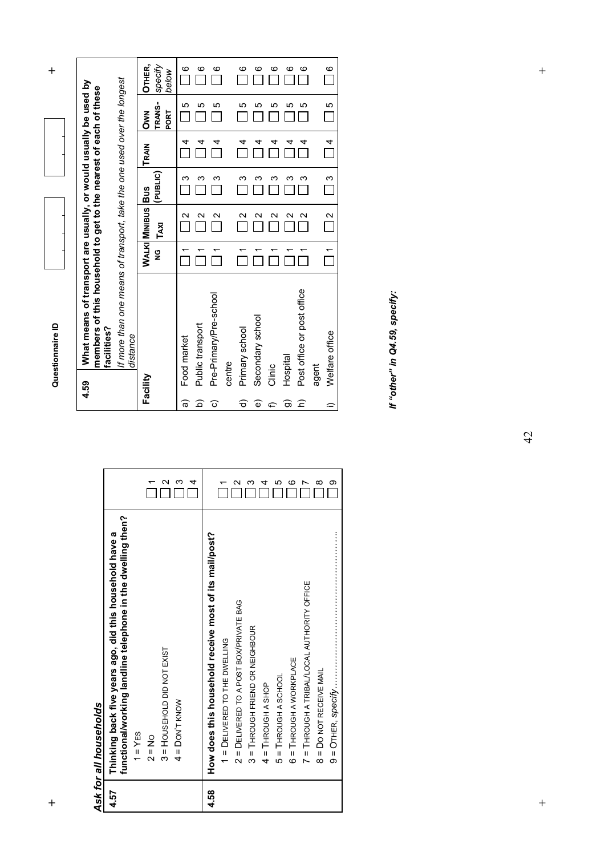**h**  $\uparrow$  **h**  $\uparrow$  **d**  $\uparrow$  **d**  $\uparrow$  **d**  $\uparrow$  **d**  $\uparrow$  **d**  $\uparrow$  **d**  $\uparrow$  **d**  $\uparrow$  **d**  $\uparrow$  **d**  $\uparrow$  **d**  $\uparrow$  **d**  $\uparrow$  **d**  $\uparrow$  **d**  $\uparrow$  **d**  $\uparrow$  **d**  $\uparrow$  **d**  $\uparrow$  **d**  $\uparrow$  **d**  $\uparrow$  **d**  $\uparrow$  **d**  $\uparrow$  **d** Questionnaire ID

 $\ddot{}$ 

**OTHER,**  *specify below*  $\overline{\square}$  $\frac{6}{1}$  $\overline{\square}$  $\frac{6}{\Box}$  $\frac{6}{\sqrt{2}}$  $\overline{\Box}$ *If more than one means of transport, take the one used over the longest*  If more than one means of transport, take the one used over the longest What means of transport are usually, or would usually be used by<br>members of this household to get to the nearest of each of these **4.59 What means of transport are usually, or would usually be used by members of this household to get to the nearest of each of these OWN<br>TRANS-<br>PORT**  5  $\overline{\Box}$  $\overline{\Box}$  $\overline{\Box}$  5 5 **TRANS-TRAIN OWN**  Г  $\overline{\square}$  $\overline{\mathbb{I}}$  4 4  $\overline{\Pi}$  $\overline{\square}$ **TRAIN BUS (PUBLIC)**  $\overline{\Box}$  $\overline{\square}$ ოოდ<br> ოოო  $\frac{2}{2}$  $\frac{2}{2}$ **MINIBUS**  $\frac{2}{2}$  $\sim$  $\alpha$   $\alpha$ **TAXI**  $\Box$ **Facility WALKI**  $\overline{\square}$  $\overline{\square}$  $\overline{\Pi}$  $\overline{a}$  $\overline{\square}$  $\mathbf{v}$ Pre-Primary/Pre-school Pre-Primary/Pre-school Secondary school Secondary school Public transport Public transport facilities? **facilities?**  Primary school Primary school *distance*  distance Food market Food market centre Clinic Facility 4.59  $\widehat{\mathfrak{a}}$  $\widehat{a}$  $\widehat{\mathbf{c}}$  $\widehat{\sigma}$  $\widehat{\mathbf{e}}$  $\widehat{\mathbf{r}}$ 

Ask for all households *Ask for all households* 

|      | functional/working landline telephone in the dwelling then? |        |
|------|-------------------------------------------------------------|--------|
|      | $1 = YES$                                                   |        |
|      | $2 = No$                                                    |        |
|      | 3 = HOUSEHOLD DID NOT EXIST                                 |        |
|      | $4 =$ DON'T KNOW                                            |        |
|      |                                                             | 4      |
| 4.58 | How does this household receive most of its mail/post?      |        |
|      | 1 = DELIVERED TO THE DWELLING                               |        |
|      | 2 = DELIVERED TO A POST BOX/PRIVATE BAG                     | $\sim$ |
|      | 3 = THROUGH FRIEND OR NEIGHBOUR                             |        |
|      | $4 =$ THROUGH A SHOP                                        | 4      |
|      | 5 = THROUGH A SCHOOL                                        | Ю      |
|      | $6 = 1$ HROUGH A WORKPLACE                                  | ဖ      |
|      | 7 = THROUGH A TRIBAL/LOCAL AUTHORITY OFFICE                 |        |
|      | 8 = DO NOT RECEIVE MAIL                                     | ∞      |
|      |                                                             | တ      |

 $\widehat{\sigma}$  $\widehat{z}$ 

Hospital

Post office or post office

Post office or post office

 $\overline{a}$ 

 $\alpha$ 

 $\Box$ 

4 4

ເດ<br>ເ

6 6

 $\Box$ 

agent

 $\equiv$ 

Welfare office

Welfare office

 $\overline{\overline{\square}}$ 

 $\overline{\square}$ 

 $\overline{\Box}$ 

 $\overline{\Box}$ 

 $\overline{\Box}$ 

 $\mathbf{\circ}$ 

 $\Box$ 

 *If "other" in Q4.59, specify:*  If "other" in Q4.59, specify:  $\overline{+}$ 

42

+<br>
+<br>
+<br>
+<br>
+<br>
+<br>
+<br>
+<br>
+<br>
+<br>
+<br>
+<br><br><br>
+<br><br>
+<br><br><br>  $\ddot{+}$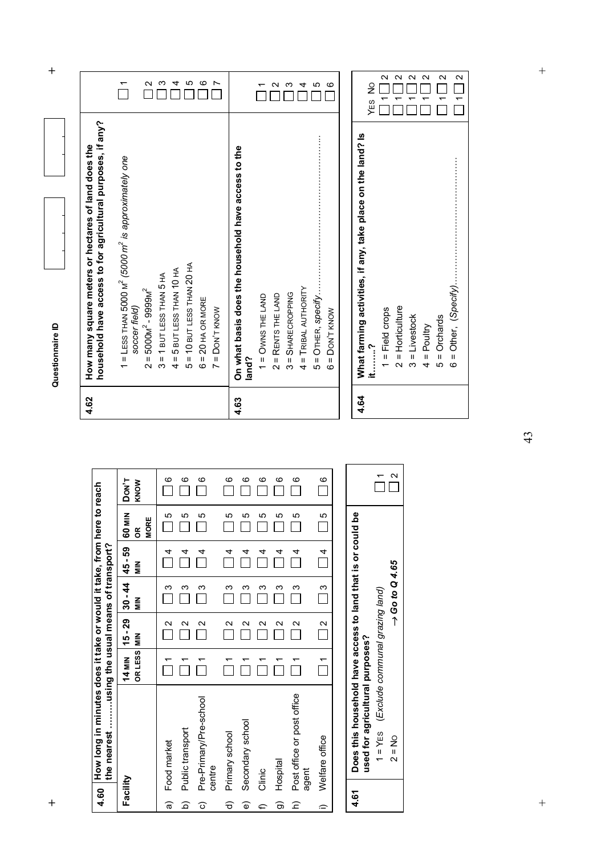| 4.60                        | How long in minutes does it take or would it take, from here                                                          |                          |                                       |                                       |                                     |                            | to reach          | 4.62 | household have access to for agricultural purposes, if any?<br>How many square meters or hectares of land does the               |                                                |
|-----------------------------|-----------------------------------------------------------------------------------------------------------------------|--------------------------|---------------------------------------|---------------------------------------|-------------------------------------|----------------------------|-------------------|------|----------------------------------------------------------------------------------------------------------------------------------|------------------------------------------------|
| Facility                    | the nearest using the usual means of transport?                                                                       | OR LESS<br><b>14 MIN</b> | $15 - 29$<br>$\frac{z}{\overline{z}}$ | $30 - 44$<br>$\frac{z}{\overline{z}}$ | 45 - 59<br>$\frac{z}{\overline{z}}$ | 60 MIN<br><b>MORE</b><br>g | DON'T<br>KNOW     |      | 1 = LESS THAN 5000 M <sup>2</sup> (5000 m <sup>2</sup> is approximately one<br>$=5000M^{2}-9999M^{2}$<br>soccer field)<br>$\sim$ | $\overline{ }$<br>$\sim$                       |
| କ<br><u>ବ</u>               | Public transport<br>Food market                                                                                       | ↽                        | Ν<br>$\mathbf{\Omega}$                | က<br>က                                | 4<br>4                              | 5<br>Ю                     | ဖ<br>ဖ            |      | $= 10$ BUT LESS THAN 20 HA<br>$= 5$ BUT LESS THAN 10 HA<br>$= 1$ BUT LESS THAN 5 HA<br>Ю<br>ო<br>4                               | Ю<br>က<br>4                                    |
| ତ                           | Pre-Primary/Pre-school<br>centre                                                                                      | ↽                        | Ν                                     | ო                                     | 4                                   | 5                          | ဖ                 |      | $= 20$ HA OR MORE<br>$=$ DON'T KNOW<br>ဖ<br>$\overline{ }$                                                                       | ဖ<br>$\overline{ }$                            |
| ଚ<br>$\widehat{\mathbb{O}}$ | Secondary school<br>Primary school                                                                                    | ٣                        | $\mathbf{\Omega}$<br>$\mathbf{\sim}$  | ო<br>ო                                | 4<br>4                              | 5<br>5                     | $\circ$<br>ဖ      | 4.63 | On what basis does the household have access to the<br>land?                                                                     |                                                |
| Բ                           | Clinic                                                                                                                |                          | $\mathbf{\Omega}$                     | ო                                     | 4                                   | 5                          | ဖ                 |      | $1 =$ Owns THE LAND                                                                                                              |                                                |
| ಹ                           | Hospital                                                                                                              |                          | $\mathbf{\sim}$                       | က                                     | 4                                   | ю                          | ဖ                 |      | $2 =$ RENTS THE LAND                                                                                                             | $\mathbf{\Omega}$                              |
| $\widehat{z}$               | Post office or post office<br>agent                                                                                   | ᠇                        | $\mathbf{\sim}$                       | က                                     | 4                                   | ю                          | ဖ                 |      | TRIBAL AUTHORITY<br><b>SHARECROPPING</b><br>Îц,<br>$\sf II$<br>ო<br>4                                                            | ო<br>4                                         |
| $\widehat{\phantom{a}}$     | Welfare office                                                                                                        | ↽                        | N                                     | ო                                     | 4                                   | 5                          | ဖ                 |      | OTHER, specify<br>DON'T KNOW<br>$\mathbf{u}$<br>$\mathbf{I}$<br>Ю<br>ဖ                                                           | Ю<br>G                                         |
| 4.61                        | Does this household have access to land that is or could                                                              |                          |                                       |                                       |                                     | 9d                         |                   | 4.64 | What farming activities, if any, take place on the land? Is                                                                      |                                                |
|                             | (Exclude communal grazing land)<br>used for agricultural purposes?<br>$1 = YES$<br>$\frac{1}{2}$<br>$\mathbf{\Omega}$ |                          |                                       | $\rightarrow$ Go to Q 4.65            |                                     |                            | $\mathbf{\Omega}$ |      | Horticulture<br>$1 =$ Field crops<br>it?<br>$\mathbf{I}$<br>$\mathbf{\Omega}$                                                    | $\mathbf{\Omega}$<br>$\frac{1}{2}$<br>↽<br>YES |
|                             |                                                                                                                       |                          |                                       |                                       |                                     |                            |                   |      | $3 =$ Livestock<br>Poultry<br>$\mathbf{H}$<br>4                                                                                  | $\sim$ $\sim$<br>$\mathbf{\Omega}$<br>۳        |
|                             |                                                                                                                       |                          |                                       |                                       |                                     |                            |                   |      | Orchards<br>$\overline{5}$                                                                                                       | $\mathbf{\Omega}$<br>↽                         |
|                             |                                                                                                                       |                          |                                       |                                       |                                     |                            |                   |      | $\frac{1}{6}$                                                                                                                    | $\sim$                                         |

| low many square meters or hectares of land does the | lousehold have access to for agricultural purposes, if any? | 1 = LESS THAN 5000 $M^2$ (5000 $m^2$ is approximately one<br>soccer field) | $2 = 5000M^2 - 9999M^2$ | $3 = 1$ BUT LESS THAN 5 HA | $4 = 5$ BUT LESS THAN 10 HA | $5 = 10$ BUT LESS THAN 20 HA | $6 = 20$ HA OR MORE | $7 =$ DON'T KNOW |
|-----------------------------------------------------|-------------------------------------------------------------|----------------------------------------------------------------------------|-------------------------|----------------------------|-----------------------------|------------------------------|---------------------|------------------|



43

 $\qquad \qquad +$ 

 $\ddot{+}$ +<br>
+<br>
+<br>
+<br>
+<br>
+<br>
+<br>
+<br>
+<br>
+<br>
+<br>
+<br><br><br>
+<br><br>
+<br><br><br>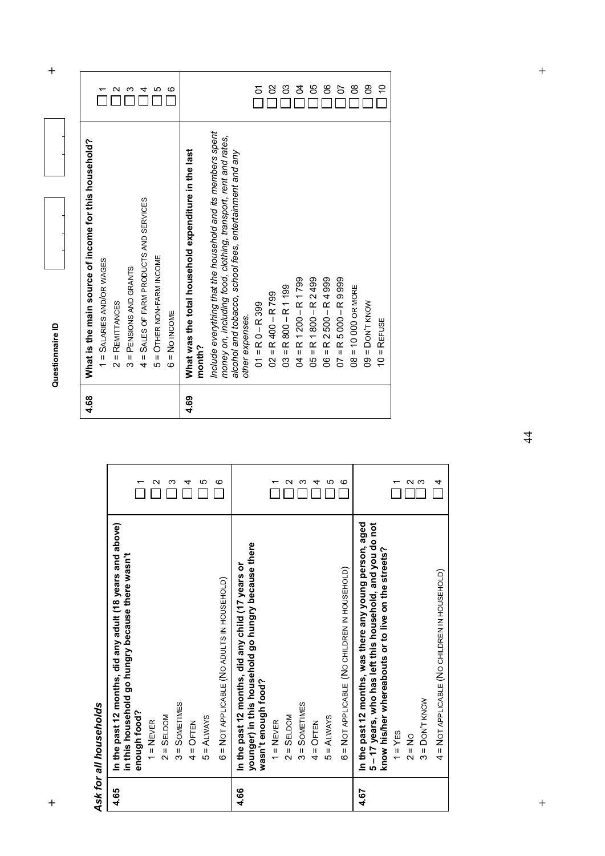$\ddot{}$ **h**  $\uparrow$  **h**  $\uparrow$  **d**  $\uparrow$  **d**  $\uparrow$  **d**  $\uparrow$  **d**  $\uparrow$  **d**  $\uparrow$  **d**  $\uparrow$  **d**  $\uparrow$  **d**  $\uparrow$  **d**  $\uparrow$  **d**  $\uparrow$  **d**  $\uparrow$  **d**  $\uparrow$  **d**  $\uparrow$  **d**  $\uparrow$  **d**  $\uparrow$  **d**  $\uparrow$  **d**  $\uparrow$  **d**  $\uparrow$  **d**  $\uparrow$  **d**  $\uparrow$  **d** 

Questionnaire ID

r 2 9 4 5 6

| What is the main source of income for this household?<br>4 = SALES OF FARM PRODUCTS AND SERVICES<br>5 = OTHER NON-FARM INCOME<br>1 = SALARIES AND/OR WAGES<br>3 = PENSIONS AND GRANTS<br>$2 = REMITANCES$<br>$6 = No$ INCOME<br>4.68 | Include everything that the household and its members spent<br>money on, including food, clothing, transport, rent and rates,<br>What was the total household expenditure in the last<br>month?<br>4.69 | alcohol and tobacco, school fees, entertainment and any<br>$04 = R1200 - R1799$<br>$05$ = R 1 800 - R 2 499<br>$06 = R2500 - R4999$<br>$07 = R5000 - R9999$<br>$03 = R800 - R1199$<br>$02 = R400 - R799$<br>$01 = R0 - R399$<br>other expenses.                      | $08 = 10000$ OR MORE<br>$09 =$ Don't know<br>REFUSE<br>$\mathbf{u}$<br>$\overline{C}$                                                                                                                                                                                          |
|--------------------------------------------------------------------------------------------------------------------------------------------------------------------------------------------------------------------------------------|---------------------------------------------------------------------------------------------------------------------------------------------------------------------------------------------------------|----------------------------------------------------------------------------------------------------------------------------------------------------------------------------------------------------------------------------------------------------------------------|--------------------------------------------------------------------------------------------------------------------------------------------------------------------------------------------------------------------------------------------------------------------------------|
| N<br>ო                                                                                                                                                                                                                               | ဖ<br>ю<br>4                                                                                                                                                                                             | 5<br>ဖ<br>∾<br>ო<br>4                                                                                                                                                                                                                                                | ດ ພ<br>4                                                                                                                                                                                                                                                                       |
| and above)<br>in this household go hungry because there wasn't<br>In the past 12 months, did any adult (18 years<br>Ask for all households<br>enough food?<br>$2 =$ SELDOM<br>$1 =$ NEVER                                            | 6 = NOT APPLICABLE (NO ADULTS IN HOUSEHOLD)<br>$3 =$ SOMETIMES<br>$5 = ALWATS$<br>$4 =$ OFTEN                                                                                                           | e there<br>In the past 12 months, did any child (17 years or<br>6 = NOT APPLICABLE (NO CHILDREN IN HOUSEHOLD)<br>younger) in this household go hungry becaus<br>wasn't enough food?<br>$3 =$ SOMETIMES<br>$2 =$ SELDOM<br>$5 = ALWAYS$<br>$1 =$ NEVER<br>$4 =$ OFTEN | In the past 12 months, was there any young person, aged<br>you do not<br>reets?<br>5-17 years, who has left this household, and<br>know his/her whereabouts or to live on the str<br>4 = NOT APPLICABLE (NO CHILDREN IN HOUSEHOLD<br>$3 =$ DON'T KNOW<br>$1 = YES$<br>$2 = No$ |
| 4.65                                                                                                                                                                                                                                 |                                                                                                                                                                                                         | 4.66                                                                                                                                                                                                                                                                 | 4.67                                                                                                                                                                                                                                                                           |

5 8 9 8 9 8 9 9 9

 $\qquad \qquad +$ 

 $\ddot{+}$ 

4 = NOT APPLICABLE (NO CHILDREN IN HOUSEHOLD) = NOT APPLICABLE (NO CHILDREN IN HOUSEHOLD)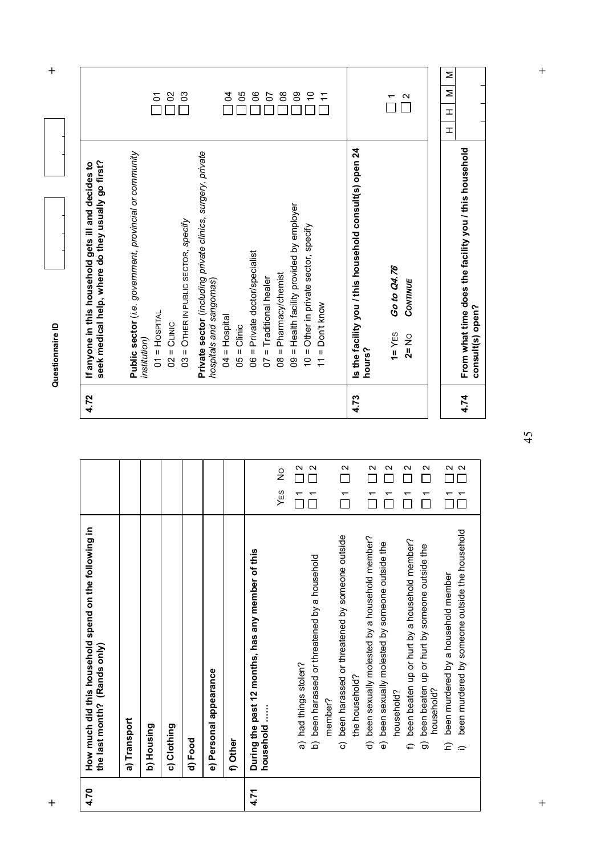**h**  $\uparrow$  **h**  $\uparrow$  **d**  $\uparrow$  **d**  $\uparrow$  **d**  $\uparrow$  **d**  $\uparrow$  **d**  $\uparrow$  **d**  $\uparrow$  **d**  $\uparrow$  **d**  $\uparrow$  **d**  $\uparrow$  **d**  $\uparrow$  **d**  $\uparrow$  **d**  $\uparrow$  **d**  $\uparrow$  **d**  $\uparrow$  **d**  $\uparrow$  **d**  $\uparrow$  **d**  $\uparrow$  **d**  $\uparrow$  **d**  $\uparrow$  **d**  $\uparrow$  **d**  $^{+}$ M H H H H Σ  $\geq$ <mark>ភ</mark> ខ ខ 19858825  $\frac{1}{2}$  $\mathbf{I}$  $\pm$ **Is the facility you / this household consult(s) open 24**<br>hours? **4.74 From what time does the facility you / this household 4.73 Is the facility you / this household consult(s) open 24**  From what time does the facility you / this household<br>consult(s) open? **Public sector** (*i.e. government, provincial or community*  Private sector (including private clinics, surgery, private **Private sector** (*including private clinics, surgery, private*  Public sector (i.e. government, provincial or community If anyone in this household gets ill and decides to<br>seek medical help, where do they usually go first? **seek medical help, where do they usually go first? 4.72 If anyone in this household gets ill and decides to**  09 = Health facility provided by employer 09 = Health facility provided by employer 03 = OTHER IN PUBLIC SECTOR, specify 03 = OTHER IN PUBLIC SECTOR, *specify* 10 = Other in private sector, specify 10 = Other in private sector, specify 06 = Private doctor/specialist 06 = Private doctor/specialist Go to Q4.76  **1=** YES **Go to Q4.76**  08 = Pharmacy/chemist 08 = Pharmacy/chemist 07 = Traditional healer 07 = Traditional healer CONTINUE hospitals and sangomas) *hospitals and sangomas*) **2=** NO *CONTINUE*  $11 = \text{Don't know}$  $11 = Don't$  know  $01$  =  $H$ OSPITAL  $01$  =  $H$ OSPITAL  $04 = Hospital$  $04 = H$ ospital  $O2 = C$ LINIC Questionnaire ID  $05 =$  Clinic  $02 =$  CLINIC  $05 = \text{Clinic}$  $1 = YES$  $2 = N_O$ institution) *institution)*  4.72 4.73 4.74  $\frac{N}{n} \frac{N}{n}$  $\overline{1}$  $\frac{1}{2}$  $\overline{1}$  $\frac{2}{1}$  $\frac{1}{2}$  $\frac{1}{2}$  1 2 1 2 1 2 1 2  $\frac{1}{2}$  1 2 1 2 1 2 1 2  $\overline{Q}$ YES NO

| 4.70 | How much did this household spend on the following in<br>the last month? (Rands only)                               |     |   |
|------|---------------------------------------------------------------------------------------------------------------------|-----|---|
|      | a) Transport                                                                                                        |     |   |
|      | b) Housing                                                                                                          |     |   |
|      | c) Clothing                                                                                                         |     |   |
|      | d) Food                                                                                                             |     |   |
|      | e) Personal appearance                                                                                              |     |   |
|      | f) Other                                                                                                            |     |   |
| 4.71 | During the past 12 months, has any member of this<br>household                                                      |     |   |
|      |                                                                                                                     | YES | ∠ |
|      | a) had things stolen?                                                                                               |     |   |
|      | been harassed or threatened by a household<br>member?<br><u>ବ</u>                                                   |     |   |
|      | been harassed or threatened by someone outside<br>the household?<br>ි                                               |     |   |
|      | been sexually molested by a household member?<br>$\widehat{\sigma}$                                                 |     |   |
|      | been sexually molested by someone outside the<br>household?<br>$\widehat{\Phi}$                                     |     |   |
|      | been beaten up or hurt by a household member?<br>€                                                                  |     |   |
|      | been beaten up or hurt by someone outside the<br>household?<br>ခြ                                                   |     |   |
|      | been murdered by someone outside the household<br>been murdered by a household member<br>$\widehat{z}$<br>$\hat{=}$ |     |   |
|      |                                                                                                                     |     |   |

**consult(s) open?** 

45

 $\ddot{}$ 

 $\overline{+}$ +<br>
+<br>
+<br>
+<br>
+<br>
+<br>
+<br>
+<br>
+<br>
+<br>
+<br>
+<br><br><br>
+<br><br>
+<br><br><br>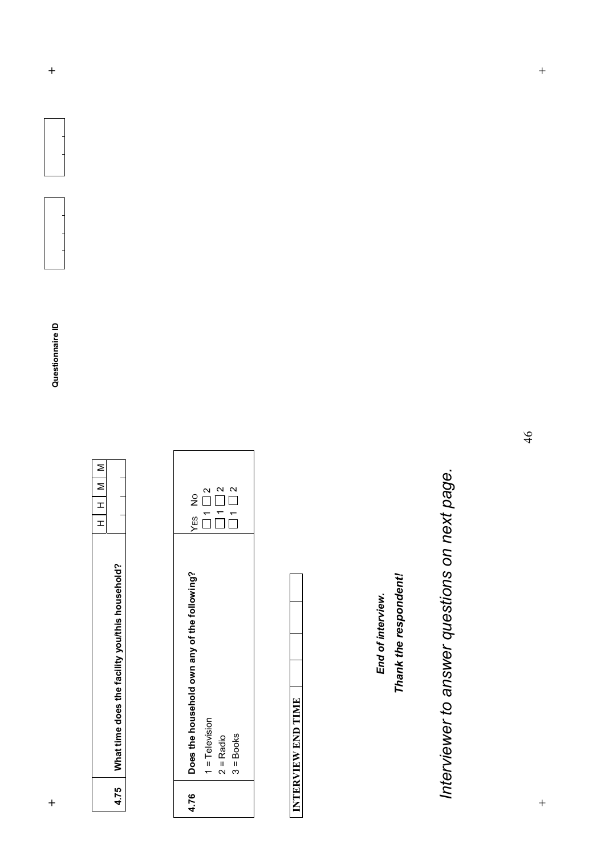| YES NO                                       | $\mathbf{\Omega}$<br>$\Box$ | $\mathbf{\Omega}$<br>$\sum_{i=1}^{n}$ | $\mathbf{\Omega}$<br>$\frac{1}{1}$ |  |
|----------------------------------------------|-----------------------------|---------------------------------------|------------------------------------|--|
| Does the household own any of the following? | $1 = Television$            | $2 =$ Radio                           | $3 = \text{Books}$                 |  |
| 4.76                                         |                             |                                       |                                    |  |

INTERVIEW END TIME **INTERVIEW END TIME** 

End of interview. *End of interview.* 

Thank the respondent! *Thank the respondent!* 

*Interviewer to answer questions on next page.* Interviewer to answer questions on next page.

 $\qquad \qquad +$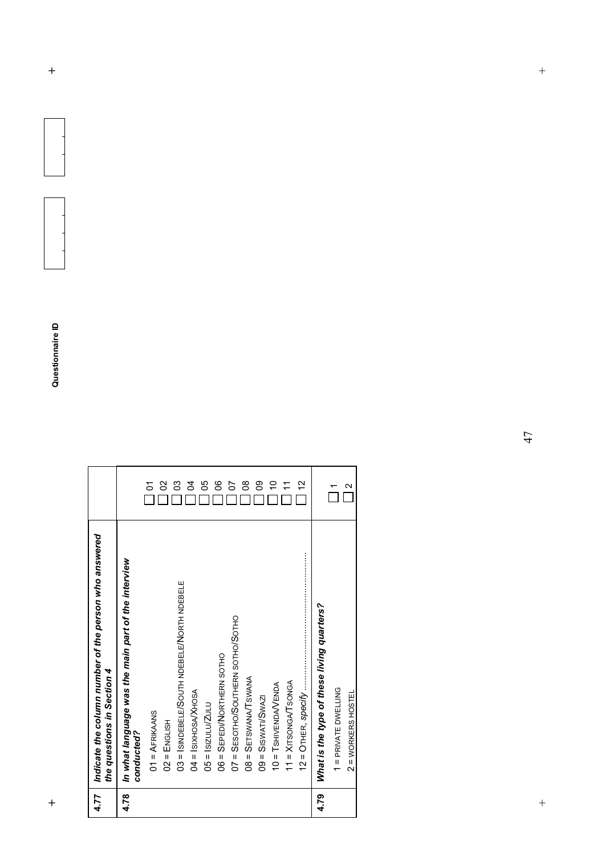| 4.77 | Indicate the column number of the person who answered             |                   |
|------|-------------------------------------------------------------------|-------------------|
|      | the questions in Section 4                                        |                   |
| 4.78 | In what language was the main part of the interview<br>conducted? |                   |
|      | $01 = AFRIKANSS$                                                  | δ                 |
|      | $02$ = ENGLISH                                                    | 8                 |
|      | 03 = ISINDEBELE/SOUTH NDEBELE/NORTH NDEBELE                       | ဒ                 |
|      | 04 = ISIXHOSAXHOSA                                                | र्ठ               |
|      | $05 =$ Isizulu/Zulu                                               | ပ္ပ               |
|      | 06 = SEPEDI/NORTHERN SOTHO                                        | 8                 |
|      | O7 = SESOTHO/SOUTHERN SOTHO/SOTHO                                 | 5                 |
|      | 08 = SETSWANA/TSWANA                                              | 8                 |
|      | $09 =$ Siswati/Swazi                                              | ႙ၟ                |
|      | $10 = T$ SHIVENDAVENDA                                            | S                 |
|      | $11 = XITSONGATSONGA$                                             |                   |
|      |                                                                   | 51                |
| 4.79 | What is the type of these living quarters?                        |                   |
|      | 1 = PRIVATE DWELLING                                              |                   |
|      | $2 = WORKERS HOSTEL$                                              | $\mathbf{\Omega}$ |

47

 $\qquad \qquad +$